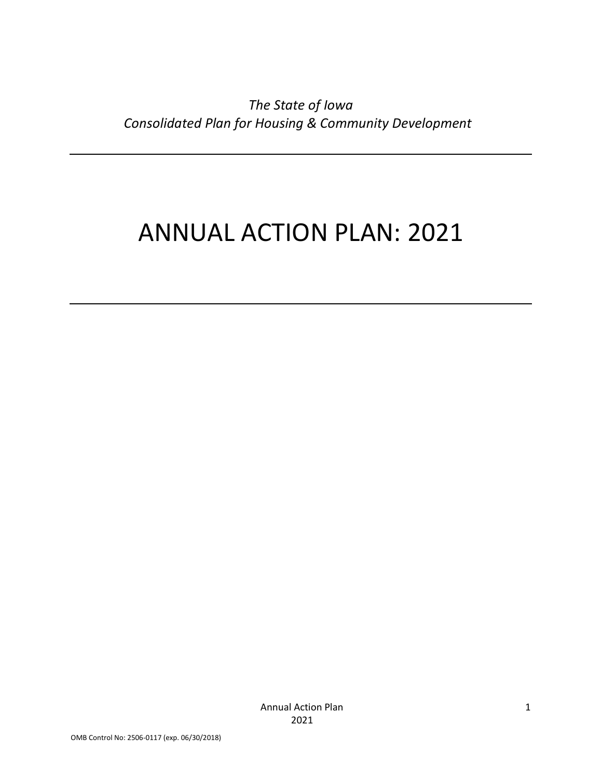*The State of Iowa Consolidated Plan for Housing & Community Development*

# ANNUAL ACTION PLAN: 2021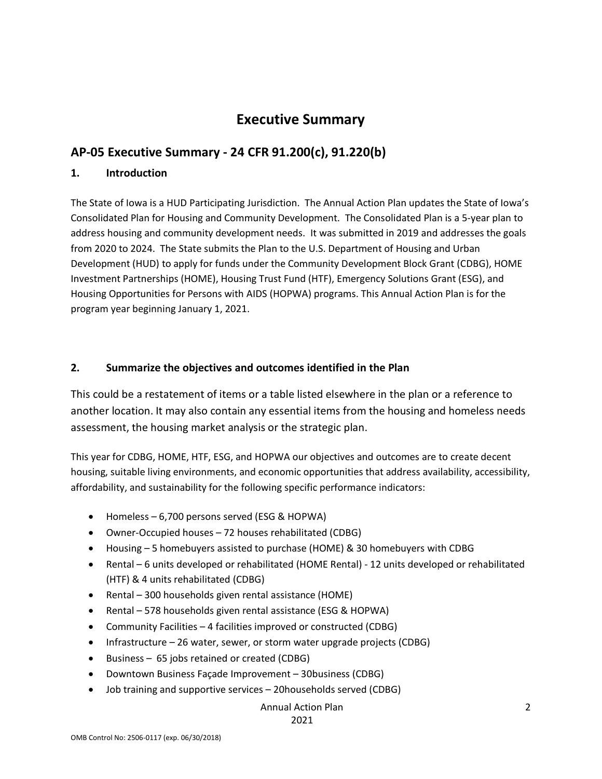# **Executive Summary**

## **AP-05 Executive Summary - 24 CFR 91.200(c), 91.220(b)**

### **1. Introduction**

The State of Iowa is a HUD Participating Jurisdiction. The Annual Action Plan updates the State of Iowa's Consolidated Plan for Housing and Community Development. The Consolidated Plan is a 5-year plan to address housing and community development needs. It was submitted in 2019 and addresses the goals from 2020 to 2024. The State submits the Plan to the U.S. Department of Housing and Urban Development (HUD) to apply for funds under the Community Development Block Grant (CDBG), HOME Investment Partnerships (HOME), Housing Trust Fund (HTF), Emergency Solutions Grant (ESG), and Housing Opportunities for Persons with AIDS (HOPWA) programs. This Annual Action Plan is for the program year beginning January 1, 2021.

### **2. Summarize the objectives and outcomes identified in the Plan**

This could be a restatement of items or a table listed elsewhere in the plan or a reference to another location. It may also contain any essential items from the housing and homeless needs assessment, the housing market analysis or the strategic plan.

This year for CDBG, HOME, HTF, ESG, and HOPWA our objectives and outcomes are to create decent housing, suitable living environments, and economic opportunities that address availability, accessibility, affordability, and sustainability for the following specific performance indicators:

- Homeless 6,700 persons served (ESG & HOPWA)
- Owner-Occupied houses 72 houses rehabilitated (CDBG)
- Housing 5 homebuyers assisted to purchase (HOME) & 30 homebuyers with CDBG
- Rental 6 units developed or rehabilitated (HOME Rental) 12 units developed or rehabilitated (HTF) & 4 units rehabilitated (CDBG)
- Rental 300 households given rental assistance (HOME)
- Rental 578 households given rental assistance (ESG & HOPWA)
- Community Facilities 4 facilities improved or constructed (CDBG)
- Infrastructure 26 water, sewer, or storm water upgrade projects (CDBG)
- Business 65 jobs retained or created (CDBG)
- Downtown Business Façade Improvement 30business (CDBG)
- Job training and supportive services 20households served (CDBG)

#### Annual Action Plan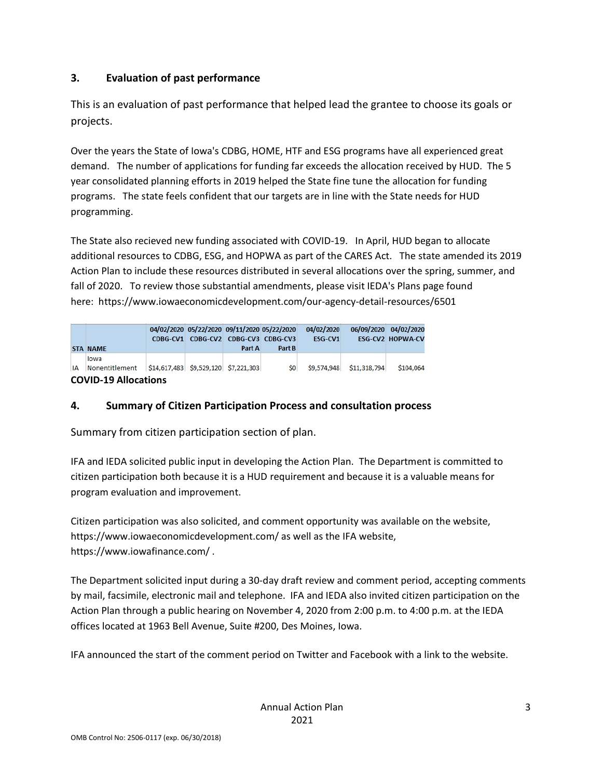### **3. Evaluation of past performance**

This is an evaluation of past performance that helped lead the grantee to choose its goals or projects.

Over the years the State of Iowa's CDBG, HOME, HTF and ESG programs have all experienced great demand. The number of applications for funding far exceeds the allocation received by HUD. The 5 year consolidated planning efforts in 2019 helped the State fine tune the allocation for funding programs. The state feels confident that our targets are in line with the State needs for HUD programming.

The State also recieved new funding associated with COVID-19. In April, HUD began to allocate additional resources to CDBG, ESG, and HOPWA as part of the CARES Act. The state amended its 2019 Action Plan to include these resources distributed in several allocations over the spring, summer, and fall of 2020. To review those substantial amendments, please visit IEDA's Plans page found here: https://www.iowaeconomicdevelopment.com/our-agency-detail-resources/6501

|    | <b>STA NAME</b>             |                                      | 04/02/2020 05/22/2020 09/11/2020 05/22/2020<br>CDBG-CV1 CDBG-CV2 CDBG-CV3 CDBG-CV3 | Part A | Part B          | 04/02/2020<br>ESG-CV1 |              | 06/09/2020 04/02/2020<br><b>ESG-CV2 HOPWA-CV</b> |  |
|----|-----------------------------|--------------------------------------|------------------------------------------------------------------------------------|--------|-----------------|-----------------------|--------------|--------------------------------------------------|--|
| IA | lowa<br>Nonentitlement      | \$14,617,483 \$9,529,120 \$7,221,303 |                                                                                    |        | SO <sub>2</sub> | \$9,574,948           | \$11,318,794 | \$104.064                                        |  |
|    | <b>COVID-19 Allocations</b> |                                      |                                                                                    |        |                 |                       |              |                                                  |  |

### **4. Summary of Citizen Participation Process and consultation process**

Summary from citizen participation section of plan.

IFA and IEDA solicited public input in developing the Action Plan. The Department is committed to citizen participation both because it is a HUD requirement and because it is a valuable means for program evaluation and improvement.

Citizen participation was also solicited, and comment opportunity was available on the website, https://www.iowaeconomicdevelopment.com/ as well as the IFA website, https://www.iowafinance.com/ .

The Department solicited input during a 30-day draft review and comment period, accepting comments by mail, facsimile, electronic mail and telephone. IFA and IEDA also invited citizen participation on the Action Plan through a public hearing on November 4, 2020 from 2:00 p.m. to 4:00 p.m. at the IEDA offices located at 1963 Bell Avenue, Suite #200, Des Moines, Iowa.

IFA announced the start of the comment period on Twitter and Facebook with a link to the website.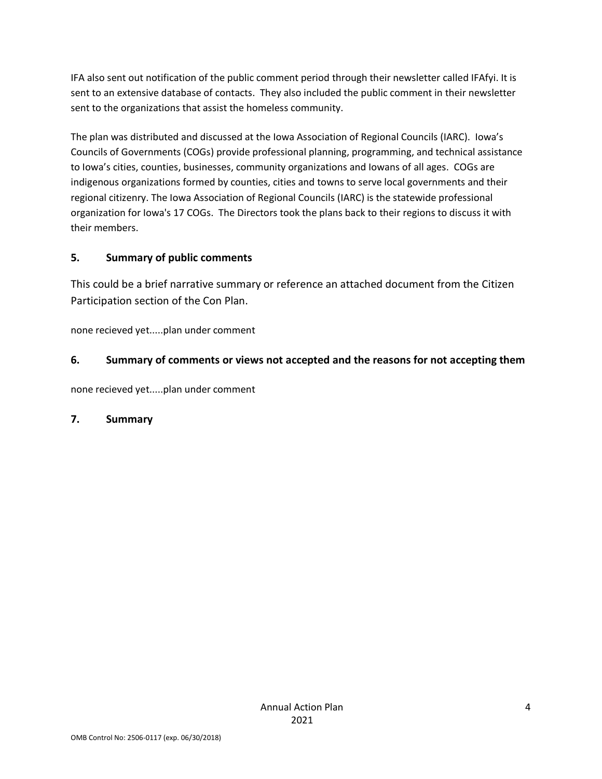IFA also sent out notification of the public comment period through their newsletter called IFAfyi. It is sent to an extensive database of contacts. They also included the public comment in their newsletter sent to the organizations that assist the homeless community.

The plan was distributed and discussed at the Iowa Association of Regional Councils (IARC). Iowa's Councils of Governments (COGs) provide professional planning, programming, and technical assistance to Iowa's cities, counties, businesses, community organizations and Iowans of all ages. COGs are indigenous organizations formed by counties, cities and towns to serve local governments and their regional citizenry. The Iowa Association of Regional Councils (IARC) is the statewide professional organization for Iowa's 17 COGs. The Directors took the plans back to their regions to discuss it with their members.

### **5. Summary of public comments**

This could be a brief narrative summary or reference an attached document from the Citizen Participation section of the Con Plan.

none recieved yet.....plan under comment

### **6. Summary of comments or views not accepted and the reasons for not accepting them**

none recieved yet.....plan under comment

### **7. Summary**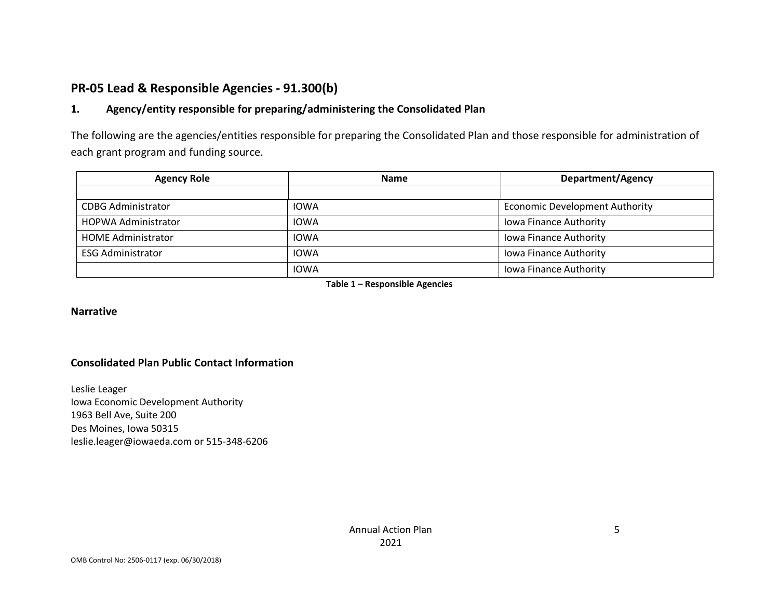### **PR-05 Lead & Responsible Agencies - 91.300(b)**

### **1. Agency/entity responsible for preparing/administering the Consolidated Plan**

The following are the agencies/entities responsible for preparing the Consolidated Plan and those responsible for administration of each grant program and funding source.

| <b>Agency Role</b>         | <b>Name</b> | <b>Department/Agency</b>              |
|----------------------------|-------------|---------------------------------------|
|                            |             |                                       |
| <b>CDBG Administrator</b>  | <b>IOWA</b> | <b>Economic Development Authority</b> |
| <b>HOPWA Administrator</b> | <b>IOWA</b> | <b>Iowa Finance Authority</b>         |
| <b>HOME Administrator</b>  | <b>IOWA</b> | <b>Iowa Finance Authority</b>         |
| <b>ESG Administrator</b>   | <b>IOWA</b> | Iowa Finance Authority                |
|                            | <b>IOWA</b> | <b>Iowa Finance Authority</b>         |

**Table 1 – Responsible Agencies**

#### **Narrative**

#### **Consolidated Plan Public Contact Information**

Leslie Leager Iowa Economic Development Authority 1963 Bell Ave, Suite 200 Des Moines, Iowa 50315 leslie.leager@iowaeda.com or 515-348-6206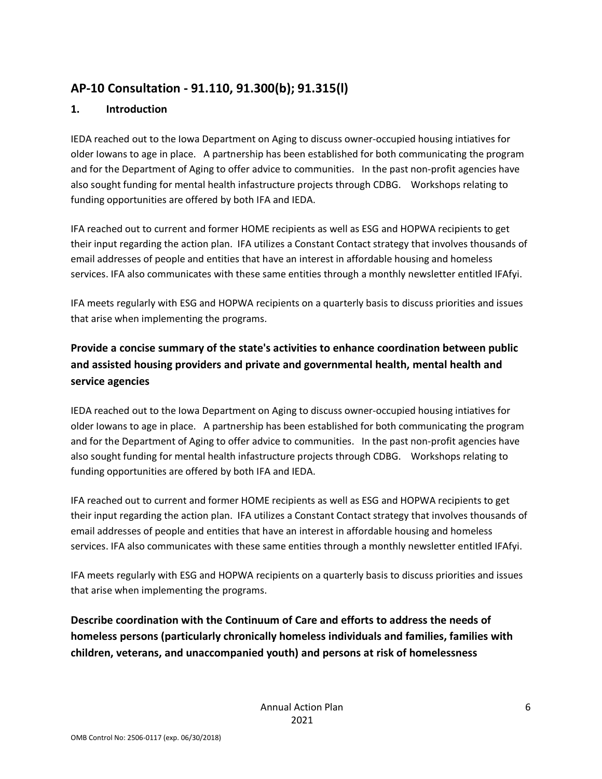# **AP-10 Consultation - 91.110, 91.300(b); 91.315(l)**

### **1. Introduction**

IEDA reached out to the Iowa Department on Aging to discuss owner-occupied housing intiatives for older Iowans to age in place. A partnership has been established for both communicating the program and for the Department of Aging to offer advice to communities. In the past non-profit agencies have also sought funding for mental health infastructure projects through CDBG. Workshops relating to funding opportunities are offered by both IFA and IEDA.

IFA reached out to current and former HOME recipients as well as ESG and HOPWA recipients to get their input regarding the action plan. IFA utilizes a Constant Contact strategy that involves thousands of email addresses of people and entities that have an interest in affordable housing and homeless services. IFA also communicates with these same entities through a monthly newsletter entitled IFAfyi.

IFA meets regularly with ESG and HOPWA recipients on a quarterly basis to discuss priorities and issues that arise when implementing the programs.

# **Provide a concise summary of the state's activities to enhance coordination between public and assisted housing providers and private and governmental health, mental health and service agencies**

IEDA reached out to the Iowa Department on Aging to discuss owner-occupied housing intiatives for older Iowans to age in place. A partnership has been established for both communicating the program and for the Department of Aging to offer advice to communities. In the past non-profit agencies have also sought funding for mental health infastructure projects through CDBG. Workshops relating to funding opportunities are offered by both IFA and IEDA.

IFA reached out to current and former HOME recipients as well as ESG and HOPWA recipients to get their input regarding the action plan. IFA utilizes a Constant Contact strategy that involves thousands of email addresses of people and entities that have an interest in affordable housing and homeless services. IFA also communicates with these same entities through a monthly newsletter entitled IFAfyi.

IFA meets regularly with ESG and HOPWA recipients on a quarterly basis to discuss priorities and issues that arise when implementing the programs.

**Describe coordination with the Continuum of Care and efforts to address the needs of homeless persons (particularly chronically homeless individuals and families, families with children, veterans, and unaccompanied youth) and persons at risk of homelessness**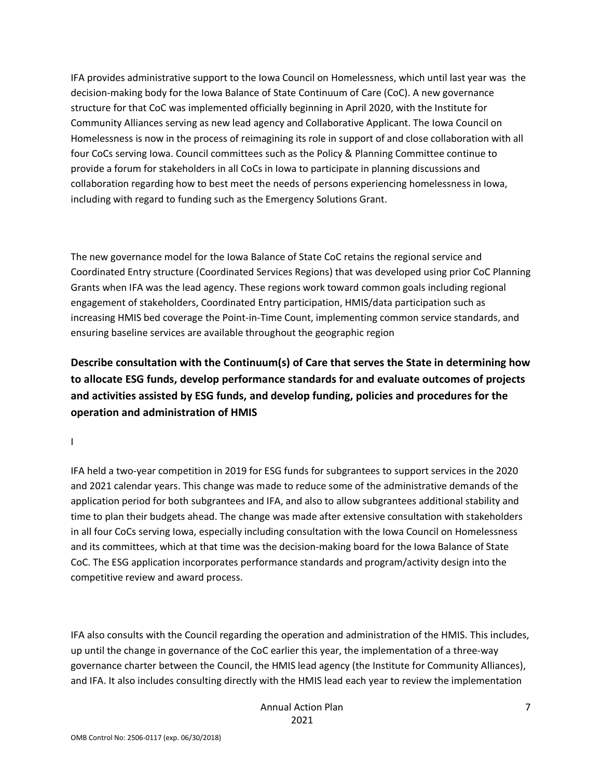IFA provides administrative support to the Iowa Council on Homelessness, which until last year was the decision-making body for the Iowa Balance of State Continuum of Care (CoC). A new governance structure for that CoC was implemented officially beginning in April 2020, with the Institute for Community Alliances serving as new lead agency and Collaborative Applicant. The Iowa Council on Homelessness is now in the process of reimagining its role in support of and close collaboration with all four CoCs serving Iowa. Council committees such as the Policy & Planning Committee continue to provide a forum for stakeholders in all CoCs in Iowa to participate in planning discussions and collaboration regarding how to best meet the needs of persons experiencing homelessness in Iowa, including with regard to funding such as the Emergency Solutions Grant.

The new governance model for the Iowa Balance of State CoC retains the regional service and Coordinated Entry structure (Coordinated Services Regions) that was developed using prior CoC Planning Grants when IFA was the lead agency. These regions work toward common goals including regional engagement of stakeholders, Coordinated Entry participation, HMIS/data participation such as increasing HMIS bed coverage the Point-in-Time Count, implementing common service standards, and ensuring baseline services are available throughout the geographic region

**Describe consultation with the Continuum(s) of Care that serves the State in determining how to allocate ESG funds, develop performance standards for and evaluate outcomes of projects and activities assisted by ESG funds, and develop funding, policies and procedures for the operation and administration of HMIS**

I

IFA held a two-year competition in 2019 for ESG funds for subgrantees to support services in the 2020 and 2021 calendar years. This change was made to reduce some of the administrative demands of the application period for both subgrantees and IFA, and also to allow subgrantees additional stability and time to plan their budgets ahead. The change was made after extensive consultation with stakeholders in all four CoCs serving Iowa, especially including consultation with the Iowa Council on Homelessness and its committees, which at that time was the decision-making board for the Iowa Balance of State CoC. The ESG application incorporates performance standards and program/activity design into the competitive review and award process.

IFA also consults with the Council regarding the operation and administration of the HMIS. This includes, up until the change in governance of the CoC earlier this year, the implementation of a three-way governance charter between the Council, the HMIS lead agency (the Institute for Community Alliances), and IFA. It also includes consulting directly with the HMIS lead each year to review the implementation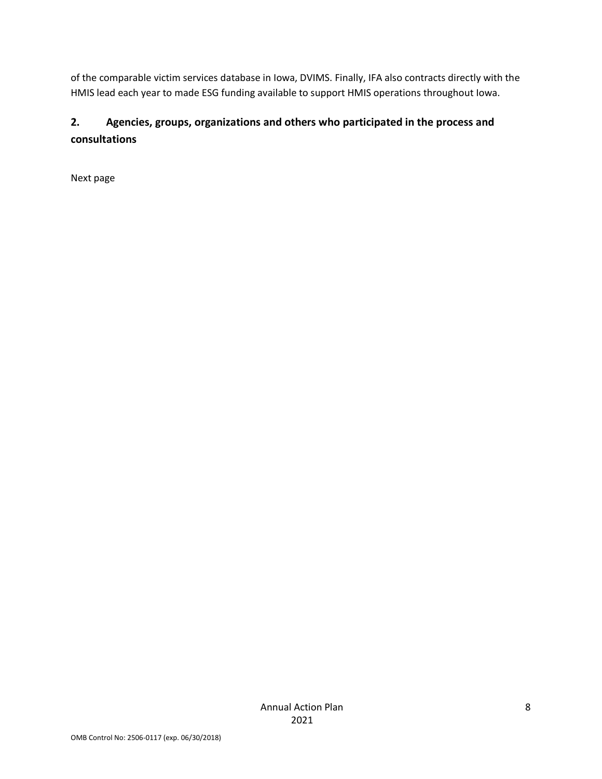of the comparable victim services database in Iowa, DVIMS. Finally, IFA also contracts directly with the HMIS lead each year to made ESG funding available to support HMIS operations throughout Iowa.

# **2. Agencies, groups, organizations and others who participated in the process and consultations**

Next page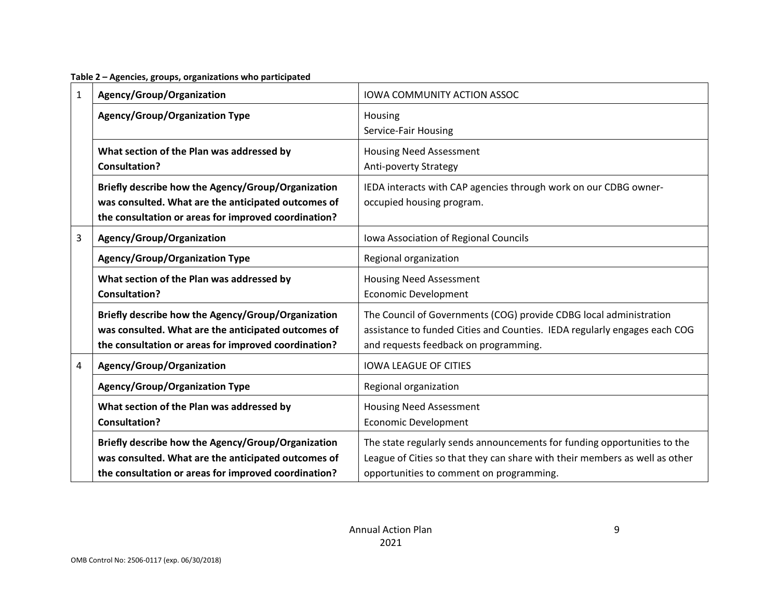**Table 2 – Agencies, groups, organizations who participated**

| 1 | Agency/Group/Organization                                                                                                                                         | <b>IOWA COMMUNITY ACTION ASSOC</b>                                                                                                                                                                  |  |  |
|---|-------------------------------------------------------------------------------------------------------------------------------------------------------------------|-----------------------------------------------------------------------------------------------------------------------------------------------------------------------------------------------------|--|--|
|   | <b>Agency/Group/Organization Type</b>                                                                                                                             | Housing<br>Service-Fair Housing                                                                                                                                                                     |  |  |
|   | What section of the Plan was addressed by<br><b>Consultation?</b>                                                                                                 | <b>Housing Need Assessment</b><br>Anti-poverty Strategy                                                                                                                                             |  |  |
|   | Briefly describe how the Agency/Group/Organization<br>was consulted. What are the anticipated outcomes of<br>the consultation or areas for improved coordination? | IEDA interacts with CAP agencies through work on our CDBG owner-<br>occupied housing program.                                                                                                       |  |  |
| 3 | Agency/Group/Organization                                                                                                                                         | Iowa Association of Regional Councils                                                                                                                                                               |  |  |
|   | <b>Agency/Group/Organization Type</b>                                                                                                                             | Regional organization                                                                                                                                                                               |  |  |
|   | What section of the Plan was addressed by<br><b>Consultation?</b>                                                                                                 | <b>Housing Need Assessment</b><br><b>Economic Development</b>                                                                                                                                       |  |  |
|   | Briefly describe how the Agency/Group/Organization<br>was consulted. What are the anticipated outcomes of<br>the consultation or areas for improved coordination? | The Council of Governments (COG) provide CDBG local administration<br>assistance to funded Cities and Counties. IEDA regularly engages each COG<br>and requests feedback on programming.            |  |  |
| 4 | Agency/Group/Organization                                                                                                                                         | <b>IOWA LEAGUE OF CITIES</b>                                                                                                                                                                        |  |  |
|   | <b>Agency/Group/Organization Type</b>                                                                                                                             | Regional organization                                                                                                                                                                               |  |  |
|   | What section of the Plan was addressed by<br><b>Consultation?</b>                                                                                                 | <b>Housing Need Assessment</b><br><b>Economic Development</b>                                                                                                                                       |  |  |
|   | Briefly describe how the Agency/Group/Organization<br>was consulted. What are the anticipated outcomes of<br>the consultation or areas for improved coordination? | The state regularly sends announcements for funding opportunities to the<br>League of Cities so that they can share with their members as well as other<br>opportunities to comment on programming. |  |  |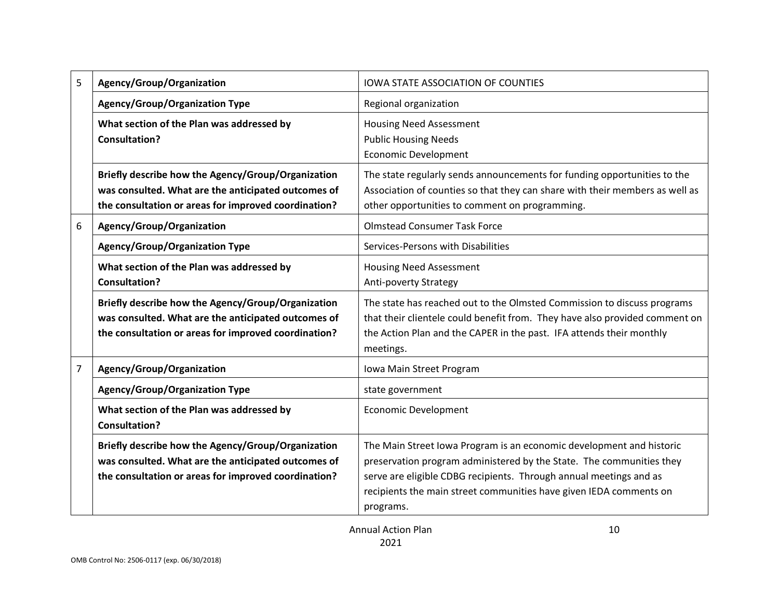| 5 | Agency/Group/Organization                                                                                                                                         | <b>IOWA STATE ASSOCIATION OF COUNTIES</b>                                                                                                                                                                                                                                                             |  |  |
|---|-------------------------------------------------------------------------------------------------------------------------------------------------------------------|-------------------------------------------------------------------------------------------------------------------------------------------------------------------------------------------------------------------------------------------------------------------------------------------------------|--|--|
|   | <b>Agency/Group/Organization Type</b>                                                                                                                             | Regional organization                                                                                                                                                                                                                                                                                 |  |  |
|   | What section of the Plan was addressed by<br><b>Consultation?</b>                                                                                                 | <b>Housing Need Assessment</b><br><b>Public Housing Needs</b><br><b>Economic Development</b>                                                                                                                                                                                                          |  |  |
|   | Briefly describe how the Agency/Group/Organization<br>was consulted. What are the anticipated outcomes of<br>the consultation or areas for improved coordination? | The state regularly sends announcements for funding opportunities to the<br>Association of counties so that they can share with their members as well as<br>other opportunities to comment on programming.                                                                                            |  |  |
| 6 | Agency/Group/Organization                                                                                                                                         | <b>Olmstead Consumer Task Force</b>                                                                                                                                                                                                                                                                   |  |  |
|   | <b>Agency/Group/Organization Type</b>                                                                                                                             | Services-Persons with Disabilities                                                                                                                                                                                                                                                                    |  |  |
|   | What section of the Plan was addressed by<br><b>Consultation?</b>                                                                                                 | <b>Housing Need Assessment</b><br>Anti-poverty Strategy                                                                                                                                                                                                                                               |  |  |
|   | Briefly describe how the Agency/Group/Organization<br>was consulted. What are the anticipated outcomes of<br>the consultation or areas for improved coordination? | The state has reached out to the Olmsted Commission to discuss programs<br>that their clientele could benefit from. They have also provided comment on<br>the Action Plan and the CAPER in the past. IFA attends their monthly<br>meetings.                                                           |  |  |
| 7 | Agency/Group/Organization                                                                                                                                         | Iowa Main Street Program                                                                                                                                                                                                                                                                              |  |  |
|   | <b>Agency/Group/Organization Type</b>                                                                                                                             | state government                                                                                                                                                                                                                                                                                      |  |  |
|   | What section of the Plan was addressed by<br><b>Consultation?</b>                                                                                                 | <b>Economic Development</b>                                                                                                                                                                                                                                                                           |  |  |
|   | Briefly describe how the Agency/Group/Organization<br>was consulted. What are the anticipated outcomes of<br>the consultation or areas for improved coordination? | The Main Street Iowa Program is an economic development and historic<br>preservation program administered by the State. The communities they<br>serve are eligible CDBG recipients. Through annual meetings and as<br>recipients the main street communities have given IEDA comments on<br>programs. |  |  |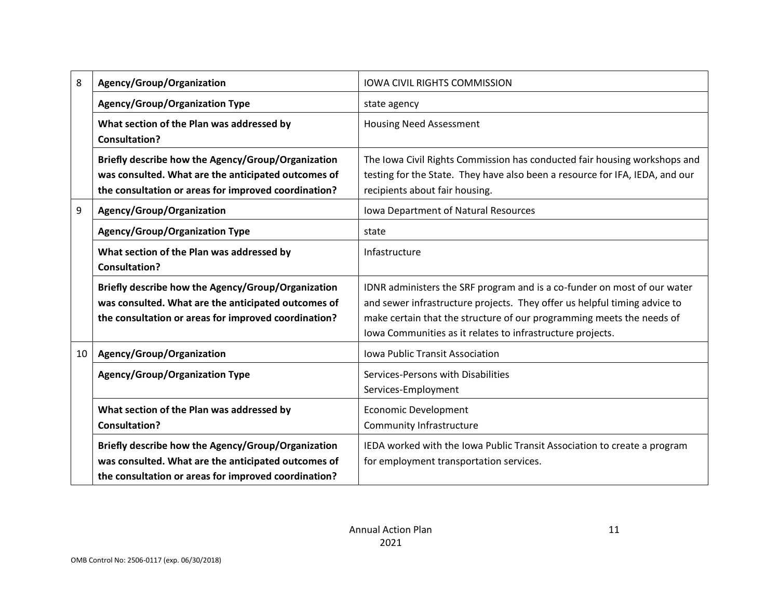| 8  | Agency/Group/Organization                                                                                                                                         | <b>IOWA CIVIL RIGHTS COMMISSION</b>                                                                                                                                                                                                                                                          |  |  |
|----|-------------------------------------------------------------------------------------------------------------------------------------------------------------------|----------------------------------------------------------------------------------------------------------------------------------------------------------------------------------------------------------------------------------------------------------------------------------------------|--|--|
|    | <b>Agency/Group/Organization Type</b>                                                                                                                             | state agency                                                                                                                                                                                                                                                                                 |  |  |
|    | What section of the Plan was addressed by<br><b>Consultation?</b>                                                                                                 | <b>Housing Need Assessment</b>                                                                                                                                                                                                                                                               |  |  |
|    | Briefly describe how the Agency/Group/Organization<br>was consulted. What are the anticipated outcomes of<br>the consultation or areas for improved coordination? | The Iowa Civil Rights Commission has conducted fair housing workshops and<br>testing for the State. They have also been a resource for IFA, IEDA, and our<br>recipients about fair housing.                                                                                                  |  |  |
| 9  | Agency/Group/Organization                                                                                                                                         | Iowa Department of Natural Resources                                                                                                                                                                                                                                                         |  |  |
|    | <b>Agency/Group/Organization Type</b>                                                                                                                             | state                                                                                                                                                                                                                                                                                        |  |  |
|    | What section of the Plan was addressed by<br>Consultation?                                                                                                        | Infastructure                                                                                                                                                                                                                                                                                |  |  |
|    | Briefly describe how the Agency/Group/Organization<br>was consulted. What are the anticipated outcomes of<br>the consultation or areas for improved coordination? | IDNR administers the SRF program and is a co-funder on most of our water<br>and sewer infrastructure projects. They offer us helpful timing advice to<br>make certain that the structure of our programming meets the needs of<br>Iowa Communities as it relates to infrastructure projects. |  |  |
| 10 | Agency/Group/Organization                                                                                                                                         | <b>Iowa Public Transit Association</b>                                                                                                                                                                                                                                                       |  |  |
|    | <b>Agency/Group/Organization Type</b>                                                                                                                             | Services-Persons with Disabilities<br>Services-Employment                                                                                                                                                                                                                                    |  |  |
|    | What section of the Plan was addressed by<br><b>Consultation?</b>                                                                                                 | <b>Economic Development</b><br>Community Infrastructure                                                                                                                                                                                                                                      |  |  |
|    | Briefly describe how the Agency/Group/Organization<br>was consulted. What are the anticipated outcomes of<br>the consultation or areas for improved coordination? | IEDA worked with the Iowa Public Transit Association to create a program<br>for employment transportation services.                                                                                                                                                                          |  |  |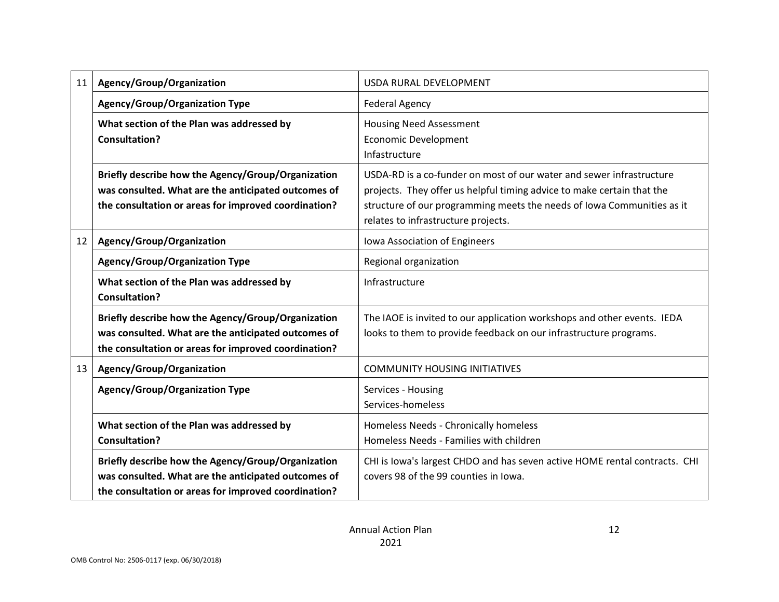| 11              | Agency/Group/Organization                                                                                                                                         | USDA RURAL DEVELOPMENT                                                                                                                                                                                                                                          |  |  |
|-----------------|-------------------------------------------------------------------------------------------------------------------------------------------------------------------|-----------------------------------------------------------------------------------------------------------------------------------------------------------------------------------------------------------------------------------------------------------------|--|--|
|                 | <b>Agency/Group/Organization Type</b>                                                                                                                             | <b>Federal Agency</b>                                                                                                                                                                                                                                           |  |  |
|                 | What section of the Plan was addressed by<br><b>Consultation?</b>                                                                                                 | <b>Housing Need Assessment</b><br><b>Economic Development</b><br>Infastructure                                                                                                                                                                                  |  |  |
|                 | Briefly describe how the Agency/Group/Organization<br>was consulted. What are the anticipated outcomes of<br>the consultation or areas for improved coordination? | USDA-RD is a co-funder on most of our water and sewer infrastructure<br>projects. They offer us helpful timing advice to make certain that the<br>structure of our programming meets the needs of Iowa Communities as it<br>relates to infrastructure projects. |  |  |
| 12 <sup>7</sup> | Agency/Group/Organization                                                                                                                                         | Iowa Association of Engineers                                                                                                                                                                                                                                   |  |  |
|                 | <b>Agency/Group/Organization Type</b>                                                                                                                             | Regional organization                                                                                                                                                                                                                                           |  |  |
|                 | What section of the Plan was addressed by<br><b>Consultation?</b>                                                                                                 | Infrastructure                                                                                                                                                                                                                                                  |  |  |
|                 | Briefly describe how the Agency/Group/Organization<br>was consulted. What are the anticipated outcomes of<br>the consultation or areas for improved coordination? | The IAOE is invited to our application workshops and other events. IEDA<br>looks to them to provide feedback on our infrastructure programs.                                                                                                                    |  |  |
| 13              | Agency/Group/Organization                                                                                                                                         | <b>COMMUNITY HOUSING INITIATIVES</b>                                                                                                                                                                                                                            |  |  |
|                 | <b>Agency/Group/Organization Type</b>                                                                                                                             | Services - Housing<br>Services-homeless                                                                                                                                                                                                                         |  |  |
|                 | What section of the Plan was addressed by<br><b>Consultation?</b>                                                                                                 | Homeless Needs - Chronically homeless<br>Homeless Needs - Families with children                                                                                                                                                                                |  |  |
|                 | Briefly describe how the Agency/Group/Organization<br>was consulted. What are the anticipated outcomes of<br>the consultation or areas for improved coordination? | CHI is Iowa's largest CHDO and has seven active HOME rental contracts. CHI<br>covers 98 of the 99 counties in Iowa.                                                                                                                                             |  |  |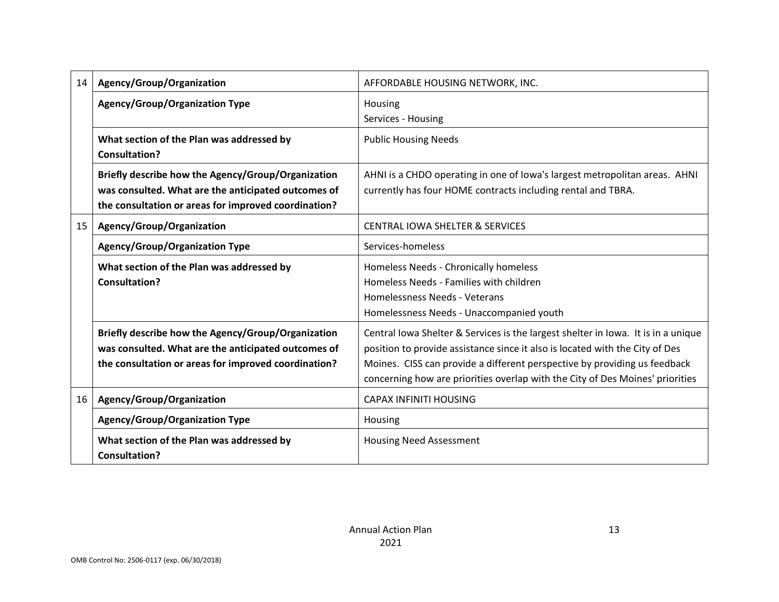| 14 | Agency/Group/Organization                                                                                                                                         | AFFORDABLE HOUSING NETWORK, INC.                                                                                                                                                                                                                                                                                                |  |  |
|----|-------------------------------------------------------------------------------------------------------------------------------------------------------------------|---------------------------------------------------------------------------------------------------------------------------------------------------------------------------------------------------------------------------------------------------------------------------------------------------------------------------------|--|--|
|    | <b>Agency/Group/Organization Type</b>                                                                                                                             | Housing<br>Services - Housing                                                                                                                                                                                                                                                                                                   |  |  |
|    | What section of the Plan was addressed by<br><b>Consultation?</b>                                                                                                 | <b>Public Housing Needs</b>                                                                                                                                                                                                                                                                                                     |  |  |
|    | Briefly describe how the Agency/Group/Organization<br>was consulted. What are the anticipated outcomes of<br>the consultation or areas for improved coordination? | AHNI is a CHDO operating in one of Iowa's largest metropolitan areas. AHNI<br>currently has four HOME contracts including rental and TBRA.                                                                                                                                                                                      |  |  |
| 15 | Agency/Group/Organization                                                                                                                                         | <b>CENTRAL IOWA SHELTER &amp; SERVICES</b>                                                                                                                                                                                                                                                                                      |  |  |
|    | <b>Agency/Group/Organization Type</b>                                                                                                                             | Services-homeless                                                                                                                                                                                                                                                                                                               |  |  |
|    | What section of the Plan was addressed by<br><b>Consultation?</b>                                                                                                 | Homeless Needs - Chronically homeless<br>Homeless Needs - Families with children<br>Homelessness Needs - Veterans<br>Homelessness Needs - Unaccompanied youth                                                                                                                                                                   |  |  |
|    | Briefly describe how the Agency/Group/Organization<br>was consulted. What are the anticipated outcomes of<br>the consultation or areas for improved coordination? | Central Iowa Shelter & Services is the largest shelter in Iowa. It is in a unique<br>position to provide assistance since it also is located with the City of Des<br>Moines. CISS can provide a different perspective by providing us feedback<br>concerning how are priorities overlap with the City of Des Moines' priorities |  |  |
| 16 | Agency/Group/Organization                                                                                                                                         | <b>CAPAX INFINITI HOUSING</b>                                                                                                                                                                                                                                                                                                   |  |  |
|    | <b>Agency/Group/Organization Type</b>                                                                                                                             | Housing                                                                                                                                                                                                                                                                                                                         |  |  |
|    | What section of the Plan was addressed by<br><b>Consultation?</b>                                                                                                 | <b>Housing Need Assessment</b>                                                                                                                                                                                                                                                                                                  |  |  |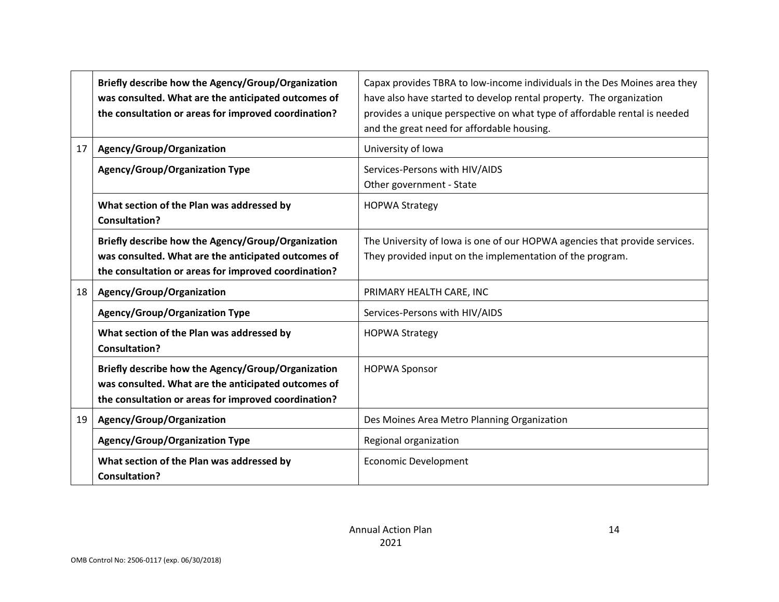|    | Briefly describe how the Agency/Group/Organization<br>was consulted. What are the anticipated outcomes of<br>the consultation or areas for improved coordination? | Capax provides TBRA to low-income individuals in the Des Moines area they<br>have also have started to develop rental property. The organization<br>provides a unique perspective on what type of affordable rental is needed<br>and the great need for affordable housing. |
|----|-------------------------------------------------------------------------------------------------------------------------------------------------------------------|-----------------------------------------------------------------------------------------------------------------------------------------------------------------------------------------------------------------------------------------------------------------------------|
| 17 | Agency/Group/Organization                                                                                                                                         | University of Iowa                                                                                                                                                                                                                                                          |
|    | <b>Agency/Group/Organization Type</b>                                                                                                                             | Services-Persons with HIV/AIDS<br>Other government - State                                                                                                                                                                                                                  |
|    | What section of the Plan was addressed by<br><b>Consultation?</b>                                                                                                 | <b>HOPWA Strategy</b>                                                                                                                                                                                                                                                       |
|    | Briefly describe how the Agency/Group/Organization<br>was consulted. What are the anticipated outcomes of<br>the consultation or areas for improved coordination? | The University of Iowa is one of our HOPWA agencies that provide services.<br>They provided input on the implementation of the program.                                                                                                                                     |
| 18 | Agency/Group/Organization                                                                                                                                         | PRIMARY HEALTH CARE, INC                                                                                                                                                                                                                                                    |
|    | <b>Agency/Group/Organization Type</b>                                                                                                                             | Services-Persons with HIV/AIDS                                                                                                                                                                                                                                              |
|    | What section of the Plan was addressed by<br><b>Consultation?</b>                                                                                                 | <b>HOPWA Strategy</b>                                                                                                                                                                                                                                                       |
|    | Briefly describe how the Agency/Group/Organization<br>was consulted. What are the anticipated outcomes of<br>the consultation or areas for improved coordination? | <b>HOPWA Sponsor</b>                                                                                                                                                                                                                                                        |
| 19 | Agency/Group/Organization                                                                                                                                         | Des Moines Area Metro Planning Organization                                                                                                                                                                                                                                 |
|    | <b>Agency/Group/Organization Type</b>                                                                                                                             | Regional organization                                                                                                                                                                                                                                                       |
|    | What section of the Plan was addressed by<br><b>Consultation?</b>                                                                                                 | <b>Economic Development</b>                                                                                                                                                                                                                                                 |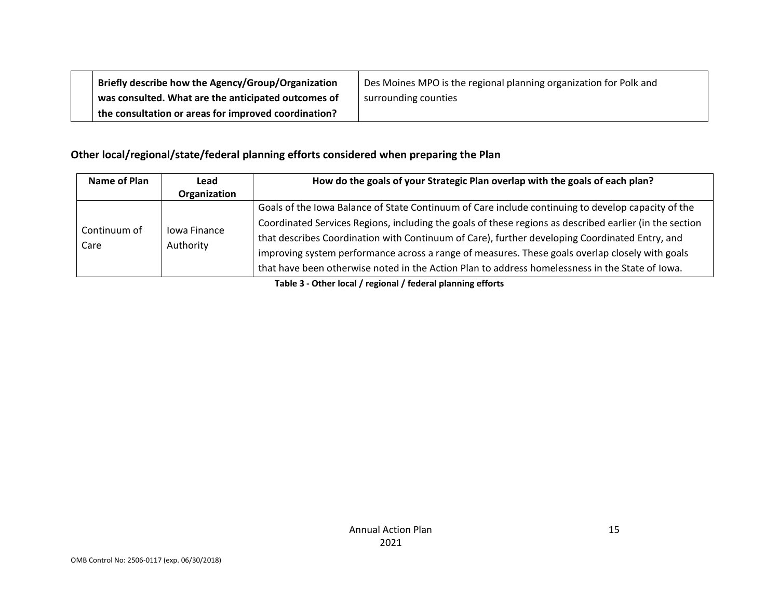| Briefly describe how the Agency/Group/Organization   | Des Moines MPO is the regional planning organization for Polk and |
|------------------------------------------------------|-------------------------------------------------------------------|
| was consulted. What are the anticipated outcomes of  | surrounding counties                                              |
| the consultation or areas for improved coordination? |                                                                   |

# **Other local/regional/state/federal planning efforts considered when preparing the Plan**

| Name of Plan         | Lead<br>Organization      | How do the goals of your Strategic Plan overlap with the goals of each plan?                                                                                                                                                                                                                                                                                                                                                                                                                                          |
|----------------------|---------------------------|-----------------------------------------------------------------------------------------------------------------------------------------------------------------------------------------------------------------------------------------------------------------------------------------------------------------------------------------------------------------------------------------------------------------------------------------------------------------------------------------------------------------------|
| Continuum of<br>Care | Jowa Finance<br>Authority | Goals of the Iowa Balance of State Continuum of Care include continuing to develop capacity of the<br>Coordinated Services Regions, including the goals of these regions as described earlier (in the section<br>that describes Coordination with Continuum of Care), further developing Coordinated Entry, and<br>improving system performance across a range of measures. These goals overlap closely with goals<br>that have been otherwise noted in the Action Plan to address homelessness in the State of Iowa. |

**Table 3 - Other local / regional / federal planning efforts**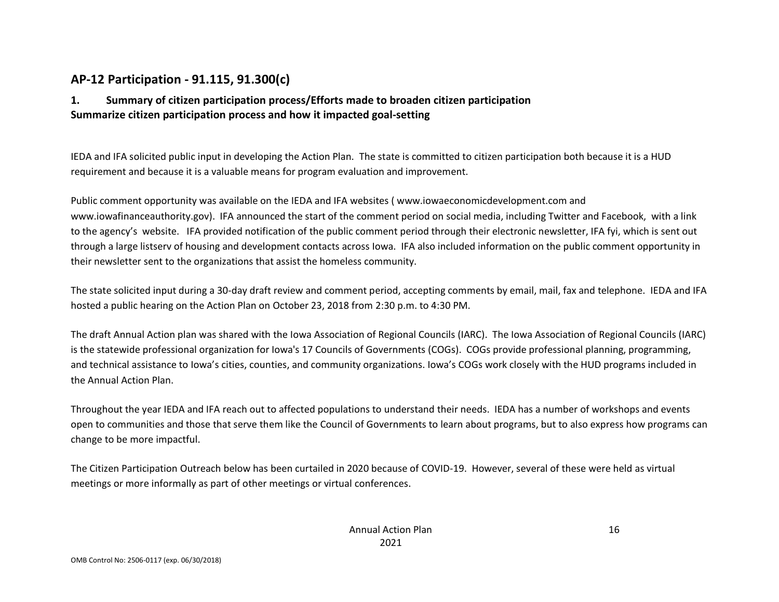### **AP-12 Participation - 91.115, 91.300(c)**

### **1. Summary of citizen participation process/Efforts made to broaden citizen participation Summarize citizen participation process and how it impacted goal-setting**

IEDA and IFA solicited public input in developing the Action Plan. The state is committed to citizen participation both because it is a HUD requirement and because it is a valuable means for program evaluation and improvement.

Public comment opportunity was available on the IEDA and IFA websites ( www.iowaeconomicdevelopment.com and www.iowafinanceauthority.gov). IFA announced the start of the comment period on social media, including Twitter and Facebook, with a link to the agency's website. IFA provided notification of the public comment period through their electronic newsletter, IFA fyi, which is sent out through a large listserv of housing and development contacts across Iowa. IFA also included information on the public comment opportunity in their newsletter sent to the organizations that assist the homeless community.

The state solicited input during a 30-day draft review and comment period, accepting comments by email, mail, fax and telephone. IEDA and IFA hosted a public hearing on the Action Plan on October 23, 2018 from 2:30 p.m. to 4:30 PM.

The draft Annual Action plan was shared with the Iowa Association of Regional Councils (IARC). The Iowa Association of Regional Councils (IARC) is the statewide professional organization for Iowa's 17 Councils of Governments (COGs). COGs provide professional planning, programming, and technical assistance to Iowa's cities, counties, and community organizations. Iowa's COGs work closely with the HUD programs included in the Annual Action Plan.

Throughout the year IEDA and IFA reach out to affected populations to understand their needs. IEDA has a number of workshops and events open to communities and those that serve them like the Council of Governments to learn about programs, but to also express how programs can change to be more impactful.

The Citizen Participation Outreach below has been curtailed in 2020 because of COVID-19. However, several of these were held as virtual meetings or more informally as part of other meetings or virtual conferences.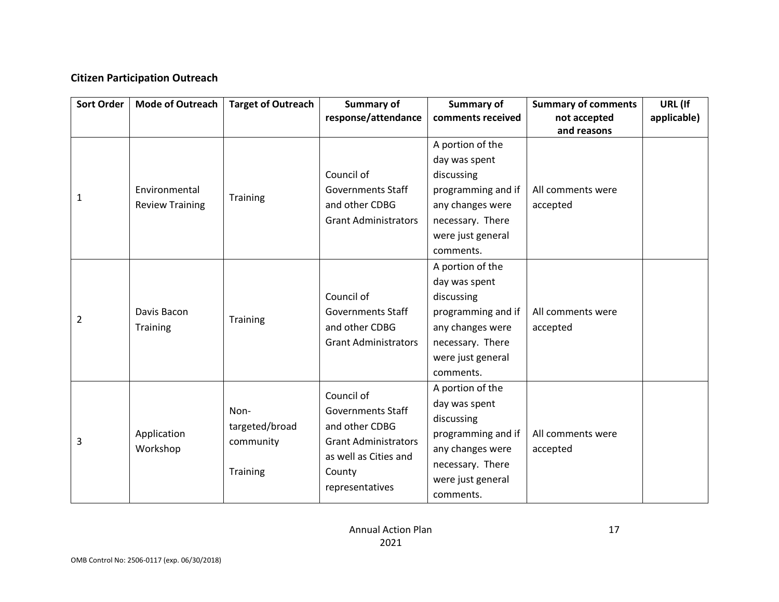### **Citizen Participation Outreach**

| <b>Sort Order</b> | <b>Mode of Outreach</b>                 | <b>Target of Outreach</b>                              | <b>Summary of</b><br>response/attendance                                                                                                      | Summary of<br>comments received                                                                                                                 | <b>Summary of comments</b><br>not accepted<br>and reasons | URL (If<br>applicable) |
|-------------------|-----------------------------------------|--------------------------------------------------------|-----------------------------------------------------------------------------------------------------------------------------------------------|-------------------------------------------------------------------------------------------------------------------------------------------------|-----------------------------------------------------------|------------------------|
| 1                 | Environmental<br><b>Review Training</b> | Training                                               | Council of<br><b>Governments Staff</b><br>and other CDBG<br><b>Grant Administrators</b>                                                       | A portion of the<br>day was spent<br>discussing<br>programming and if<br>any changes were<br>necessary. There<br>were just general<br>comments. | All comments were<br>accepted                             |                        |
| 2                 | Davis Bacon<br>Training                 | Training                                               | Council of<br><b>Governments Staff</b><br>and other CDBG<br><b>Grant Administrators</b>                                                       | A portion of the<br>day was spent<br>discussing<br>programming and if<br>any changes were<br>necessary. There<br>were just general<br>comments. | All comments were<br>accepted                             |                        |
| 3                 | Application<br>Workshop                 | Non-<br>targeted/broad<br>community<br><b>Training</b> | Council of<br><b>Governments Staff</b><br>and other CDBG<br><b>Grant Administrators</b><br>as well as Cities and<br>County<br>representatives | A portion of the<br>day was spent<br>discussing<br>programming and if<br>any changes were<br>necessary. There<br>were just general<br>comments. | All comments were<br>accepted                             |                        |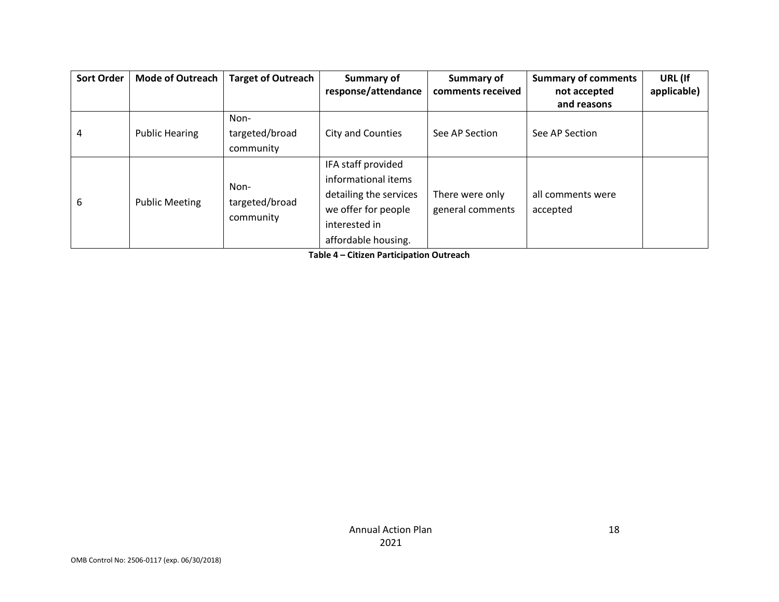| <b>Sort Order</b> | <b>Mode of Outreach</b> | <b>Target of Outreach</b>           | Summary of<br>response/attendance                                                                                                  | Summary of<br>comments received     | <b>Summary of comments</b><br>not accepted<br>and reasons | URL (If<br>applicable) |
|-------------------|-------------------------|-------------------------------------|------------------------------------------------------------------------------------------------------------------------------------|-------------------------------------|-----------------------------------------------------------|------------------------|
| 4                 | <b>Public Hearing</b>   | Non-<br>targeted/broad<br>community | City and Counties                                                                                                                  | See AP Section                      | See AP Section                                            |                        |
| 6                 | <b>Public Meeting</b>   | Non-<br>targeted/broad<br>community | IFA staff provided<br>informational items<br>detailing the services<br>we offer for people<br>interested in<br>affordable housing. | There were only<br>general comments | all comments were<br>accepted                             |                        |

**Table 4 – Citizen Participation Outreach**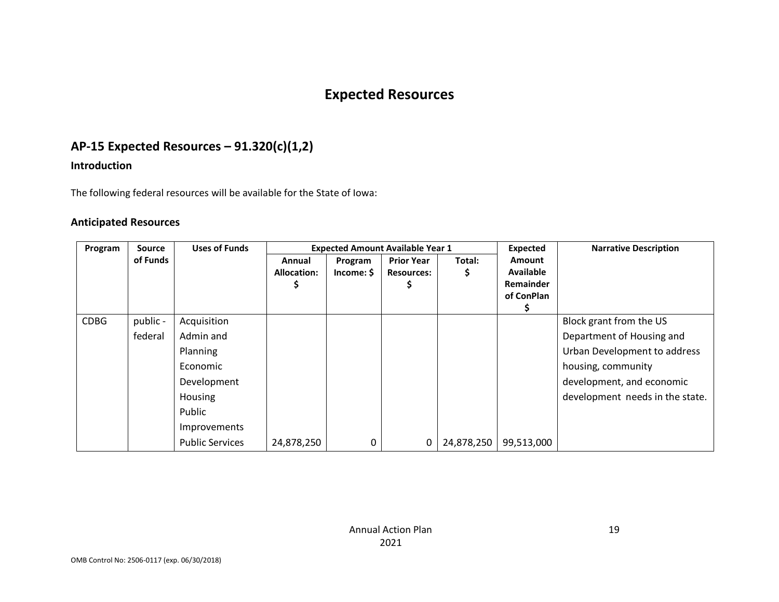# **Expected Resources**

# **AP-15 Expected Resources – 91.320(c)(1,2)**

### **Introduction**

The following federal resources will be available for the State of Iowa:

### **Anticipated Resources**

| Program     | <b>Source</b> | <b>Uses of Funds</b>   |                              |                       | <b>Expected Amount Available Year 1</b> |             | Expected                                                            | <b>Narrative Description</b>    |
|-------------|---------------|------------------------|------------------------------|-----------------------|-----------------------------------------|-------------|---------------------------------------------------------------------|---------------------------------|
|             | of Funds      |                        | Annual<br><b>Allocation:</b> | Program<br>Income: \$ | <b>Prior Year</b><br><b>Resources:</b>  | Total:<br>Ş | <b>Amount</b><br><b>Available</b><br><b>Remainder</b><br>of ConPlan |                                 |
| <b>CDBG</b> | public -      | Acquisition            |                              |                       |                                         |             |                                                                     | Block grant from the US         |
|             | federal       | Admin and              |                              |                       |                                         |             |                                                                     | Department of Housing and       |
|             |               | Planning               |                              |                       |                                         |             |                                                                     | Urban Development to address    |
|             |               | Economic               |                              |                       |                                         |             |                                                                     | housing, community              |
|             |               | Development            |                              |                       |                                         |             |                                                                     | development, and economic       |
|             |               | Housing                |                              |                       |                                         |             |                                                                     | development needs in the state. |
|             |               | Public                 |                              |                       |                                         |             |                                                                     |                                 |
|             |               | Improvements           |                              |                       |                                         |             |                                                                     |                                 |
|             |               | <b>Public Services</b> | 24,878,250                   | 0                     | 0                                       | 24,878,250  | 99,513,000                                                          |                                 |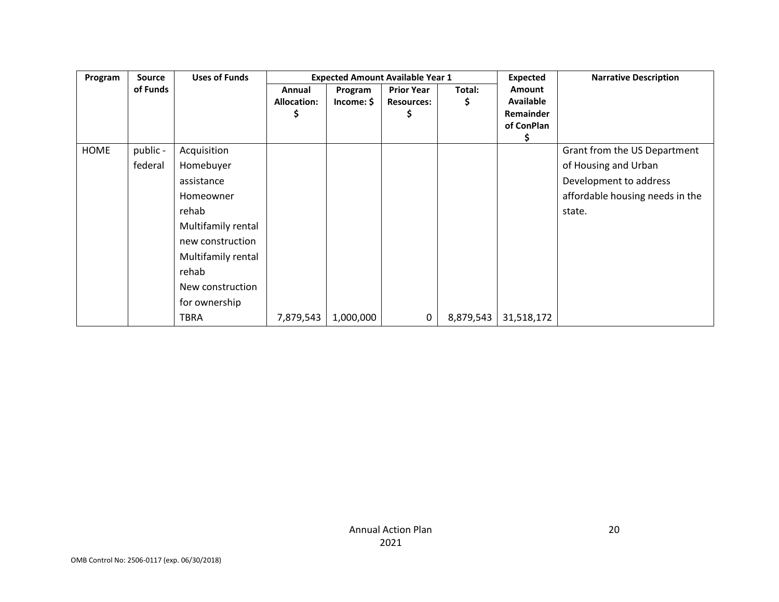| Program | <b>Source</b> | <b>Uses of Funds</b> |                                   |                       | <b>Expected Amount Available Year 1</b> |             | <b>Expected</b>                                       | <b>Narrative Description</b>    |
|---------|---------------|----------------------|-----------------------------------|-----------------------|-----------------------------------------|-------------|-------------------------------------------------------|---------------------------------|
|         | of Funds      |                      | Annual<br><b>Allocation:</b><br>Ş | Program<br>Income: \$ | <b>Prior Year</b><br><b>Resources:</b>  | Total:<br>Ş | Amount<br>Available<br><b>Remainder</b><br>of ConPlan |                                 |
| HOME    | public -      | Acquisition          |                                   |                       |                                         |             |                                                       | Grant from the US Department    |
|         | federal       | Homebuyer            |                                   |                       |                                         |             |                                                       | of Housing and Urban            |
|         |               | assistance           |                                   |                       |                                         |             |                                                       | Development to address          |
|         |               | Homeowner            |                                   |                       |                                         |             |                                                       | affordable housing needs in the |
|         |               | rehab                |                                   |                       |                                         |             |                                                       | state.                          |
|         |               | Multifamily rental   |                                   |                       |                                         |             |                                                       |                                 |
|         |               | new construction     |                                   |                       |                                         |             |                                                       |                                 |
|         |               | Multifamily rental   |                                   |                       |                                         |             |                                                       |                                 |
|         |               | rehab                |                                   |                       |                                         |             |                                                       |                                 |
|         |               | New construction     |                                   |                       |                                         |             |                                                       |                                 |
|         |               | for ownership        |                                   |                       |                                         |             |                                                       |                                 |
|         |               | TBRA                 | 7,879,543                         | 1,000,000             | 0                                       | 8,879,543   | 31,518,172                                            |                                 |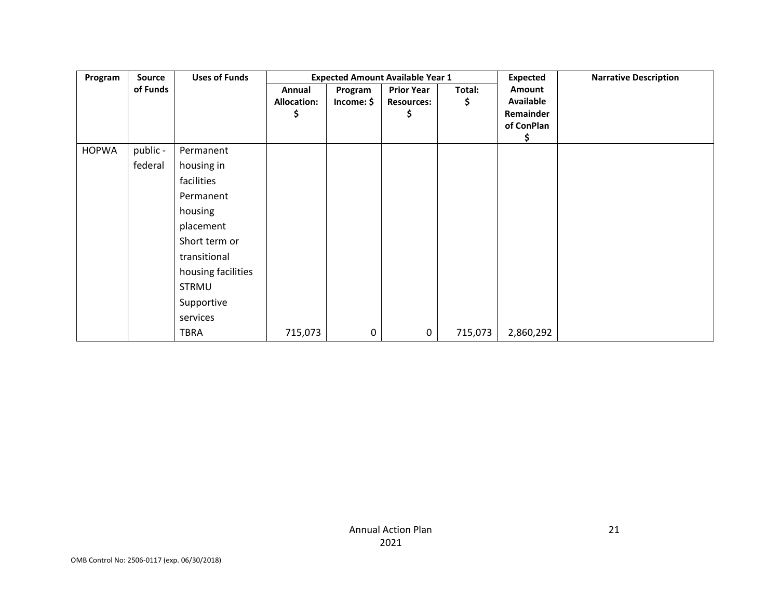| Program      | Source   | <b>Uses of Funds</b> |                                     |                       | <b>Expected Amount Available Year 1</b>     |              | <b>Expected</b>                                | <b>Narrative Description</b> |
|--------------|----------|----------------------|-------------------------------------|-----------------------|---------------------------------------------|--------------|------------------------------------------------|------------------------------|
|              | of Funds |                      | Annual<br><b>Allocation:</b><br>\$. | Program<br>Income: \$ | <b>Prior Year</b><br><b>Resources:</b><br>S | Total:<br>\$ | Amount<br>Available<br>Remainder<br>of ConPlan |                              |
| <b>HOPWA</b> | public - | Permanent            |                                     |                       |                                             |              |                                                |                              |
|              | federal  | housing in           |                                     |                       |                                             |              |                                                |                              |
|              |          | facilities           |                                     |                       |                                             |              |                                                |                              |
|              |          | Permanent            |                                     |                       |                                             |              |                                                |                              |
|              |          | housing              |                                     |                       |                                             |              |                                                |                              |
|              |          | placement            |                                     |                       |                                             |              |                                                |                              |
|              |          | Short term or        |                                     |                       |                                             |              |                                                |                              |
|              |          | transitional         |                                     |                       |                                             |              |                                                |                              |
|              |          | housing facilities   |                                     |                       |                                             |              |                                                |                              |
|              |          | <b>STRMU</b>         |                                     |                       |                                             |              |                                                |                              |
|              |          | Supportive           |                                     |                       |                                             |              |                                                |                              |
|              |          | services             |                                     |                       |                                             |              |                                                |                              |
|              |          | <b>TBRA</b>          | 715,073                             | 0                     | 0                                           | 715,073      | 2,860,292                                      |                              |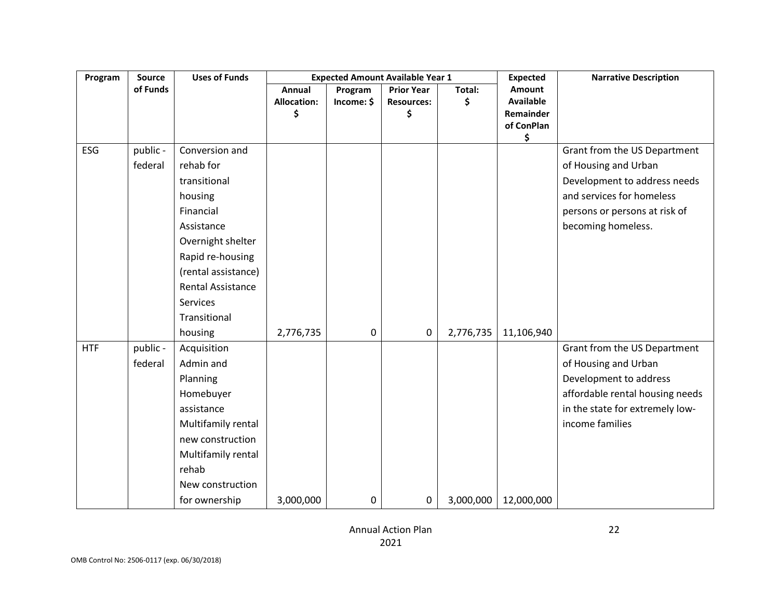| Program    | <b>Source</b> | <b>Uses of Funds</b>     |                          |            | <b>Expected Amount Available Year 1</b> |           | <b>Expected</b>               | <b>Narrative Description</b>    |
|------------|---------------|--------------------------|--------------------------|------------|-----------------------------------------|-----------|-------------------------------|---------------------------------|
|            | of Funds      |                          | Annual                   | Program    | <b>Prior Year</b>                       | Total:    | Amount                        |                                 |
|            |               |                          | <b>Allocation:</b><br>\$ | Income: \$ | <b>Resources:</b><br>\$                 | \$        | <b>Available</b><br>Remainder |                                 |
|            |               |                          |                          |            |                                         |           | of ConPlan                    |                                 |
|            |               |                          |                          |            |                                         |           | \$                            |                                 |
| ESG        | public -      | Conversion and           |                          |            |                                         |           |                               | Grant from the US Department    |
|            | federal       | rehab for                |                          |            |                                         |           |                               | of Housing and Urban            |
|            |               | transitional             |                          |            |                                         |           |                               | Development to address needs    |
|            |               | housing                  |                          |            |                                         |           |                               | and services for homeless       |
|            |               | Financial                |                          |            |                                         |           |                               | persons or persons at risk of   |
|            |               | Assistance               |                          |            |                                         |           |                               | becoming homeless.              |
|            |               | Overnight shelter        |                          |            |                                         |           |                               |                                 |
|            |               | Rapid re-housing         |                          |            |                                         |           |                               |                                 |
|            |               | (rental assistance)      |                          |            |                                         |           |                               |                                 |
|            |               | <b>Rental Assistance</b> |                          |            |                                         |           |                               |                                 |
|            |               | <b>Services</b>          |                          |            |                                         |           |                               |                                 |
|            |               | Transitional             |                          |            |                                         |           |                               |                                 |
|            |               | housing                  | 2,776,735                | 0          | 0                                       | 2,776,735 | 11,106,940                    |                                 |
| <b>HTF</b> | public -      | Acquisition              |                          |            |                                         |           |                               | Grant from the US Department    |
|            | federal       | Admin and                |                          |            |                                         |           |                               | of Housing and Urban            |
|            |               | Planning                 |                          |            |                                         |           |                               | Development to address          |
|            |               | Homebuyer                |                          |            |                                         |           |                               | affordable rental housing needs |
|            |               | assistance               |                          |            |                                         |           |                               | in the state for extremely low- |
|            |               | Multifamily rental       |                          |            |                                         |           |                               | income families                 |
|            |               | new construction         |                          |            |                                         |           |                               |                                 |
|            |               | Multifamily rental       |                          |            |                                         |           |                               |                                 |
|            |               | rehab                    |                          |            |                                         |           |                               |                                 |
|            |               | New construction         |                          |            |                                         |           |                               |                                 |
|            |               | for ownership            | 3,000,000                | 0          | 0                                       | 3,000,000 | 12,000,000                    |                                 |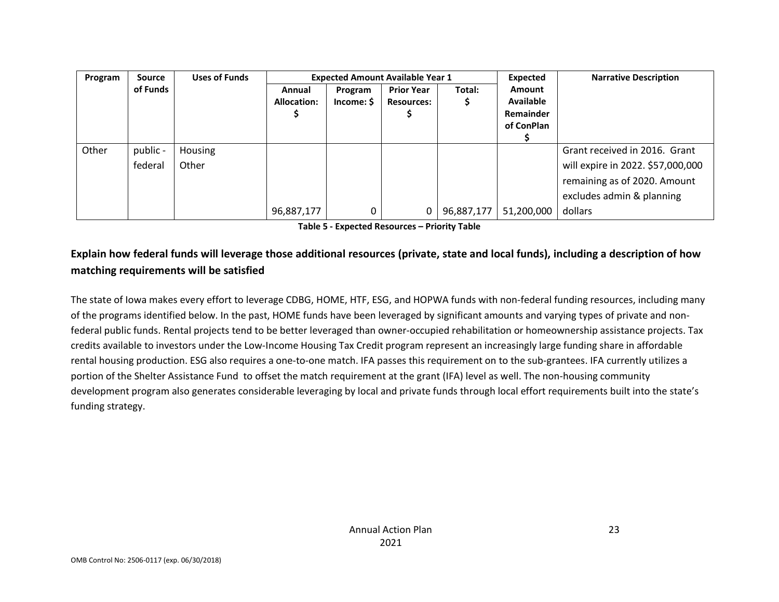| Program | Source   | <b>Uses of Funds</b> |                       |                       | <b>Expected Amount Available Year 1</b> |            | Expected                                              | <b>Narrative Description</b>      |
|---------|----------|----------------------|-----------------------|-----------------------|-----------------------------------------|------------|-------------------------------------------------------|-----------------------------------|
|         | of Funds |                      | Annual<br>Allocation: | Program<br>Income: \$ | <b>Prior Year</b><br><b>Resources:</b>  | Total:     | Amount<br><b>Available</b><br>Remainder<br>of ConPlan |                                   |
| Other   | public - | Housing              |                       |                       |                                         |            |                                                       | Grant received in 2016. Grant     |
|         | federal  | Other                |                       |                       |                                         |            |                                                       | will expire in 2022. \$57,000,000 |
|         |          |                      |                       |                       |                                         |            |                                                       | remaining as of 2020. Amount      |
|         |          |                      |                       |                       |                                         |            |                                                       | excludes admin & planning         |
|         |          |                      | 96,887,177            | 0                     | 0                                       | 96,887,177 | 51,200,000                                            | dollars                           |

**Table 5 - Expected Resources – Priority Table**

### **Explain how federal funds will leverage those additional resources (private, state and local funds), including a description of how matching requirements will be satisfied**

The state of Iowa makes every effort to leverage CDBG, HOME, HTF, ESG, and HOPWA funds with non-federal funding resources, including many of the programs identified below. In the past, HOME funds have been leveraged by significant amounts and varying types of private and nonfederal public funds. Rental projects tend to be better leveraged than owner-occupied rehabilitation or homeownership assistance projects. Tax credits available to investors under the Low-Income Housing Tax Credit program represent an increasingly large funding share in affordable rental housing production. ESG also requires a one-to-one match. IFA passes this requirement on to the sub-grantees. IFA currently utilizes a portion of the Shelter Assistance Fund to offset the match requirement at the grant (IFA) level as well. The non-housing community development program also generates considerable leveraging by local and private funds through local effort requirements built into the state's funding strategy.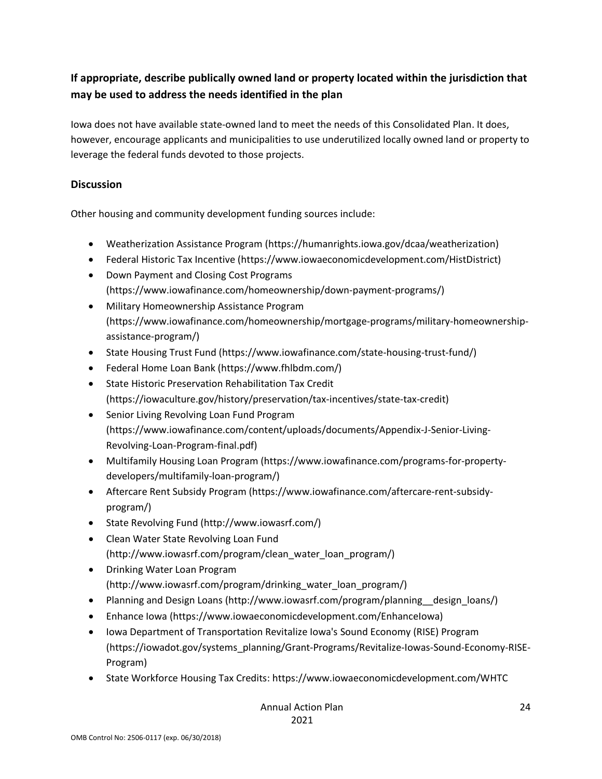### **If appropriate, describe publically owned land or property located within the jurisdiction that may be used to address the needs identified in the plan**

Iowa does not have available state-owned land to meet the needs of this Consolidated Plan. It does, however, encourage applicants and municipalities to use underutilized locally owned land or property to leverage the federal funds devoted to those projects.

### **Discussion**

Other housing and community development funding sources include:

- Weatherization Assistance Program (https://humanrights.iowa.gov/dcaa/weatherization)
- Federal Historic Tax Incentive (https://www.iowaeconomicdevelopment.com/HistDistrict)
- Down Payment and Closing Cost Programs (https://www.iowafinance.com/homeownership/down-payment-programs/)
- Military Homeownership Assistance Program (https://www.iowafinance.com/homeownership/mortgage-programs/military-homeownershipassistance-program/)
- State Housing Trust Fund (https://www.iowafinance.com/state-housing-trust-fund/)
- Federal Home Loan Bank (https://www.fhlbdm.com/)
- State Historic Preservation Rehabilitation Tax Credit (https://iowaculture.gov/history/preservation/tax-incentives/state-tax-credit)
- Senior Living Revolving Loan Fund Program (https://www.iowafinance.com/content/uploads/documents/Appendix-J-Senior-Living-Revolving-Loan-Program-final.pdf)
- Multifamily Housing Loan Program (https://www.iowafinance.com/programs-for-propertydevelopers/multifamily-loan-program/)
- Aftercare Rent Subsidy Program (https://www.iowafinance.com/aftercare-rent-subsidyprogram/)
- State Revolving Fund (http://www.iowasrf.com/)
- Clean Water State Revolving Loan Fund (http://www.iowasrf.com/program/clean\_water\_loan\_program/)
- Drinking Water Loan Program (http://www.iowasrf.com/program/drinking\_water\_loan\_program/)
- Planning and Design Loans (http://www.iowasrf.com/program/planning \_\_design\_loans/)
- Enhance Iowa (https://www.iowaeconomicdevelopment.com/EnhanceIowa)
- Iowa Department of Transportation Revitalize Iowa's Sound Economy (RISE) Program (https://iowadot.gov/systems\_planning/Grant-Programs/Revitalize-Iowas-Sound-Economy-RISE-Program)
- State Workforce Housing Tax Credits: https://www.iowaeconomicdevelopment.com/WHTC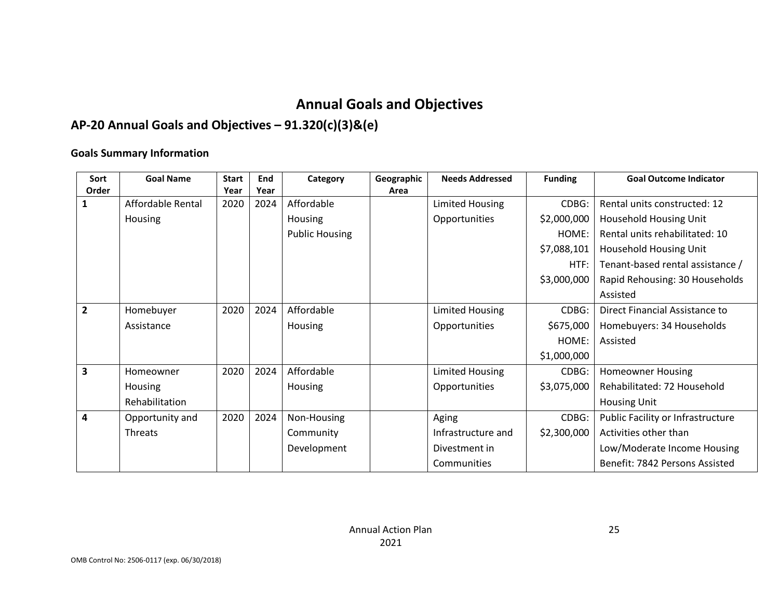# **Annual Goals and Objectives**

# **AP-20 Annual Goals and Objectives – 91.320(c)(3)&(e)**

### **Goals Summary Information**

| Sort                    | <b>Goal Name</b>  | <b>Start</b> | End  | Category              | Geographic | <b>Needs Addressed</b> | <b>Funding</b> | <b>Goal Outcome Indicator</b>     |
|-------------------------|-------------------|--------------|------|-----------------------|------------|------------------------|----------------|-----------------------------------|
| Order                   |                   | Year         | Year |                       | Area       |                        |                |                                   |
| 1                       | Affordable Rental | 2020         | 2024 | Affordable            |            | <b>Limited Housing</b> | CDBG:          | Rental units constructed: 12      |
|                         | Housing           |              |      | Housing               |            | Opportunities          | \$2,000,000    | Household Housing Unit            |
|                         |                   |              |      | <b>Public Housing</b> |            |                        | HOME:          | Rental units rehabilitated: 10    |
|                         |                   |              |      |                       |            |                        | \$7,088,101    | Household Housing Unit            |
|                         |                   |              |      |                       |            |                        | HTF:           | Tenant-based rental assistance /  |
|                         |                   |              |      |                       |            |                        | \$3,000,000    | Rapid Rehousing: 30 Households    |
|                         |                   |              |      |                       |            |                        |                | Assisted                          |
| $\overline{2}$          | Homebuyer         | 2020         | 2024 | Affordable            |            | Limited Housing        | CDBG:          | Direct Financial Assistance to    |
|                         | Assistance        |              |      | Housing               |            | Opportunities          | \$675,000      | Homebuyers: 34 Households         |
|                         |                   |              |      |                       |            |                        | HOME:          | Assisted                          |
|                         |                   |              |      |                       |            |                        | \$1,000,000    |                                   |
| $\overline{\mathbf{3}}$ | Homeowner         | 2020         | 2024 | Affordable            |            | <b>Limited Housing</b> | CDBG:          | <b>Homeowner Housing</b>          |
|                         | Housing           |              |      | Housing               |            | Opportunities          | \$3,075,000    | Rehabilitated: 72 Household       |
|                         | Rehabilitation    |              |      |                       |            |                        |                | <b>Housing Unit</b>               |
| 4                       | Opportunity and   | 2020         | 2024 | Non-Housing           |            | Aging                  | CDBG:          | Public Facility or Infrastructure |
|                         | <b>Threats</b>    |              |      | Community             |            | Infrastructure and     | \$2,300,000    | Activities other than             |
|                         |                   |              |      | Development           |            | Divestment in          |                | Low/Moderate Income Housing       |
|                         |                   |              |      |                       |            | Communities            |                | Benefit: 7842 Persons Assisted    |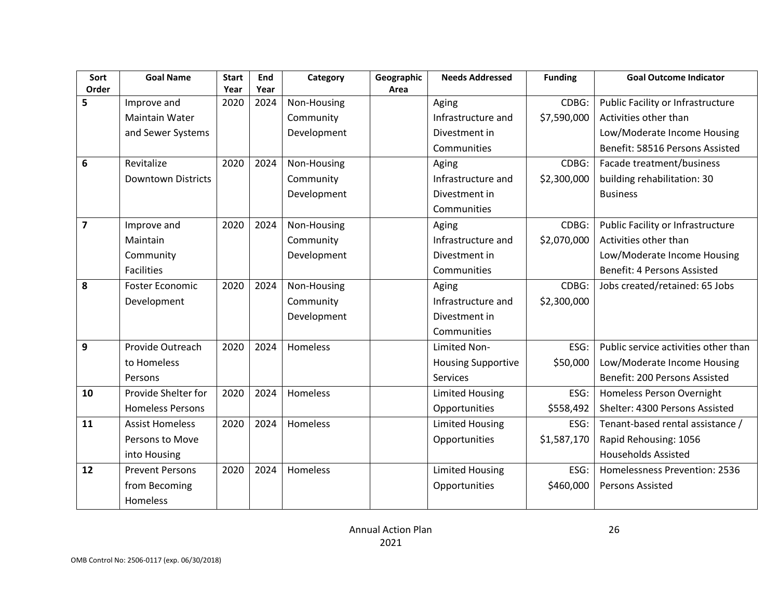| Sort           | <b>Goal Name</b>          | <b>Start</b> | End  | Category    | Geographic | <b>Needs Addressed</b>    | <b>Funding</b> | <b>Goal Outcome Indicator</b>        |
|----------------|---------------------------|--------------|------|-------------|------------|---------------------------|----------------|--------------------------------------|
| Order          |                           | Year         | Year |             | Area       |                           |                |                                      |
| 5              | Improve and               | 2020         | 2024 | Non-Housing |            | Aging                     | CDBG:          | Public Facility or Infrastructure    |
|                | <b>Maintain Water</b>     |              |      | Community   |            | Infrastructure and        | \$7,590,000    | Activities other than                |
|                | and Sewer Systems         |              |      | Development |            | Divestment in             |                | Low/Moderate Income Housing          |
|                |                           |              |      |             |            | Communities               |                | Benefit: 58516 Persons Assisted      |
| 6              | Revitalize                | 2020         | 2024 | Non-Housing |            | Aging                     | CDBG:          | Facade treatment/business            |
|                | <b>Downtown Districts</b> |              |      | Community   |            | Infrastructure and        | \$2,300,000    | building rehabilitation: 30          |
|                |                           |              |      | Development |            | Divestment in             |                | <b>Business</b>                      |
|                |                           |              |      |             |            | Communities               |                |                                      |
| $\overline{7}$ | Improve and               | 2020         | 2024 | Non-Housing |            | Aging                     | CDBG:          | Public Facility or Infrastructure    |
|                | Maintain                  |              |      | Community   |            | Infrastructure and        | \$2,070,000    | Activities other than                |
|                | Community                 |              |      | Development |            | Divestment in             |                | Low/Moderate Income Housing          |
|                | <b>Facilities</b>         |              |      |             |            | Communities               |                | Benefit: 4 Persons Assisted          |
| 8              | <b>Foster Economic</b>    | 2020         | 2024 | Non-Housing |            | Aging                     | CDBG:          | Jobs created/retained: 65 Jobs       |
|                | Development               |              |      | Community   |            | Infrastructure and        | \$2,300,000    |                                      |
|                |                           |              |      | Development |            | Divestment in             |                |                                      |
|                |                           |              |      |             |            | Communities               |                |                                      |
| 9              | Provide Outreach          | 2020         | 2024 | Homeless    |            | Limited Non-              | ESG:           | Public service activities other than |
|                | to Homeless               |              |      |             |            | <b>Housing Supportive</b> | \$50,000       | Low/Moderate Income Housing          |
|                | Persons                   |              |      |             |            | Services                  |                | Benefit: 200 Persons Assisted        |
| 10             | Provide Shelter for       | 2020         | 2024 | Homeless    |            | <b>Limited Housing</b>    | ESG:           | Homeless Person Overnight            |
|                | <b>Homeless Persons</b>   |              |      |             |            | Opportunities             | \$558,492      | Shelter: 4300 Persons Assisted       |
| 11             | <b>Assist Homeless</b>    | 2020         | 2024 | Homeless    |            | <b>Limited Housing</b>    | ESG:           | Tenant-based rental assistance /     |
|                | Persons to Move           |              |      |             |            | Opportunities             | \$1,587,170    | Rapid Rehousing: 1056                |
|                | into Housing              |              |      |             |            |                           |                | <b>Households Assisted</b>           |
| 12             | <b>Prevent Persons</b>    | 2020         | 2024 | Homeless    |            | <b>Limited Housing</b>    | ESG:           | Homelessness Prevention: 2536        |
|                | from Becoming             |              |      |             |            | Opportunities             | \$460,000      | Persons Assisted                     |
|                | Homeless                  |              |      |             |            |                           |                |                                      |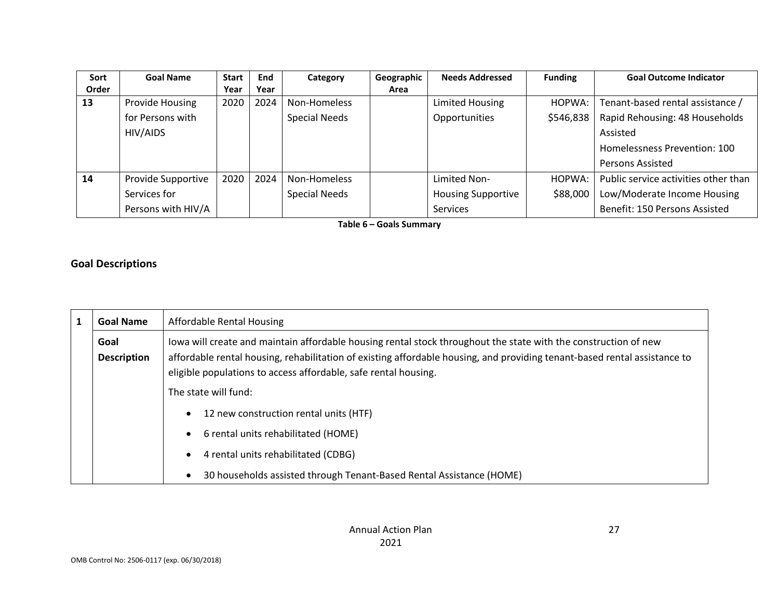| Sort  | <b>Goal Name</b>   | <b>Start</b> | End  | Category             | Geographic | <b>Needs Addressed</b>    | <b>Funding</b> | <b>Goal Outcome Indicator</b>        |
|-------|--------------------|--------------|------|----------------------|------------|---------------------------|----------------|--------------------------------------|
| Order |                    | Year         | Year |                      | Area       |                           |                |                                      |
| 13    | Provide Housing    | 2020         | 2024 | Non-Homeless         |            | <b>Limited Housing</b>    | HOPWA:         | Tenant-based rental assistance /     |
|       | for Persons with   |              |      | <b>Special Needs</b> |            | Opportunities             | \$546,838      | Rapid Rehousing: 48 Households       |
|       | HIV/AIDS           |              |      |                      |            |                           |                | Assisted                             |
|       |                    |              |      |                      |            |                           |                | Homelessness Prevention: 100         |
|       |                    |              |      |                      |            |                           |                | Persons Assisted                     |
| 14    | Provide Supportive | 2020         | 2024 | Non-Homeless         |            | Limited Non-              | HOPWA:         | Public service activities other than |
|       | Services for       |              |      | <b>Special Needs</b> |            | <b>Housing Supportive</b> | \$88,000       | Low/Moderate Income Housing          |
|       | Persons with HIV/A |              |      |                      |            | Services                  |                | Benefit: 150 Persons Assisted        |

**Table 6 – Goals Summary**

### **Goal Descriptions**

| <b>Goal Name</b>           | <b>Affordable Rental Housing</b>                                                                                                                                                                                                                                                                                |
|----------------------------|-----------------------------------------------------------------------------------------------------------------------------------------------------------------------------------------------------------------------------------------------------------------------------------------------------------------|
| Goal<br><b>Description</b> | lowa will create and maintain affordable housing rental stock throughout the state with the construction of new<br>affordable rental housing, rehabilitation of existing affordable housing, and providing tenant-based rental assistance to<br>eligible populations to access affordable, safe rental housing. |
|                            | The state will fund:                                                                                                                                                                                                                                                                                            |
|                            | 12 new construction rental units (HTF)                                                                                                                                                                                                                                                                          |
|                            | 6 rental units rehabilitated (HOME)                                                                                                                                                                                                                                                                             |
|                            | 4 rental units rehabilitated (CDBG)<br>$\bullet$                                                                                                                                                                                                                                                                |
|                            | 30 households assisted through Tenant-Based Rental Assistance (HOME)                                                                                                                                                                                                                                            |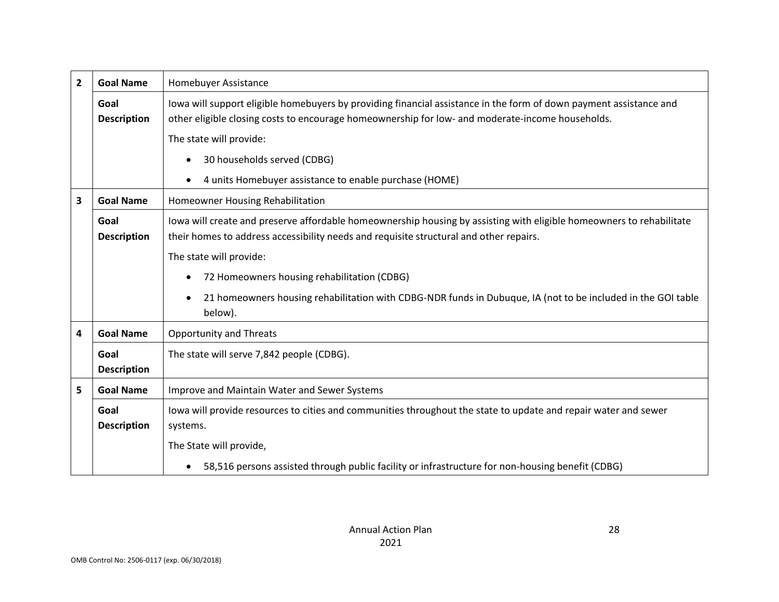| $\overline{2}$ | <b>Goal Name</b>           | Homebuyer Assistance                                                                                                                                                                                                   |
|----------------|----------------------------|------------------------------------------------------------------------------------------------------------------------------------------------------------------------------------------------------------------------|
|                | Goal<br><b>Description</b> | lowa will support eligible homebuyers by providing financial assistance in the form of down payment assistance and<br>other eligible closing costs to encourage homeownership for low- and moderate-income households. |
|                |                            | The state will provide:                                                                                                                                                                                                |
|                |                            | 30 households served (CDBG)                                                                                                                                                                                            |
|                |                            | 4 units Homebuyer assistance to enable purchase (HOME)                                                                                                                                                                 |
| 3              | <b>Goal Name</b>           | Homeowner Housing Rehabilitation                                                                                                                                                                                       |
|                | Goal<br><b>Description</b> | lowa will create and preserve affordable homeownership housing by assisting with eligible homeowners to rehabilitate<br>their homes to address accessibility needs and requisite structural and other repairs.         |
|                |                            | The state will provide:                                                                                                                                                                                                |
|                |                            | 72 Homeowners housing rehabilitation (CDBG)                                                                                                                                                                            |
|                |                            | 21 homeowners housing rehabilitation with CDBG-NDR funds in Dubuque, IA (not to be included in the GOI table<br>below).                                                                                                |
| 4              | <b>Goal Name</b>           | <b>Opportunity and Threats</b>                                                                                                                                                                                         |
|                | Goal<br><b>Description</b> | The state will serve 7,842 people (CDBG).                                                                                                                                                                              |
| 5              | <b>Goal Name</b>           | Improve and Maintain Water and Sewer Systems                                                                                                                                                                           |
|                | Goal<br><b>Description</b> | lowa will provide resources to cities and communities throughout the state to update and repair water and sewer<br>systems.                                                                                            |
|                |                            | The State will provide,                                                                                                                                                                                                |
|                |                            | 58,516 persons assisted through public facility or infrastructure for non-housing benefit (CDBG)                                                                                                                       |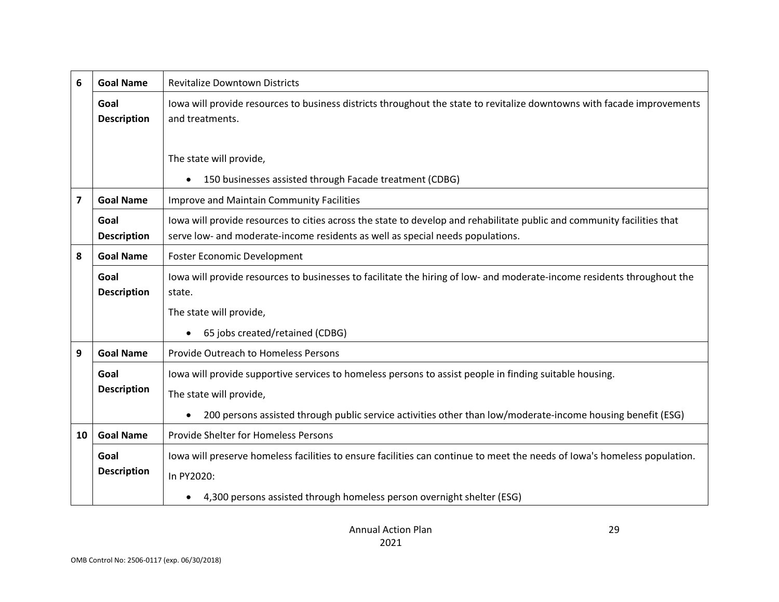| 6                       | <b>Goal Name</b>           | <b>Revitalize Downtown Districts</b>                                                                                                                                                                      |
|-------------------------|----------------------------|-----------------------------------------------------------------------------------------------------------------------------------------------------------------------------------------------------------|
|                         | Goal<br><b>Description</b> | lowa will provide resources to business districts throughout the state to revitalize downtowns with facade improvements<br>and treatments.                                                                |
|                         |                            | The state will provide,<br>150 businesses assisted through Facade treatment (CDBG)                                                                                                                        |
| $\overline{\mathbf{z}}$ | <b>Goal Name</b>           | Improve and Maintain Community Facilities                                                                                                                                                                 |
|                         | Goal<br><b>Description</b> | lowa will provide resources to cities across the state to develop and rehabilitate public and community facilities that<br>serve low- and moderate-income residents as well as special needs populations. |
| 8                       | <b>Goal Name</b>           | <b>Foster Economic Development</b>                                                                                                                                                                        |
|                         | Goal<br><b>Description</b> | lowa will provide resources to businesses to facilitate the hiring of low- and moderate-income residents throughout the<br>state.                                                                         |
|                         |                            | The state will provide,                                                                                                                                                                                   |
|                         |                            | 65 jobs created/retained (CDBG)                                                                                                                                                                           |
| 9                       | <b>Goal Name</b>           | Provide Outreach to Homeless Persons                                                                                                                                                                      |
|                         | Goal<br><b>Description</b> | lowa will provide supportive services to homeless persons to assist people in finding suitable housing.<br>The state will provide,                                                                        |
|                         |                            | 200 persons assisted through public service activities other than low/moderate-income housing benefit (ESG)                                                                                               |
| 10                      | <b>Goal Name</b>           | Provide Shelter for Homeless Persons                                                                                                                                                                      |
|                         | Goal<br><b>Description</b> | lowa will preserve homeless facilities to ensure facilities can continue to meet the needs of lowa's homeless population.<br>In PY2020:                                                                   |
|                         |                            | 4,300 persons assisted through homeless person overnight shelter (ESG)                                                                                                                                    |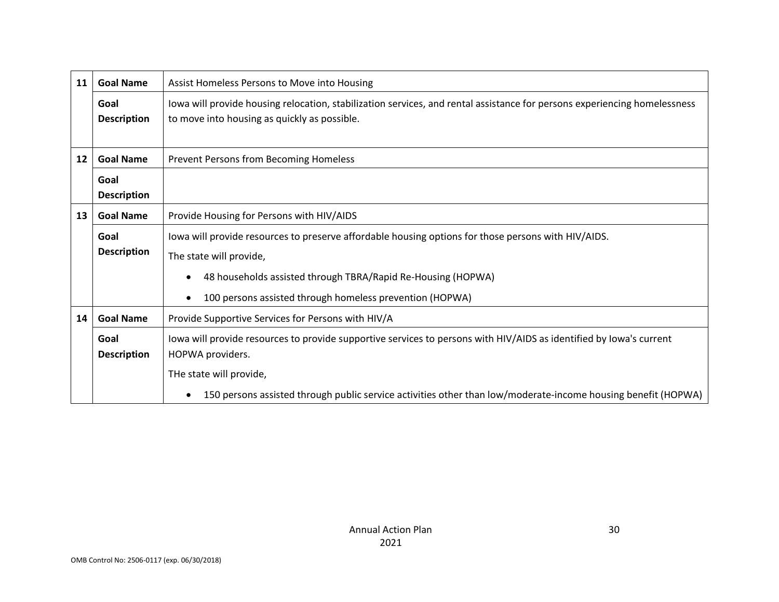| Goal<br><b>Description</b><br><b>Goal Name</b><br>Goal | lowa will provide housing relocation, stabilization services, and rental assistance for persons experiencing homelessness<br>to move into housing as quickly as possible.<br>Prevent Persons from Becoming Homeless                                                                 |
|--------------------------------------------------------|-------------------------------------------------------------------------------------------------------------------------------------------------------------------------------------------------------------------------------------------------------------------------------------|
|                                                        |                                                                                                                                                                                                                                                                                     |
|                                                        |                                                                                                                                                                                                                                                                                     |
| <b>Description</b>                                     |                                                                                                                                                                                                                                                                                     |
| <b>Goal Name</b>                                       | Provide Housing for Persons with HIV/AIDS                                                                                                                                                                                                                                           |
| Goal<br><b>Description</b>                             | lowa will provide resources to preserve affordable housing options for those persons with HIV/AIDS.<br>The state will provide,<br>48 households assisted through TBRA/Rapid Re-Housing (HOPWA)<br>100 persons assisted through homeless prevention (HOPWA)                          |
| <b>Goal Name</b>                                       | Provide Supportive Services for Persons with HIV/A                                                                                                                                                                                                                                  |
| Goal<br><b>Description</b>                             | lowa will provide resources to provide supportive services to persons with HIV/AIDS as identified by lowa's current<br>HOPWA providers.<br>THe state will provide,<br>150 persons assisted through public service activities other than low/moderate-income housing benefit (HOPWA) |
|                                                        |                                                                                                                                                                                                                                                                                     |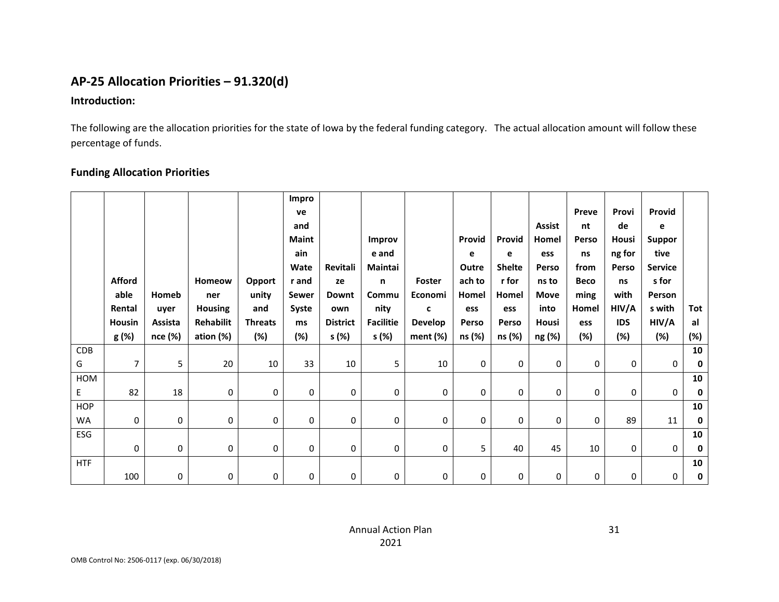# **AP-25 Allocation Priorities – 91.320(d)**

#### **Introduction:**

The following are the allocation priorities for the state of Iowa by the federal funding category. The actual allocation amount will follow these percentage of funds.

### **Funding Allocation Priorities**

|            |                |         |                  |                | Impro        |                 |                  |                |        |               |               |             |            |                |     |
|------------|----------------|---------|------------------|----------------|--------------|-----------------|------------------|----------------|--------|---------------|---------------|-------------|------------|----------------|-----|
|            |                |         |                  |                | ve           |                 |                  |                |        |               |               | Preve       | Provi      | Provid         |     |
|            |                |         |                  |                | and          |                 |                  |                |        |               | <b>Assist</b> | nt          | de         | e              |     |
|            |                |         |                  |                | <b>Maint</b> |                 | Improv           |                | Provid | Provid        | Homel         | Perso       | Housi      | <b>Suppor</b>  |     |
|            |                |         |                  |                | ain          |                 | e and            |                | e      | e             | ess           | ns          | ng for     | tive           |     |
|            |                |         |                  |                | Wate         | Revitali        | Maintai          |                | Outre  | <b>Shelte</b> | Perso         | from        | Perso      | <b>Service</b> |     |
|            | <b>Afford</b>  |         | Homeow           | <b>Opport</b>  | r and        | ze              | n                | Foster         | ach to | r for         | ns to         | <b>Beco</b> | ns         | s for          |     |
|            | able           | Homeb   | ner              | unity          | Sewer        | <b>Downt</b>    | Commu            | Economi        | Homel  | Homel         | <b>Move</b>   | ming        | with       | Person         |     |
|            | Rental         | uyer    | <b>Housing</b>   | and            | Syste        | own             | nity             | c              | ess    | ess           | into          | Homel       | HIV/A      | s with         | Tot |
|            | <b>Housin</b>  | Assista | <b>Rehabilit</b> | <b>Threats</b> | ms           | <b>District</b> | <b>Facilitie</b> | <b>Develop</b> | Perso  | Perso         | Housi         | ess         | <b>IDS</b> | HIV/A          | al  |
|            | g (%)          | nce (%) | ation (%)        | (%)            | (%)          | s (%)           | s (%)            | ment (%)       | ns (%) | ns (%)        | ng (%)        | $(\%)$      | (%)        | (%)            | (%) |
| CDB        |                |         |                  |                |              |                 |                  |                |        |               |               |             |            |                | 10  |
| G          | $\overline{7}$ | 5       | 20               | 10             | 33           | 10              | 5                | 10             | 0      | $\mathbf{0}$  | 0             | 0           | 0          | 0              | 0   |
| HOM        |                |         |                  |                |              |                 |                  |                |        |               |               |             |            |                | 10  |
| E.         | 82             | 18      | 0                | 0              | 0            | 0               | 0                | $\mathbf 0$    | 0      | $\mathbf 0$   | 0             | 0           | 0          | 0              | 0   |
| <b>HOP</b> |                |         |                  |                |              |                 |                  |                |        |               |               |             |            |                | 10  |
| WA         | 0              | 0       | 0                | 0              | 0            | 0               | 0                | 0              | 0      | 0             | 0             | $\mathbf 0$ | 89         | 11             | 0   |
| ESG        |                |         |                  |                |              |                 |                  |                |        |               |               |             |            |                | 10  |
|            | 0              | 0       | 0                | 0              | 0            | 0               | 0                | 0              | 5      | 40            | 45            | 10          | 0          | 0              | 0   |
| <b>HTF</b> |                |         |                  |                |              |                 |                  |                |        |               |               |             |            |                | 10  |
|            | 100            | 0       | 0                | 0              | 0            | 0               | 0                | 0              | 0      | 0             | 0             | 0           | 0          | 0              | 0   |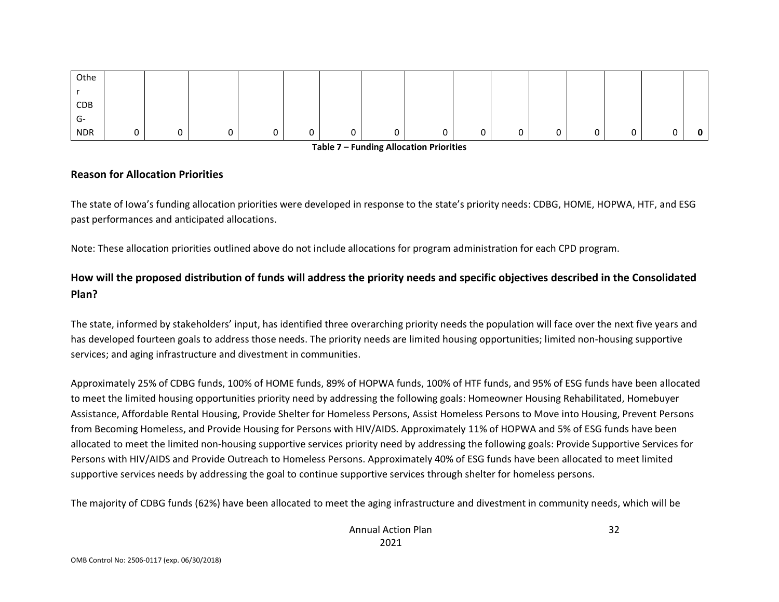| Othe       |  |  |   |   |   |    |   |   |        |   |
|------------|--|--|---|---|---|----|---|---|--------|---|
|            |  |  |   |   |   |    |   |   |        |   |
| CDB        |  |  |   |   |   |    |   |   |        |   |
| G-         |  |  |   |   |   |    |   |   |        |   |
| <b>NDR</b> |  |  | ັ | 0 | ັ | ັບ | 0 | 0 | ⌒<br>U | 0 |

**Table 7 – Funding Allocation Priorities**

#### **Reason for Allocation Priorities**

The state of Iowa's funding allocation priorities were developed in response to the state's priority needs: CDBG, HOME, HOPWA, HTF, and ESG past performances and anticipated allocations.

Note: These allocation priorities outlined above do not include allocations for program administration for each CPD program.

### **How will the proposed distribution of funds will address the priority needs and specific objectives described in the Consolidated Plan?**

The state, informed by stakeholders' input, has identified three overarching priority needs the population will face over the next five years and has developed fourteen goals to address those needs. The priority needs are limited housing opportunities; limited non-housing supportive services; and aging infrastructure and divestment in communities.

Approximately 25% of CDBG funds, 100% of HOME funds, 89% of HOPWA funds, 100% of HTF funds, and 95% of ESG funds have been allocated to meet the limited housing opportunities priority need by addressing the following goals: Homeowner Housing Rehabilitated, Homebuyer Assistance, Affordable Rental Housing, Provide Shelter for Homeless Persons, Assist Homeless Persons to Move into Housing, Prevent Persons from Becoming Homeless, and Provide Housing for Persons with HIV/AIDS. Approximately 11% of HOPWA and 5% of ESG funds have been allocated to meet the limited non-housing supportive services priority need by addressing the following goals: Provide Supportive Services for Persons with HIV/AIDS and Provide Outreach to Homeless Persons. Approximately 40% of ESG funds have been allocated to meet limited supportive services needs by addressing the goal to continue supportive services through shelter for homeless persons.

The majority of CDBG funds (62%) have been allocated to meet the aging infrastructure and divestment in community needs, which will be

32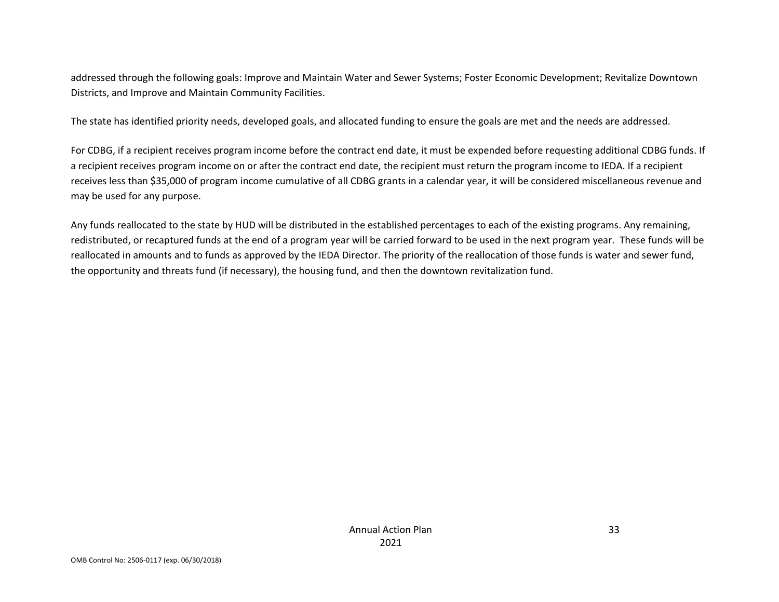addressed through the following goals: Improve and Maintain Water and Sewer Systems; Foster Economic Development; Revitalize Downtown Districts, and Improve and Maintain Community Facilities.

The state has identified priority needs, developed goals, and allocated funding to ensure the goals are met and the needs are addressed.

For CDBG, if a recipient receives program income before the contract end date, it must be expended before requesting additional CDBG funds. If a recipient receives program income on or after the contract end date, the recipient must return the program income to IEDA. If a recipient receives less than \$35,000 of program income cumulative of all CDBG grants in a calendar year, it will be considered miscellaneous revenue and may be used for any purpose.

Any funds reallocated to the state by HUD will be distributed in the established percentages to each of the existing programs. Any remaining, redistributed, or recaptured funds at the end of a program year will be carried forward to be used in the next program year. These funds will be reallocated in amounts and to funds as approved by the IEDA Director. The priority of the reallocation of those funds is water and sewer fund, the opportunity and threats fund (if necessary), the housing fund, and then the downtown revitalization fund.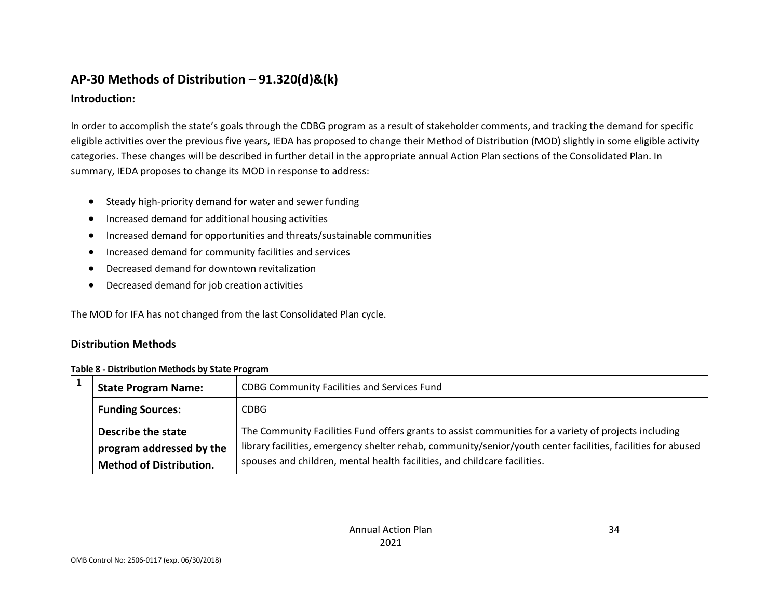# **AP-30 Methods of Distribution – 91.320(d)&(k)**

### **Introduction:**

In order to accomplish the state's goals through the CDBG program as a result of stakeholder comments, and tracking the demand for specific eligible activities over the previous five years, IEDA has proposed to change their Method of Distribution (MOD) slightly in some eligible activity categories. These changes will be described in further detail in the appropriate annual Action Plan sections of the Consolidated Plan. In summary, IEDA proposes to change its MOD in response to address:

- Steady high-priority demand for water and sewer funding
- Increased demand for additional housing activities
- Increased demand for opportunities and threats/sustainable communities
- Increased demand for community facilities and services
- Decreased demand for downtown revitalization
- Decreased demand for job creation activities

The MOD for IFA has not changed from the last Consolidated Plan cycle.

### **Distribution Methods**

| Table 8 - Distribution Methods by State Program |
|-------------------------------------------------|
|-------------------------------------------------|

| <b>State Program Name:</b>     | <b>CDBG Community Facilities and Services Fund</b>                                                           |
|--------------------------------|--------------------------------------------------------------------------------------------------------------|
| <b>Funding Sources:</b>        | CDBG                                                                                                         |
| Describe the state             | The Community Facilities Fund offers grants to assist communities for a variety of projects including        |
| program addressed by the       | library facilities, emergency shelter rehab, community/senior/youth center facilities, facilities for abused |
| <b>Method of Distribution.</b> | spouses and children, mental health facilities, and childcare facilities.                                    |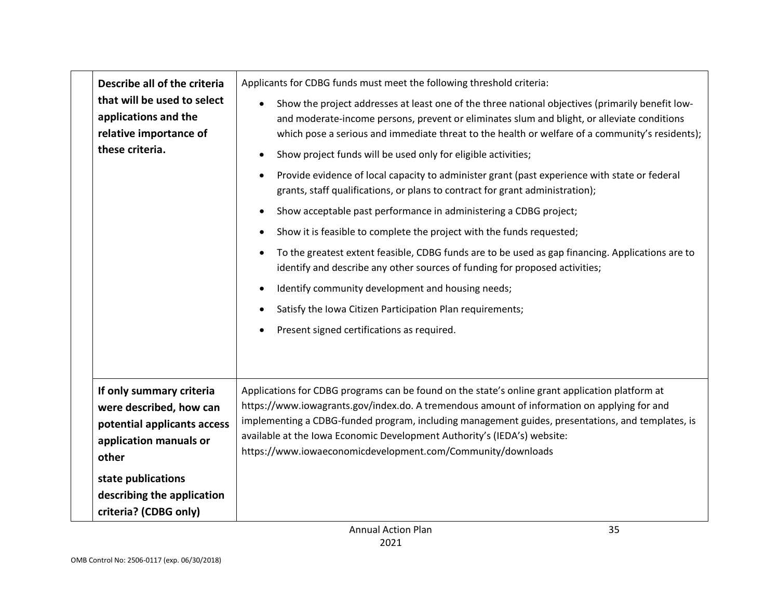| Describe all of the criteria                                                                                          | Applicants for CDBG funds must meet the following threshold criteria:                                                                                                                                                                                                                                                                                                                                                                          |
|-----------------------------------------------------------------------------------------------------------------------|------------------------------------------------------------------------------------------------------------------------------------------------------------------------------------------------------------------------------------------------------------------------------------------------------------------------------------------------------------------------------------------------------------------------------------------------|
| that will be used to select<br>applications and the<br>relative importance of                                         | Show the project addresses at least one of the three national objectives (primarily benefit low-<br>and moderate-income persons, prevent or eliminates slum and blight, or alleviate conditions<br>which pose a serious and immediate threat to the health or welfare of a community's residents);                                                                                                                                             |
| these criteria.                                                                                                       | Show project funds will be used only for eligible activities;                                                                                                                                                                                                                                                                                                                                                                                  |
|                                                                                                                       | Provide evidence of local capacity to administer grant (past experience with state or federal<br>grants, staff qualifications, or plans to contract for grant administration);                                                                                                                                                                                                                                                                 |
|                                                                                                                       | Show acceptable past performance in administering a CDBG project;                                                                                                                                                                                                                                                                                                                                                                              |
|                                                                                                                       | Show it is feasible to complete the project with the funds requested;                                                                                                                                                                                                                                                                                                                                                                          |
|                                                                                                                       | To the greatest extent feasible, CDBG funds are to be used as gap financing. Applications are to<br>identify and describe any other sources of funding for proposed activities;                                                                                                                                                                                                                                                                |
|                                                                                                                       | Identify community development and housing needs;                                                                                                                                                                                                                                                                                                                                                                                              |
|                                                                                                                       | Satisfy the Iowa Citizen Participation Plan requirements;                                                                                                                                                                                                                                                                                                                                                                                      |
|                                                                                                                       | Present signed certifications as required.                                                                                                                                                                                                                                                                                                                                                                                                     |
|                                                                                                                       |                                                                                                                                                                                                                                                                                                                                                                                                                                                |
| If only summary criteria<br>were described, how can<br>potential applicants access<br>application manuals or<br>other | Applications for CDBG programs can be found on the state's online grant application platform at<br>https://www.iowagrants.gov/index.do. A tremendous amount of information on applying for and<br>implementing a CDBG-funded program, including management guides, presentations, and templates, is<br>available at the Iowa Economic Development Authority's (IEDA's) website:<br>https://www.iowaeconomicdevelopment.com/Community/downloads |
| state publications                                                                                                    |                                                                                                                                                                                                                                                                                                                                                                                                                                                |
| describing the application                                                                                            |                                                                                                                                                                                                                                                                                                                                                                                                                                                |
| criteria? (CDBG only)                                                                                                 |                                                                                                                                                                                                                                                                                                                                                                                                                                                |
|                                                                                                                       | 35<br><b>Annual Action Plan</b>                                                                                                                                                                                                                                                                                                                                                                                                                |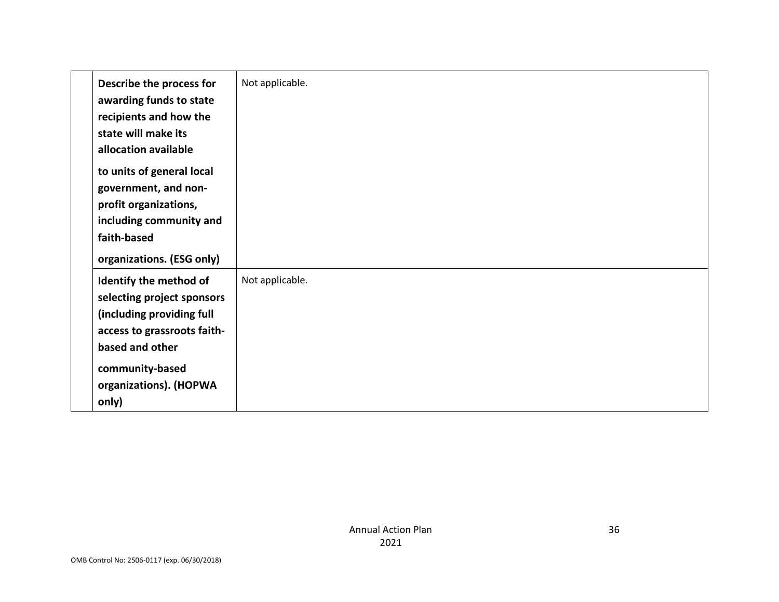| Describe the process for<br>awarding funds to state<br>recipients and how the<br>state will make its<br>allocation available                                                              | Not applicable. |
|-------------------------------------------------------------------------------------------------------------------------------------------------------------------------------------------|-----------------|
| to units of general local<br>government, and non-<br>profit organizations,<br>including community and<br>faith-based<br>organizations. (ESG only)                                         |                 |
| Identify the method of<br>selecting project sponsors<br>(including providing full<br>access to grassroots faith-<br>based and other<br>community-based<br>organizations). (HOPWA<br>only) | Not applicable. |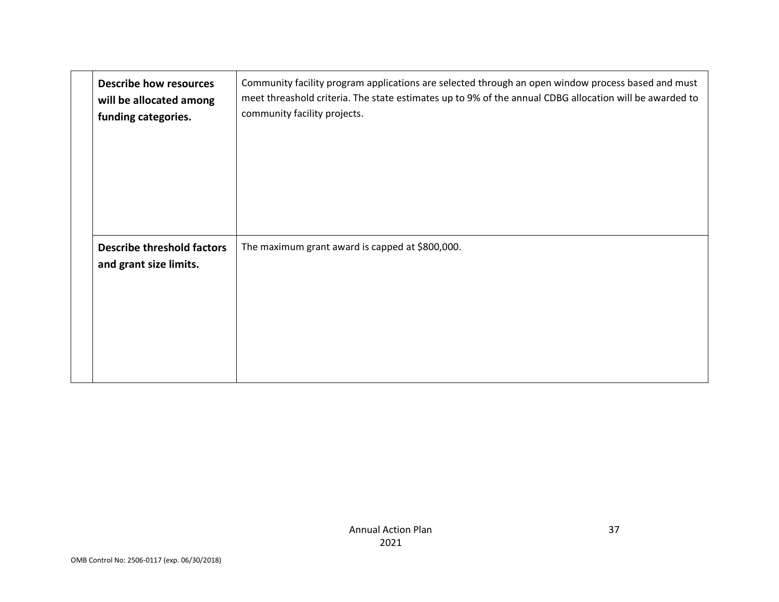| <b>Describe how resources</b><br>will be allocated among<br>funding categories. | Community facility program applications are selected through an open window process based and must<br>meet threashold criteria. The state estimates up to 9% of the annual CDBG allocation will be awarded to<br>community facility projects. |
|---------------------------------------------------------------------------------|-----------------------------------------------------------------------------------------------------------------------------------------------------------------------------------------------------------------------------------------------|
| <b>Describe threshold factors</b><br>and grant size limits.                     | The maximum grant award is capped at \$800,000.                                                                                                                                                                                               |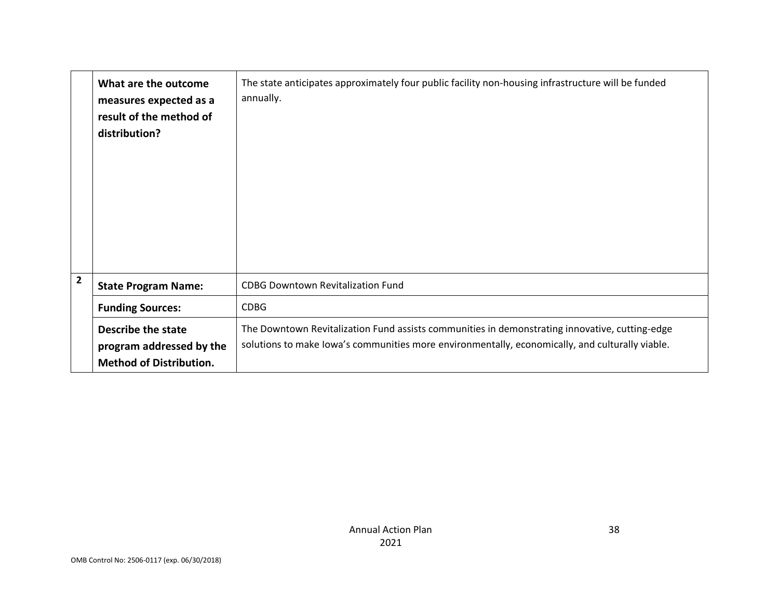|                | What are the outcome<br>measures expected as a<br>result of the method of<br>distribution? | The state anticipates approximately four public facility non-housing infrastructure will be funded<br>annually.                                                                                   |
|----------------|--------------------------------------------------------------------------------------------|---------------------------------------------------------------------------------------------------------------------------------------------------------------------------------------------------|
| $\overline{2}$ | <b>State Program Name:</b>                                                                 | <b>CDBG Downtown Revitalization Fund</b>                                                                                                                                                          |
|                | <b>Funding Sources:</b>                                                                    | <b>CDBG</b>                                                                                                                                                                                       |
|                | Describe the state<br>program addressed by the<br><b>Method of Distribution.</b>           | The Downtown Revitalization Fund assists communities in demonstrating innovative, cutting-edge<br>solutions to make lowa's communities more environmentally, economically, and culturally viable. |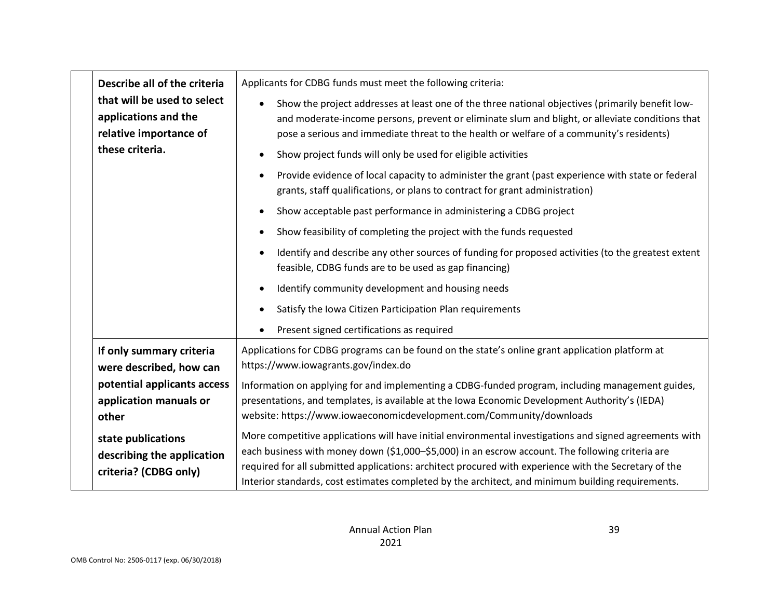| Describe all of the criteria                                                  | Applicants for CDBG funds must meet the following criteria:                                                                                                                                                                                                                                     |
|-------------------------------------------------------------------------------|-------------------------------------------------------------------------------------------------------------------------------------------------------------------------------------------------------------------------------------------------------------------------------------------------|
| that will be used to select<br>applications and the<br>relative importance of | Show the project addresses at least one of the three national objectives (primarily benefit low-<br>and moderate-income persons, prevent or eliminate slum and blight, or alleviate conditions that<br>pose a serious and immediate threat to the health or welfare of a community's residents) |
| these criteria.                                                               | Show project funds will only be used for eligible activities                                                                                                                                                                                                                                    |
|                                                                               | Provide evidence of local capacity to administer the grant (past experience with state or federal<br>grants, staff qualifications, or plans to contract for grant administration)                                                                                                               |
|                                                                               | Show acceptable past performance in administering a CDBG project                                                                                                                                                                                                                                |
|                                                                               | Show feasibility of completing the project with the funds requested                                                                                                                                                                                                                             |
|                                                                               | Identify and describe any other sources of funding for proposed activities (to the greatest extent<br>feasible, CDBG funds are to be used as gap financing)                                                                                                                                     |
|                                                                               | Identify community development and housing needs                                                                                                                                                                                                                                                |
|                                                                               | Satisfy the Iowa Citizen Participation Plan requirements                                                                                                                                                                                                                                        |
|                                                                               | Present signed certifications as required                                                                                                                                                                                                                                                       |
| If only summary criteria<br>were described, how can                           | Applications for CDBG programs can be found on the state's online grant application platform at<br>https://www.iowagrants.gov/index.do                                                                                                                                                          |
| potential applicants access                                                   | Information on applying for and implementing a CDBG-funded program, including management guides,                                                                                                                                                                                                |
| application manuals or<br>other                                               | presentations, and templates, is available at the Iowa Economic Development Authority's (IEDA)<br>website: https://www.iowaeconomicdevelopment.com/Community/downloads                                                                                                                          |
|                                                                               | More competitive applications will have initial environmental investigations and signed agreements with                                                                                                                                                                                         |
| state publications                                                            | each business with money down (\$1,000-\$5,000) in an escrow account. The following criteria are                                                                                                                                                                                                |
| describing the application<br>criteria? (CDBG only)                           | required for all submitted applications: architect procured with experience with the Secretary of the                                                                                                                                                                                           |
|                                                                               | Interior standards, cost estimates completed by the architect, and minimum building requirements.                                                                                                                                                                                               |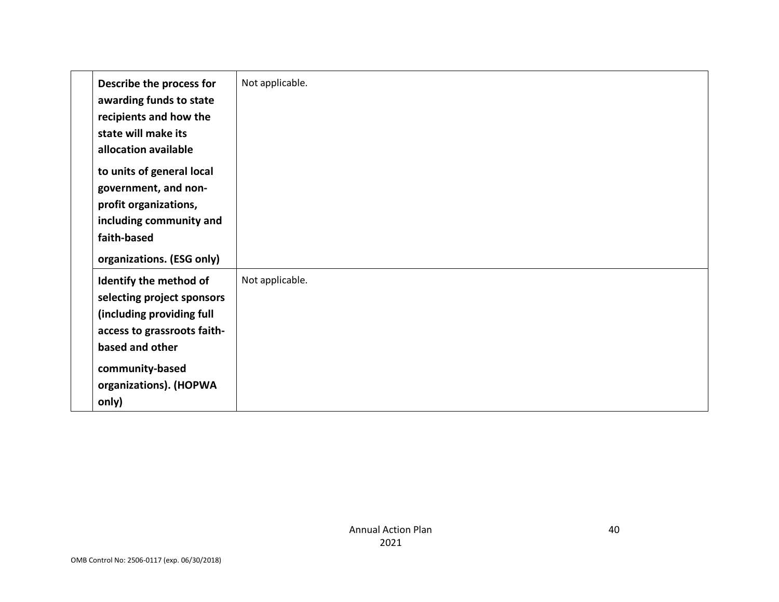| Describe the process for<br>awarding funds to state<br>recipients and how the<br>state will make its<br>allocation available                                                              | Not applicable. |
|-------------------------------------------------------------------------------------------------------------------------------------------------------------------------------------------|-----------------|
| to units of general local<br>government, and non-<br>profit organizations,<br>including community and<br>faith-based<br>organizations. (ESG only)                                         |                 |
| Identify the method of<br>selecting project sponsors<br>(including providing full<br>access to grassroots faith-<br>based and other<br>community-based<br>organizations). (HOPWA<br>only) | Not applicable. |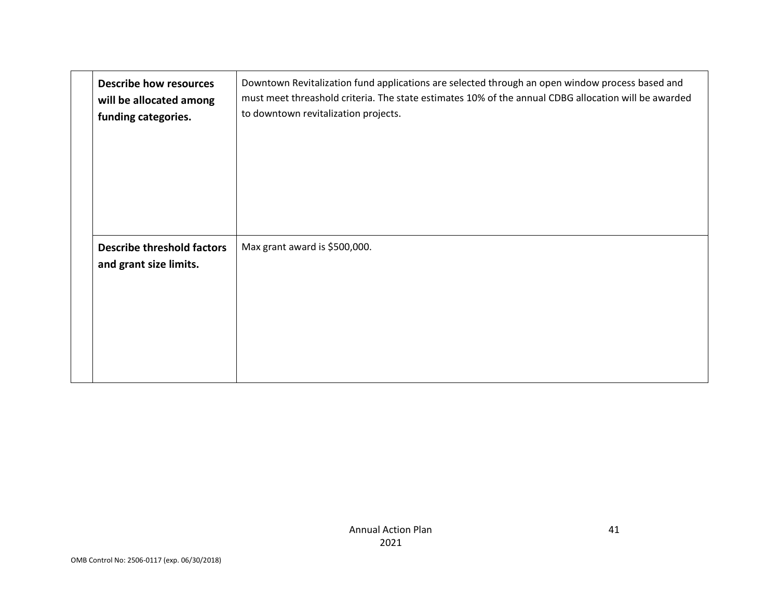| <b>Describe how resources</b>                               | Downtown Revitalization fund applications are selected through an open window process based and      |
|-------------------------------------------------------------|------------------------------------------------------------------------------------------------------|
| will be allocated among                                     | must meet threashold criteria. The state estimates 10% of the annual CDBG allocation will be awarded |
| funding categories.                                         | to downtown revitalization projects.                                                                 |
| <b>Describe threshold factors</b><br>and grant size limits. | Max grant award is \$500,000.                                                                        |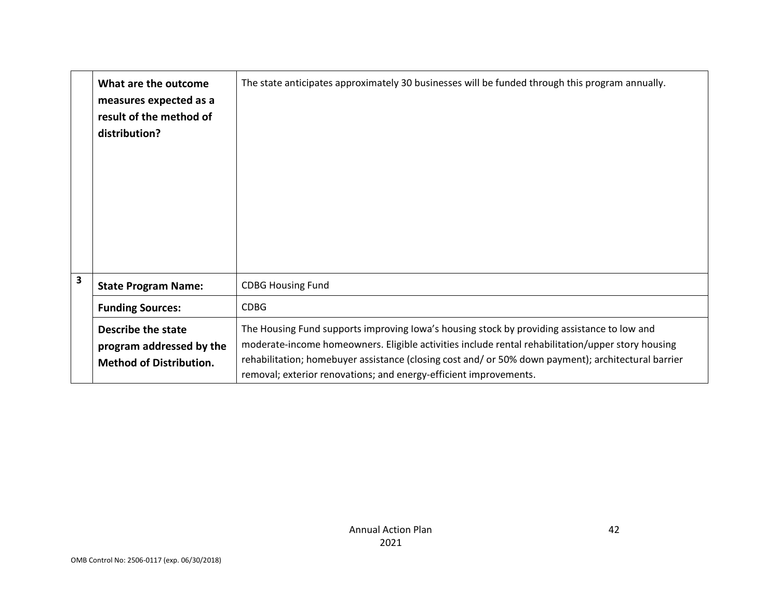|   | What are the outcome<br>measures expected as a<br>result of the method of<br>distribution? | The state anticipates approximately 30 businesses will be funded through this program annually.                                                                                                                                                                                                                                                                              |
|---|--------------------------------------------------------------------------------------------|------------------------------------------------------------------------------------------------------------------------------------------------------------------------------------------------------------------------------------------------------------------------------------------------------------------------------------------------------------------------------|
| 3 | <b>State Program Name:</b>                                                                 | <b>CDBG Housing Fund</b>                                                                                                                                                                                                                                                                                                                                                     |
|   | <b>Funding Sources:</b>                                                                    | <b>CDBG</b>                                                                                                                                                                                                                                                                                                                                                                  |
|   | Describe the state<br>program addressed by the<br><b>Method of Distribution.</b>           | The Housing Fund supports improving lowa's housing stock by providing assistance to low and<br>moderate-income homeowners. Eligible activities include rental rehabilitation/upper story housing<br>rehabilitation; homebuyer assistance (closing cost and/ or 50% down payment); architectural barrier<br>removal; exterior renovations; and energy-efficient improvements. |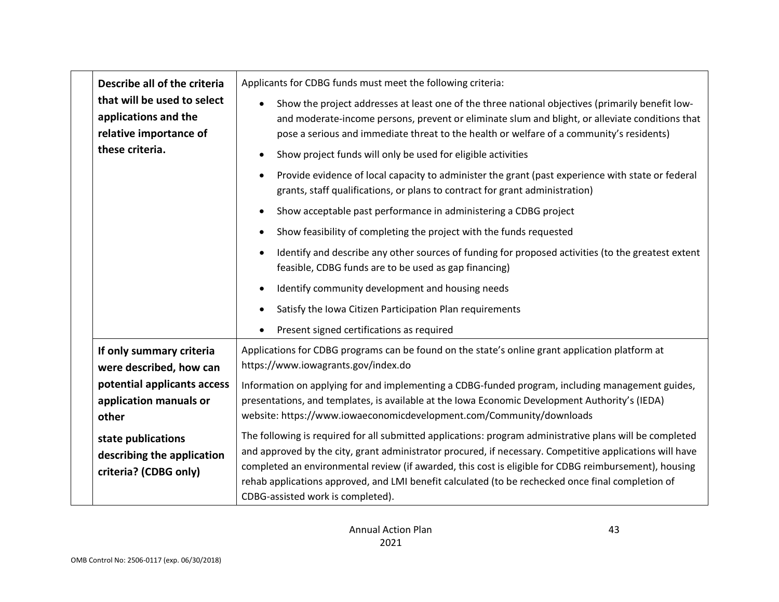| Describe all of the criteria                                                  | Applicants for CDBG funds must meet the following criteria:                                                                                                                                                                                                                                                                   |
|-------------------------------------------------------------------------------|-------------------------------------------------------------------------------------------------------------------------------------------------------------------------------------------------------------------------------------------------------------------------------------------------------------------------------|
| that will be used to select<br>applications and the<br>relative importance of | Show the project addresses at least one of the three national objectives (primarily benefit low-<br>$\bullet$<br>and moderate-income persons, prevent or eliminate slum and blight, or alleviate conditions that<br>pose a serious and immediate threat to the health or welfare of a community's residents)                  |
| these criteria.                                                               | Show project funds will only be used for eligible activities                                                                                                                                                                                                                                                                  |
|                                                                               | Provide evidence of local capacity to administer the grant (past experience with state or federal<br>grants, staff qualifications, or plans to contract for grant administration)                                                                                                                                             |
|                                                                               | Show acceptable past performance in administering a CDBG project                                                                                                                                                                                                                                                              |
|                                                                               | Show feasibility of completing the project with the funds requested                                                                                                                                                                                                                                                           |
|                                                                               | Identify and describe any other sources of funding for proposed activities (to the greatest extent<br>feasible, CDBG funds are to be used as gap financing)                                                                                                                                                                   |
|                                                                               | Identify community development and housing needs                                                                                                                                                                                                                                                                              |
|                                                                               | Satisfy the Iowa Citizen Participation Plan requirements                                                                                                                                                                                                                                                                      |
|                                                                               | Present signed certifications as required                                                                                                                                                                                                                                                                                     |
| If only summary criteria<br>were described, how can                           | Applications for CDBG programs can be found on the state's online grant application platform at<br>https://www.iowagrants.gov/index.do                                                                                                                                                                                        |
| potential applicants access                                                   | Information on applying for and implementing a CDBG-funded program, including management guides,                                                                                                                                                                                                                              |
| application manuals or<br>other                                               | presentations, and templates, is available at the Iowa Economic Development Authority's (IEDA)<br>website: https://www.iowaeconomicdevelopment.com/Community/downloads                                                                                                                                                        |
| state publications<br>describing the application<br>criteria? (CDBG only)     | The following is required for all submitted applications: program administrative plans will be completed<br>and approved by the city, grant administrator procured, if necessary. Competitive applications will have<br>completed an environmental review (if awarded, this cost is eligible for CDBG reimbursement), housing |
|                                                                               | rehab applications approved, and LMI benefit calculated (to be rechecked once final completion of<br>CDBG-assisted work is completed).                                                                                                                                                                                        |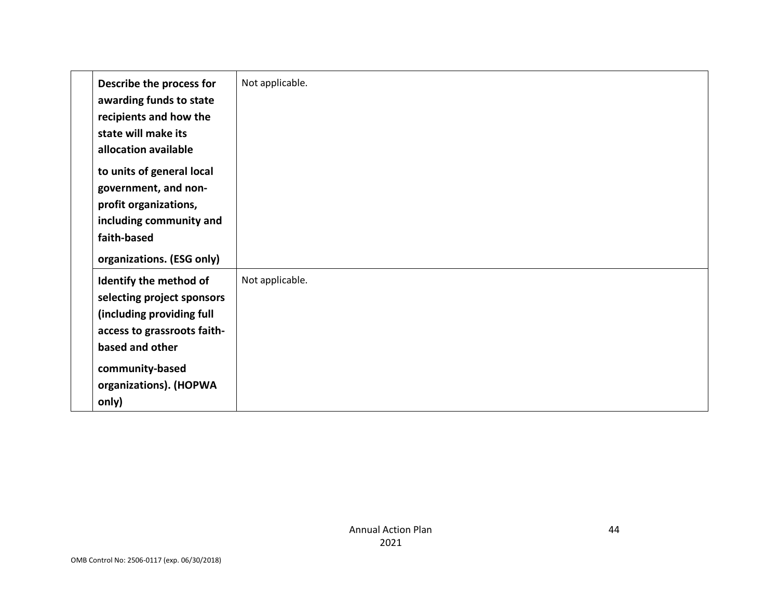| Describe the process for<br>awarding funds to state<br>recipients and how the<br>state will make its<br>allocation available                                                              | Not applicable. |
|-------------------------------------------------------------------------------------------------------------------------------------------------------------------------------------------|-----------------|
| to units of general local<br>government, and non-<br>profit organizations,<br>including community and<br>faith-based<br>organizations. (ESG only)                                         |                 |
| Identify the method of<br>selecting project sponsors<br>(including providing full<br>access to grassroots faith-<br>based and other<br>community-based<br>organizations). (HOPWA<br>only) | Not applicable. |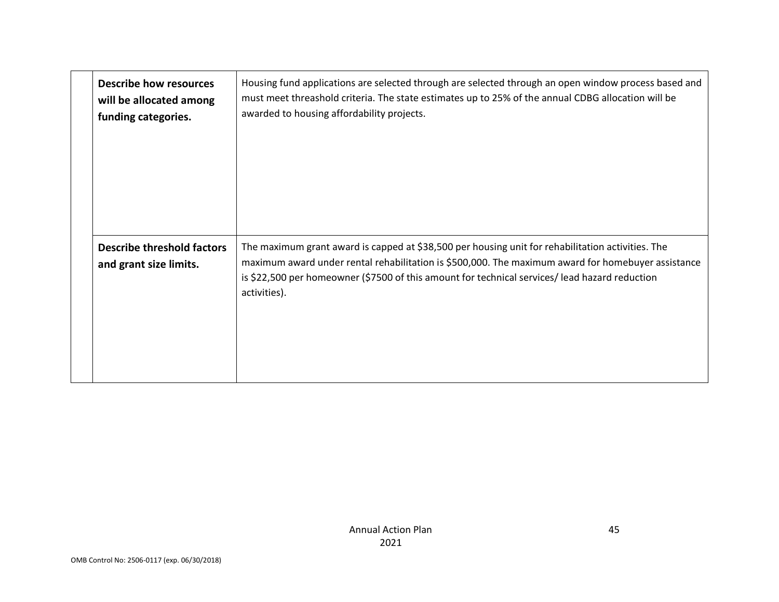| <b>Describe how resources</b>                               | Housing fund applications are selected through are selected through an open window process based and                                                                                                                                                                                                                      |
|-------------------------------------------------------------|---------------------------------------------------------------------------------------------------------------------------------------------------------------------------------------------------------------------------------------------------------------------------------------------------------------------------|
| will be allocated among                                     | must meet threashold criteria. The state estimates up to 25% of the annual CDBG allocation will be                                                                                                                                                                                                                        |
| funding categories.                                         | awarded to housing affordability projects.                                                                                                                                                                                                                                                                                |
| <b>Describe threshold factors</b><br>and grant size limits. | The maximum grant award is capped at \$38,500 per housing unit for rehabilitation activities. The<br>maximum award under rental rehabilitation is \$500,000. The maximum award for homebuyer assistance<br>is \$22,500 per homeowner (\$7500 of this amount for technical services/ lead hazard reduction<br>activities). |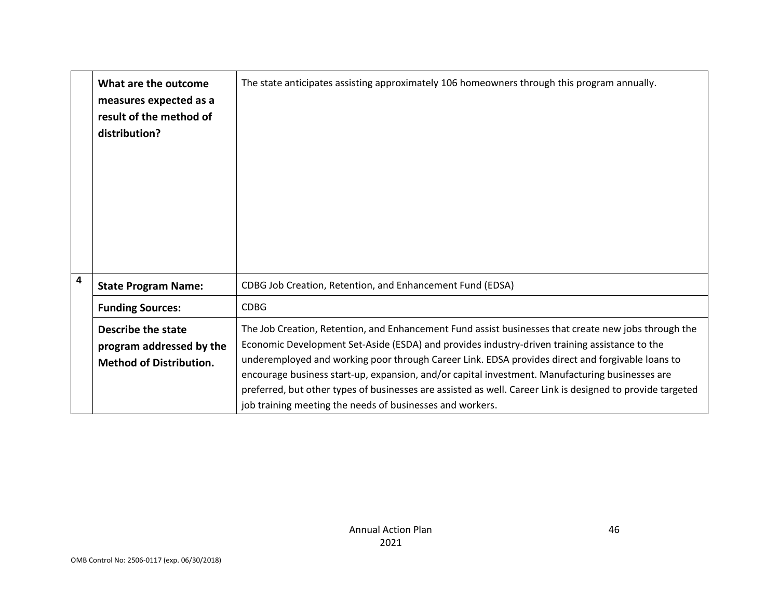|                         | What are the outcome<br>measures expected as a<br>result of the method of<br>distribution? | The state anticipates assisting approximately 106 homeowners through this program annually.                                                                                                                                                                                                                                                                                                                                                                                                                                                                                             |
|-------------------------|--------------------------------------------------------------------------------------------|-----------------------------------------------------------------------------------------------------------------------------------------------------------------------------------------------------------------------------------------------------------------------------------------------------------------------------------------------------------------------------------------------------------------------------------------------------------------------------------------------------------------------------------------------------------------------------------------|
| $\overline{\mathbf{4}}$ | <b>State Program Name:</b>                                                                 | CDBG Job Creation, Retention, and Enhancement Fund (EDSA)                                                                                                                                                                                                                                                                                                                                                                                                                                                                                                                               |
|                         | <b>Funding Sources:</b>                                                                    | <b>CDBG</b>                                                                                                                                                                                                                                                                                                                                                                                                                                                                                                                                                                             |
|                         | Describe the state<br>program addressed by the<br><b>Method of Distribution.</b>           | The Job Creation, Retention, and Enhancement Fund assist businesses that create new jobs through the<br>Economic Development Set-Aside (ESDA) and provides industry-driven training assistance to the<br>underemployed and working poor through Career Link. EDSA provides direct and forgivable loans to<br>encourage business start-up, expansion, and/or capital investment. Manufacturing businesses are<br>preferred, but other types of businesses are assisted as well. Career Link is designed to provide targeted<br>job training meeting the needs of businesses and workers. |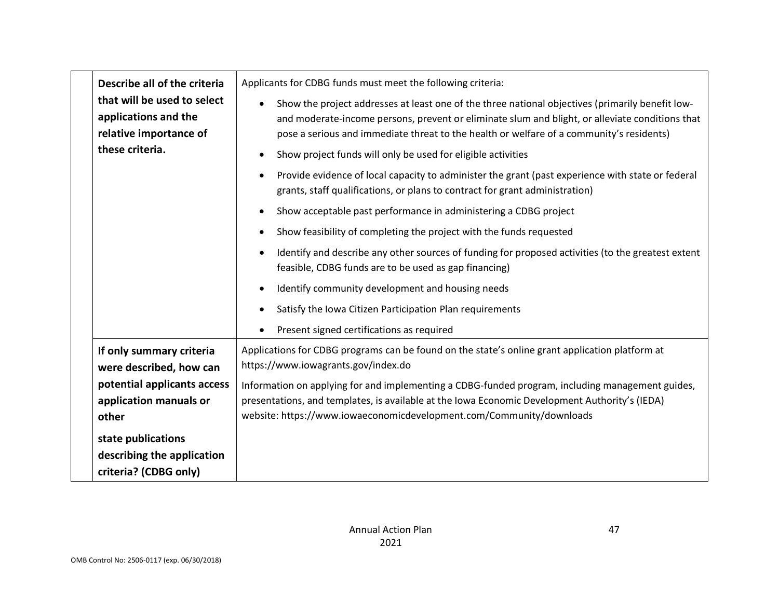| Describe all of the criteria                                                  | Applicants for CDBG funds must meet the following criteria:                                                                                                                                                                                                                                     |
|-------------------------------------------------------------------------------|-------------------------------------------------------------------------------------------------------------------------------------------------------------------------------------------------------------------------------------------------------------------------------------------------|
| that will be used to select<br>applications and the<br>relative importance of | Show the project addresses at least one of the three national objectives (primarily benefit low-<br>and moderate-income persons, prevent or eliminate slum and blight, or alleviate conditions that<br>pose a serious and immediate threat to the health or welfare of a community's residents) |
| these criteria.                                                               | Show project funds will only be used for eligible activities                                                                                                                                                                                                                                    |
|                                                                               | Provide evidence of local capacity to administer the grant (past experience with state or federal<br>grants, staff qualifications, or plans to contract for grant administration)                                                                                                               |
|                                                                               | Show acceptable past performance in administering a CDBG project                                                                                                                                                                                                                                |
|                                                                               | Show feasibility of completing the project with the funds requested                                                                                                                                                                                                                             |
|                                                                               | Identify and describe any other sources of funding for proposed activities (to the greatest extent<br>feasible, CDBG funds are to be used as gap financing)                                                                                                                                     |
|                                                                               | Identify community development and housing needs                                                                                                                                                                                                                                                |
|                                                                               | Satisfy the Iowa Citizen Participation Plan requirements                                                                                                                                                                                                                                        |
|                                                                               | Present signed certifications as required                                                                                                                                                                                                                                                       |
| If only summary criteria<br>were described, how can                           | Applications for CDBG programs can be found on the state's online grant application platform at<br>https://www.iowagrants.gov/index.do                                                                                                                                                          |
| potential applicants access                                                   | Information on applying for and implementing a CDBG-funded program, including management guides,                                                                                                                                                                                                |
| application manuals or<br>other                                               | presentations, and templates, is available at the Iowa Economic Development Authority's (IEDA)<br>website: https://www.iowaeconomicdevelopment.com/Community/downloads                                                                                                                          |
|                                                                               |                                                                                                                                                                                                                                                                                                 |
| state publications<br>describing the application                              |                                                                                                                                                                                                                                                                                                 |
| criteria? (CDBG only)                                                         |                                                                                                                                                                                                                                                                                                 |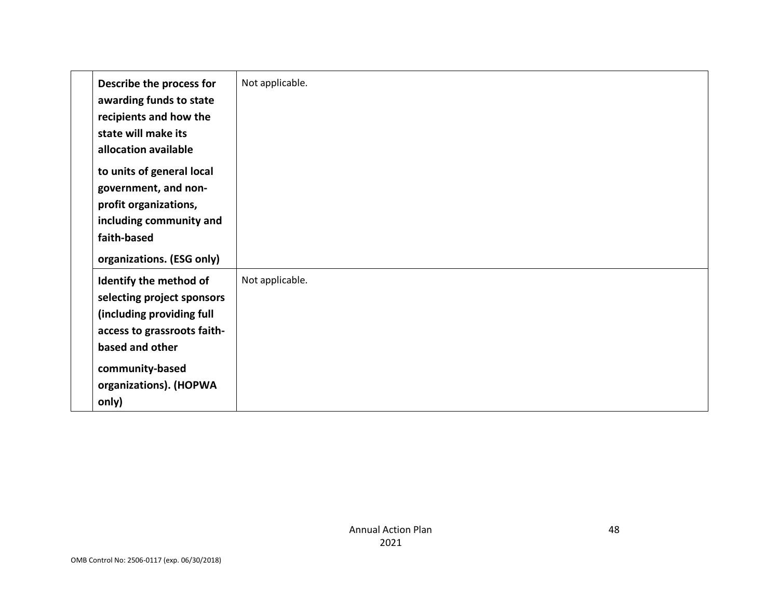| Describe the process for<br>awarding funds to state<br>recipients and how the<br>state will make its<br>allocation available                                                              | Not applicable. |
|-------------------------------------------------------------------------------------------------------------------------------------------------------------------------------------------|-----------------|
| to units of general local<br>government, and non-<br>profit organizations,<br>including community and<br>faith-based<br>organizations. (ESG only)                                         |                 |
| Identify the method of<br>selecting project sponsors<br>(including providing full<br>access to grassroots faith-<br>based and other<br>community-based<br>organizations). (HOPWA<br>only) | Not applicable. |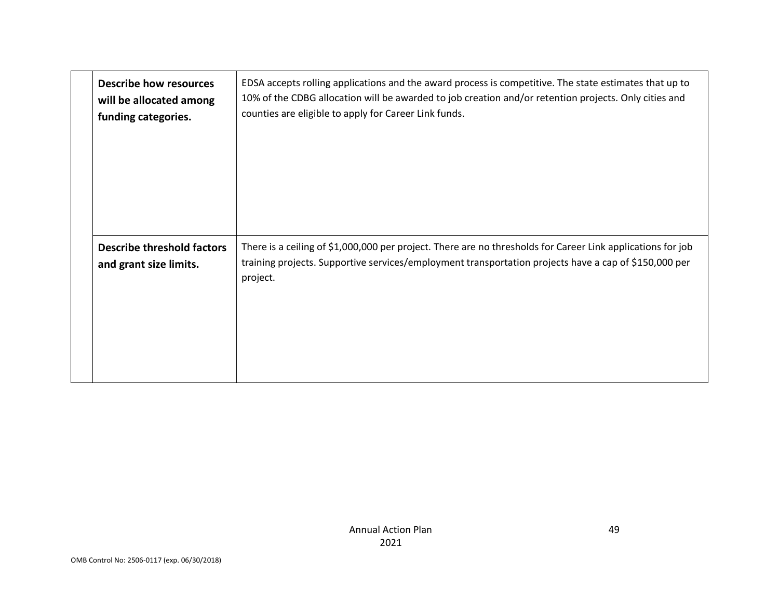| <b>Describe how resources</b><br>will be allocated among<br>funding categories. | EDSA accepts rolling applications and the award process is competitive. The state estimates that up to<br>10% of the CDBG allocation will be awarded to job creation and/or retention projects. Only cities and<br>counties are eligible to apply for Career Link funds. |
|---------------------------------------------------------------------------------|--------------------------------------------------------------------------------------------------------------------------------------------------------------------------------------------------------------------------------------------------------------------------|
| <b>Describe threshold factors</b><br>and grant size limits.                     | There is a ceiling of \$1,000,000 per project. There are no thresholds for Career Link applications for job<br>training projects. Supportive services/employment transportation projects have a cap of \$150,000 per<br>project.                                         |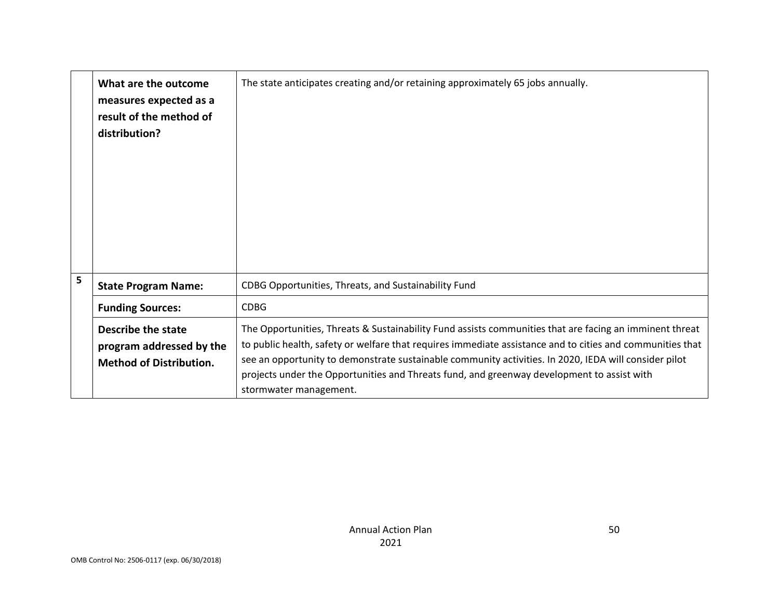|   | What are the outcome<br>measures expected as a<br>result of the method of<br>distribution? | The state anticipates creating and/or retaining approximately 65 jobs annually.                                                                                                                                                                                                                                                                                                                                                                       |
|---|--------------------------------------------------------------------------------------------|-------------------------------------------------------------------------------------------------------------------------------------------------------------------------------------------------------------------------------------------------------------------------------------------------------------------------------------------------------------------------------------------------------------------------------------------------------|
| 5 | <b>State Program Name:</b>                                                                 | CDBG Opportunities, Threats, and Sustainability Fund                                                                                                                                                                                                                                                                                                                                                                                                  |
|   | <b>Funding Sources:</b>                                                                    | <b>CDBG</b>                                                                                                                                                                                                                                                                                                                                                                                                                                           |
|   | Describe the state<br>program addressed by the<br><b>Method of Distribution.</b>           | The Opportunities, Threats & Sustainability Fund assists communities that are facing an imminent threat<br>to public health, safety or welfare that requires immediate assistance and to cities and communities that<br>see an opportunity to demonstrate sustainable community activities. In 2020, IEDA will consider pilot<br>projects under the Opportunities and Threats fund, and greenway development to assist with<br>stormwater management. |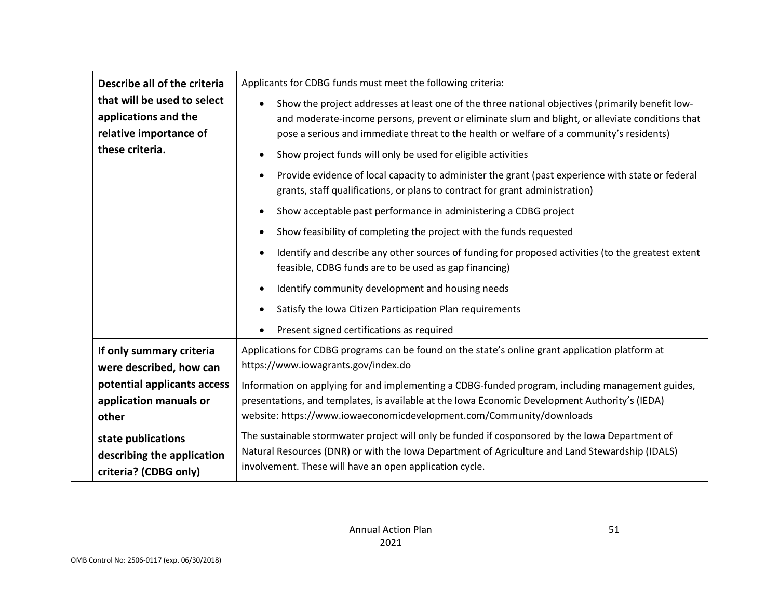|                 | Describe all of the criteria                                                  | Applicants for CDBG funds must meet the following criteria:                                                                                                                                                                                                                                     |
|-----------------|-------------------------------------------------------------------------------|-------------------------------------------------------------------------------------------------------------------------------------------------------------------------------------------------------------------------------------------------------------------------------------------------|
|                 | that will be used to select<br>applications and the<br>relative importance of | Show the project addresses at least one of the three national objectives (primarily benefit low-<br>and moderate-income persons, prevent or eliminate slum and blight, or alleviate conditions that<br>pose a serious and immediate threat to the health or welfare of a community's residents) |
| these criteria. |                                                                               | Show project funds will only be used for eligible activities                                                                                                                                                                                                                                    |
|                 |                                                                               | Provide evidence of local capacity to administer the grant (past experience with state or federal<br>grants, staff qualifications, or plans to contract for grant administration)                                                                                                               |
|                 |                                                                               | Show acceptable past performance in administering a CDBG project                                                                                                                                                                                                                                |
|                 |                                                                               | Show feasibility of completing the project with the funds requested                                                                                                                                                                                                                             |
|                 |                                                                               | Identify and describe any other sources of funding for proposed activities (to the greatest extent<br>feasible, CDBG funds are to be used as gap financing)                                                                                                                                     |
|                 |                                                                               | Identify community development and housing needs                                                                                                                                                                                                                                                |
|                 |                                                                               | Satisfy the Iowa Citizen Participation Plan requirements                                                                                                                                                                                                                                        |
|                 |                                                                               | Present signed certifications as required                                                                                                                                                                                                                                                       |
|                 | If only summary criteria<br>were described, how can                           | Applications for CDBG programs can be found on the state's online grant application platform at<br>https://www.iowagrants.gov/index.do                                                                                                                                                          |
|                 | potential applicants access                                                   | Information on applying for and implementing a CDBG-funded program, including management guides,                                                                                                                                                                                                |
|                 | application manuals or                                                        | presentations, and templates, is available at the Iowa Economic Development Authority's (IEDA)<br>website: https://www.iowaeconomicdevelopment.com/Community/downloads                                                                                                                          |
| other           |                                                                               |                                                                                                                                                                                                                                                                                                 |
|                 | state publications<br>describing the application<br>criteria? (CDBG only)     | The sustainable stormwater project will only be funded if cosponsored by the Iowa Department of<br>Natural Resources (DNR) or with the Iowa Department of Agriculture and Land Stewardship (IDALS)<br>involvement. These will have an open application cycle.                                   |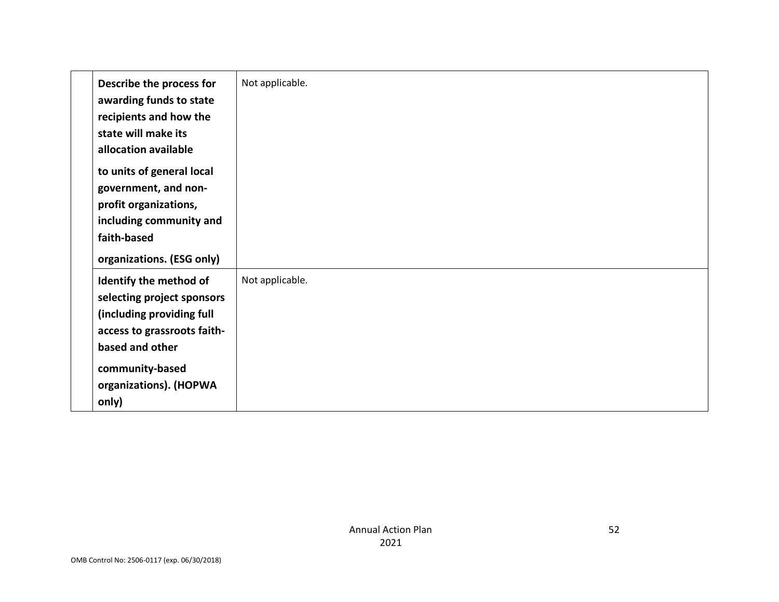| Describe the process for<br>awarding funds to state<br>recipients and how the<br>state will make its<br>allocation available                                                              | Not applicable. |
|-------------------------------------------------------------------------------------------------------------------------------------------------------------------------------------------|-----------------|
| to units of general local<br>government, and non-<br>profit organizations,<br>including community and<br>faith-based<br>organizations. (ESG only)                                         |                 |
| Identify the method of<br>selecting project sponsors<br>(including providing full<br>access to grassroots faith-<br>based and other<br>community-based<br>organizations). (HOPWA<br>only) | Not applicable. |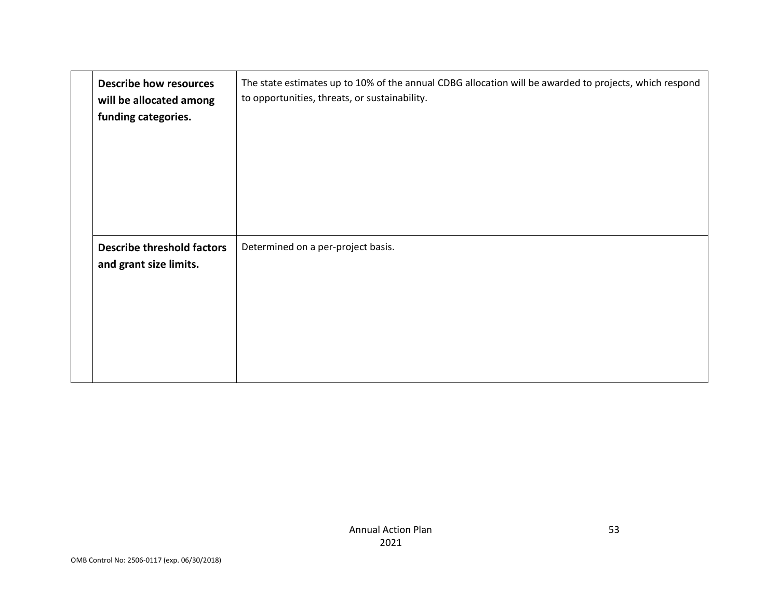| <b>Describe how resources</b><br>will be allocated among<br>funding categories. | The state estimates up to 10% of the annual CDBG allocation will be awarded to projects, which respond<br>to opportunities, threats, or sustainability. |
|---------------------------------------------------------------------------------|---------------------------------------------------------------------------------------------------------------------------------------------------------|
| <b>Describe threshold factors</b><br>and grant size limits.                     | Determined on a per-project basis.                                                                                                                      |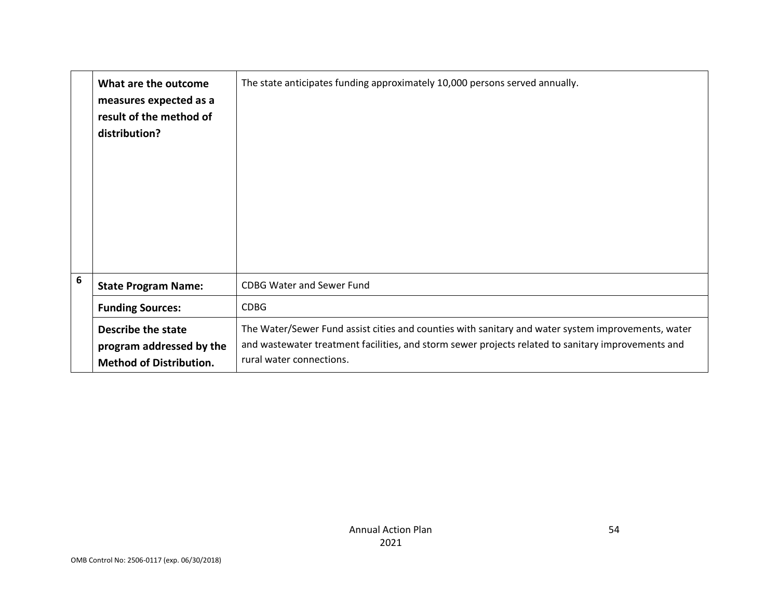|                 | What are the outcome<br>measures expected as a<br>result of the method of<br>distribution? | The state anticipates funding approximately 10,000 persons served annually.                                                                                                                                                          |
|-----------------|--------------------------------------------------------------------------------------------|--------------------------------------------------------------------------------------------------------------------------------------------------------------------------------------------------------------------------------------|
| $6\phantom{1}6$ | <b>State Program Name:</b>                                                                 | <b>CDBG Water and Sewer Fund</b>                                                                                                                                                                                                     |
|                 | <b>Funding Sources:</b>                                                                    | <b>CDBG</b>                                                                                                                                                                                                                          |
|                 | Describe the state<br>program addressed by the<br><b>Method of Distribution.</b>           | The Water/Sewer Fund assist cities and counties with sanitary and water system improvements, water<br>and wastewater treatment facilities, and storm sewer projects related to sanitary improvements and<br>rural water connections. |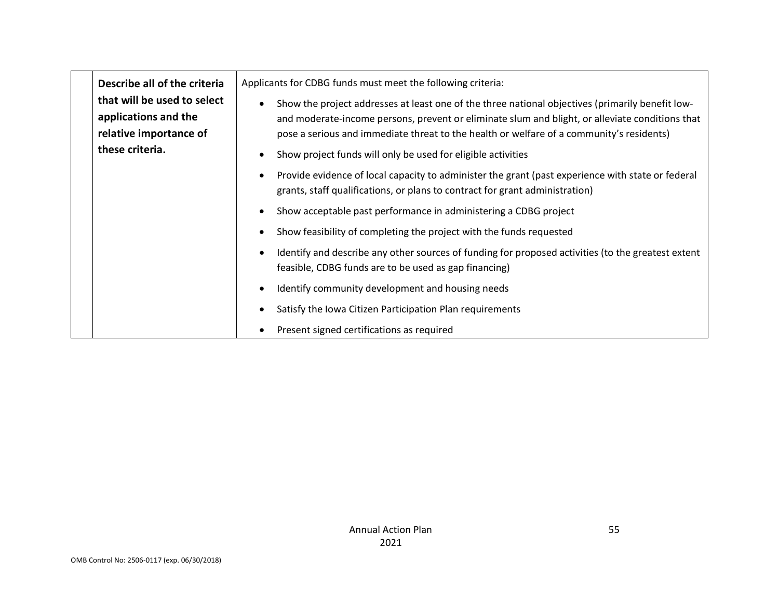| Describe all of the criteria                                                  | Applicants for CDBG funds must meet the following criteria:                                                                                                                                                                                                                                     |
|-------------------------------------------------------------------------------|-------------------------------------------------------------------------------------------------------------------------------------------------------------------------------------------------------------------------------------------------------------------------------------------------|
| that will be used to select<br>applications and the<br>relative importance of | Show the project addresses at least one of the three national objectives (primarily benefit low-<br>and moderate-income persons, prevent or eliminate slum and blight, or alleviate conditions that<br>pose a serious and immediate threat to the health or welfare of a community's residents) |
| these criteria.                                                               | Show project funds will only be used for eligible activities                                                                                                                                                                                                                                    |
|                                                                               | Provide evidence of local capacity to administer the grant (past experience with state or federal<br>grants, staff qualifications, or plans to contract for grant administration)                                                                                                               |
|                                                                               | Show acceptable past performance in administering a CDBG project                                                                                                                                                                                                                                |
|                                                                               | Show feasibility of completing the project with the funds requested                                                                                                                                                                                                                             |
|                                                                               | Identify and describe any other sources of funding for proposed activities (to the greatest extent<br>feasible, CDBG funds are to be used as gap financing)                                                                                                                                     |
|                                                                               | Identify community development and housing needs                                                                                                                                                                                                                                                |
|                                                                               | Satisfy the Iowa Citizen Participation Plan requirements                                                                                                                                                                                                                                        |
|                                                                               | Present signed certifications as required                                                                                                                                                                                                                                                       |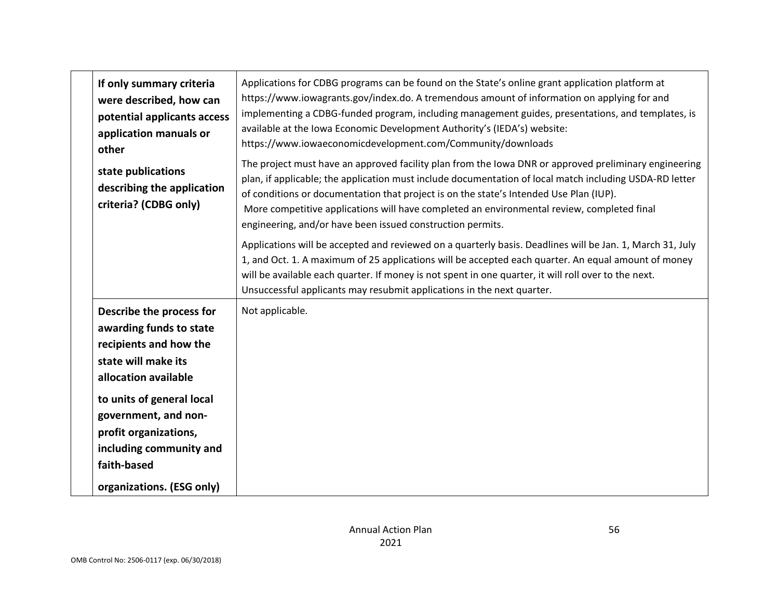| If only summary criteria<br>were described, how can<br>potential applicants access<br>application manuals or<br>other                                                                                                                                                             | Applications for CDBG programs can be found on the State's online grant application platform at<br>https://www.iowagrants.gov/index.do. A tremendous amount of information on applying for and<br>implementing a CDBG-funded program, including management guides, presentations, and templates, is<br>available at the Iowa Economic Development Authority's (IEDA's) website:<br>https://www.iowaeconomicdevelopment.com/Community/downloads                                                                                                                                                                                                                                                                                                                                                                                                                               |
|-----------------------------------------------------------------------------------------------------------------------------------------------------------------------------------------------------------------------------------------------------------------------------------|------------------------------------------------------------------------------------------------------------------------------------------------------------------------------------------------------------------------------------------------------------------------------------------------------------------------------------------------------------------------------------------------------------------------------------------------------------------------------------------------------------------------------------------------------------------------------------------------------------------------------------------------------------------------------------------------------------------------------------------------------------------------------------------------------------------------------------------------------------------------------|
| state publications<br>describing the application<br>criteria? (CDBG only)                                                                                                                                                                                                         | The project must have an approved facility plan from the lowa DNR or approved preliminary engineering<br>plan, if applicable; the application must include documentation of local match including USDA-RD letter<br>of conditions or documentation that project is on the state's Intended Use Plan (IUP).<br>More competitive applications will have completed an environmental review, completed final<br>engineering, and/or have been issued construction permits.<br>Applications will be accepted and reviewed on a quarterly basis. Deadlines will be Jan. 1, March 31, July<br>1, and Oct. 1. A maximum of 25 applications will be accepted each quarter. An equal amount of money<br>will be available each quarter. If money is not spent in one quarter, it will roll over to the next.<br>Unsuccessful applicants may resubmit applications in the next quarter. |
| Describe the process for<br>awarding funds to state<br>recipients and how the<br>state will make its<br>allocation available<br>to units of general local<br>government, and non-<br>profit organizations,<br>including community and<br>faith-based<br>organizations. (ESG only) | Not applicable.                                                                                                                                                                                                                                                                                                                                                                                                                                                                                                                                                                                                                                                                                                                                                                                                                                                              |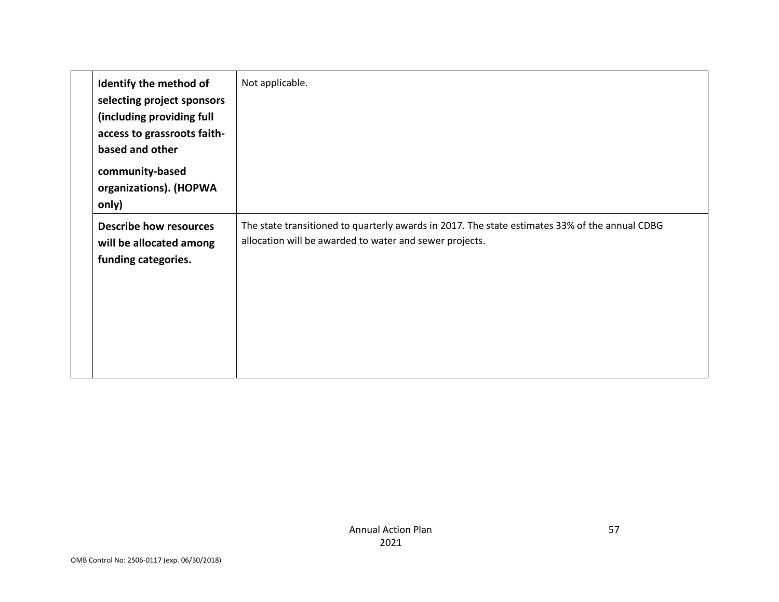| Identify the method of<br>selecting project sponsors<br>(including providing full<br>access to grassroots faith-<br>based and other<br>community-based<br>organizations). (HOPWA<br>only) | Not applicable.                                                                                                                                           |
|-------------------------------------------------------------------------------------------------------------------------------------------------------------------------------------------|-----------------------------------------------------------------------------------------------------------------------------------------------------------|
| <b>Describe how resources</b><br>will be allocated among<br>funding categories.                                                                                                           | The state transitioned to quarterly awards in 2017. The state estimates 33% of the annual CDBG<br>allocation will be awarded to water and sewer projects. |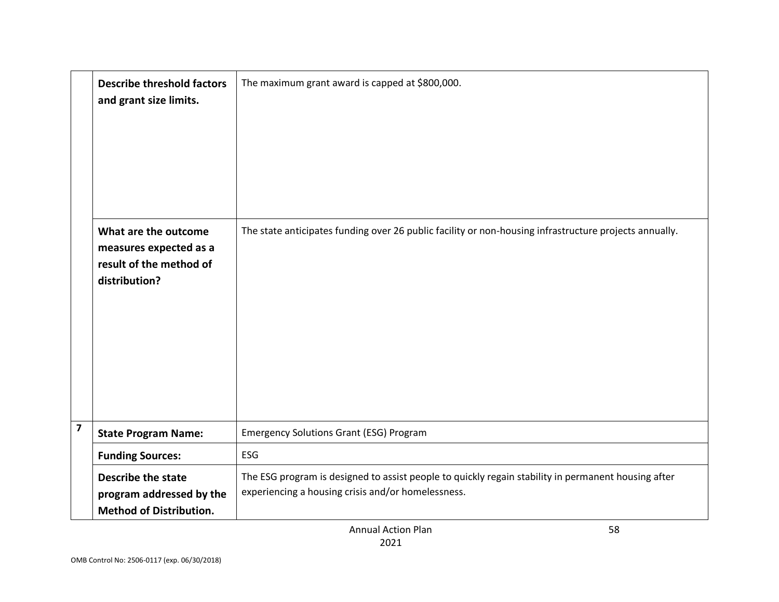|                         | <b>Describe threshold factors</b><br>and grant size limits.                                | The maximum grant award is capped at \$800,000.                                                                                                           |
|-------------------------|--------------------------------------------------------------------------------------------|-----------------------------------------------------------------------------------------------------------------------------------------------------------|
|                         | What are the outcome<br>measures expected as a<br>result of the method of<br>distribution? | The state anticipates funding over 26 public facility or non-housing infrastructure projects annually.                                                    |
| $\overline{\mathbf{z}}$ | <b>State Program Name:</b>                                                                 | <b>Emergency Solutions Grant (ESG) Program</b>                                                                                                            |
|                         | <b>Funding Sources:</b>                                                                    | ESG                                                                                                                                                       |
|                         | <b>Describe the state</b><br>program addressed by the<br><b>Method of Distribution.</b>    | The ESG program is designed to assist people to quickly regain stability in permanent housing after<br>experiencing a housing crisis and/or homelessness. |

58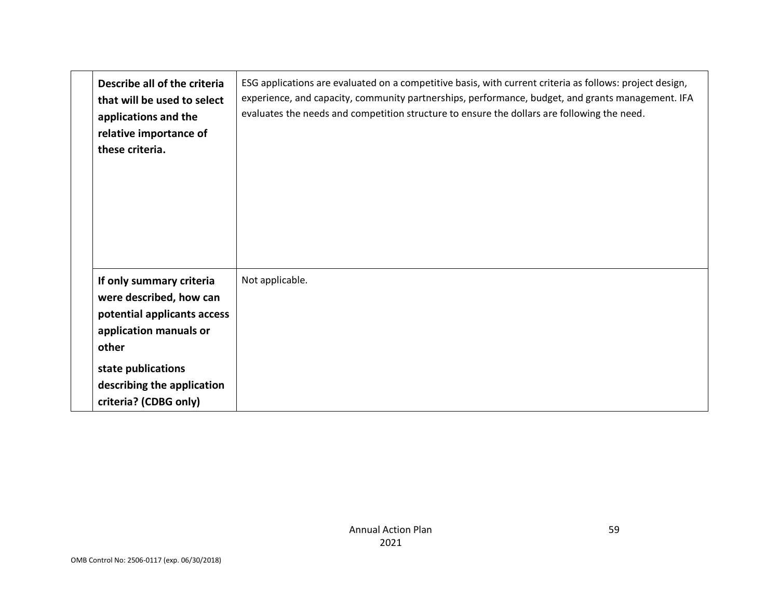| Describe all of the criteria<br>that will be used to select<br>applications and the<br>relative importance of<br>these criteria.                                          | ESG applications are evaluated on a competitive basis, with current criteria as follows: project design,<br>experience, and capacity, community partnerships, performance, budget, and grants management. IFA<br>evaluates the needs and competition structure to ensure the dollars are following the need. |
|---------------------------------------------------------------------------------------------------------------------------------------------------------------------------|--------------------------------------------------------------------------------------------------------------------------------------------------------------------------------------------------------------------------------------------------------------------------------------------------------------|
| If only summary criteria<br>were described, how can<br>potential applicants access<br>application manuals or<br>other<br>state publications<br>describing the application | Not applicable.                                                                                                                                                                                                                                                                                              |
| criteria? (CDBG only)                                                                                                                                                     |                                                                                                                                                                                                                                                                                                              |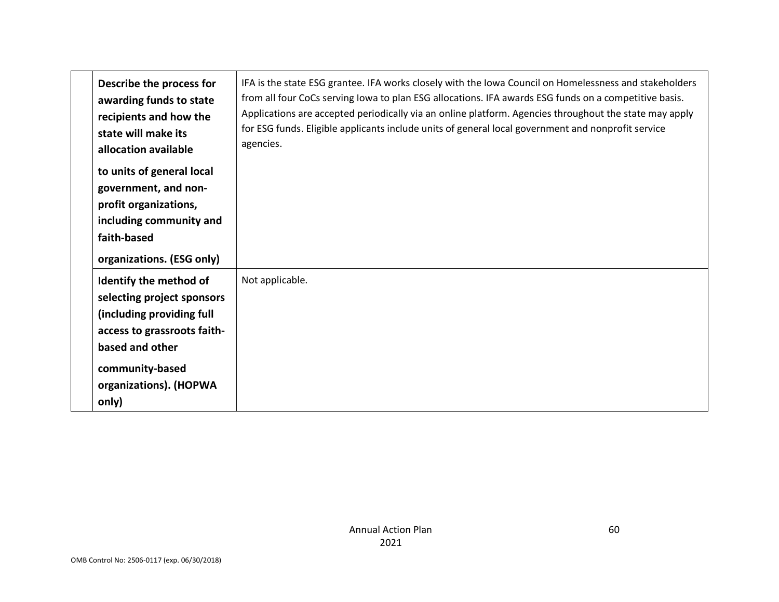| Describe the process for<br>awarding funds to state<br>recipients and how the<br>state will make its<br>allocation available                                                              | IFA is the state ESG grantee. IFA works closely with the Iowa Council on Homelessness and stakeholders<br>from all four CoCs serving lowa to plan ESG allocations. IFA awards ESG funds on a competitive basis.<br>Applications are accepted periodically via an online platform. Agencies throughout the state may apply<br>for ESG funds. Eligible applicants include units of general local government and nonprofit service<br>agencies. |
|-------------------------------------------------------------------------------------------------------------------------------------------------------------------------------------------|----------------------------------------------------------------------------------------------------------------------------------------------------------------------------------------------------------------------------------------------------------------------------------------------------------------------------------------------------------------------------------------------------------------------------------------------|
| to units of general local<br>government, and non-<br>profit organizations,<br>including community and<br>faith-based<br>organizations. (ESG only)                                         |                                                                                                                                                                                                                                                                                                                                                                                                                                              |
| Identify the method of<br>selecting project sponsors<br>(including providing full<br>access to grassroots faith-<br>based and other<br>community-based<br>organizations). (HOPWA<br>only) | Not applicable.                                                                                                                                                                                                                                                                                                                                                                                                                              |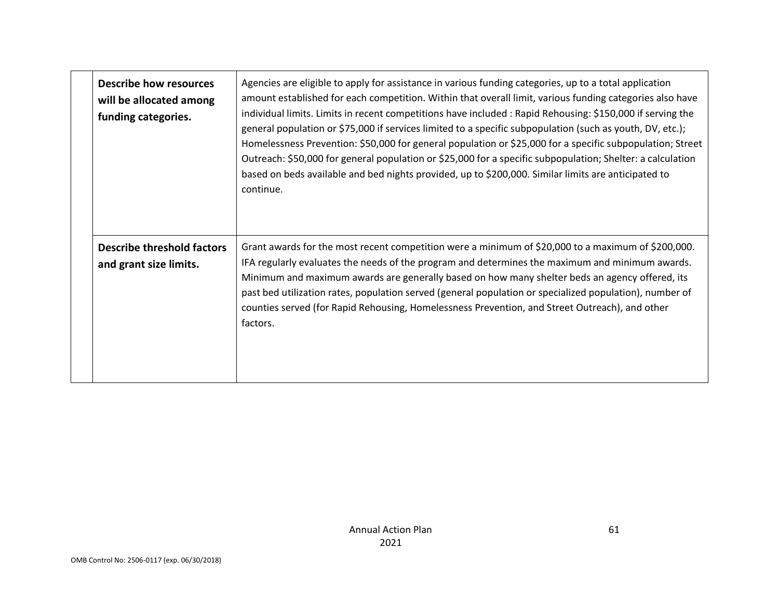| <b>Describe how resources</b><br>will be allocated among<br>funding categories. | Agencies are eligible to apply for assistance in various funding categories, up to a total application<br>amount established for each competition. Within that overall limit, various funding categories also have<br>individual limits. Limits in recent competitions have included : Rapid Rehousing: \$150,000 if serving the<br>general population or \$75,000 if services limited to a specific subpopulation (such as youth, DV, etc.);<br>Homelessness Prevention: \$50,000 for general population or \$25,000 for a specific subpopulation; Street<br>Outreach: \$50,000 for general population or \$25,000 for a specific subpopulation; Shelter: a calculation<br>based on beds available and bed nights provided, up to \$200,000. Similar limits are anticipated to<br>continue. |
|---------------------------------------------------------------------------------|----------------------------------------------------------------------------------------------------------------------------------------------------------------------------------------------------------------------------------------------------------------------------------------------------------------------------------------------------------------------------------------------------------------------------------------------------------------------------------------------------------------------------------------------------------------------------------------------------------------------------------------------------------------------------------------------------------------------------------------------------------------------------------------------|
| <b>Describe threshold factors</b><br>and grant size limits.                     | Grant awards for the most recent competition were a minimum of \$20,000 to a maximum of \$200,000.<br>IFA regularly evaluates the needs of the program and determines the maximum and minimum awards.<br>Minimum and maximum awards are generally based on how many shelter beds an agency offered, its<br>past bed utilization rates, population served (general population or specialized population), number of<br>counties served (for Rapid Rehousing, Homelessness Prevention, and Street Outreach), and other<br>factors.                                                                                                                                                                                                                                                             |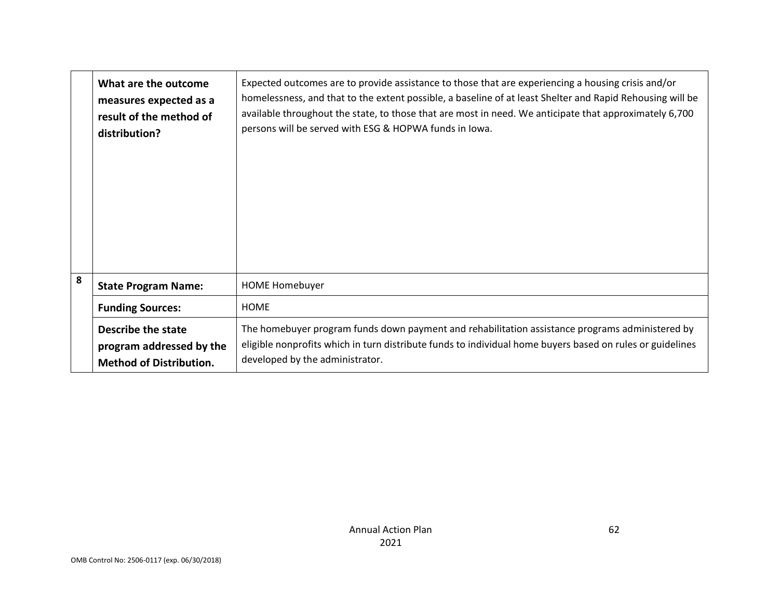|   | What are the outcome<br>measures expected as a<br>result of the method of<br>distribution? | Expected outcomes are to provide assistance to those that are experiencing a housing crisis and/or<br>homelessness, and that to the extent possible, a baseline of at least Shelter and Rapid Rehousing will be<br>available throughout the state, to those that are most in need. We anticipate that approximately 6,700<br>persons will be served with ESG & HOPWA funds in Iowa. |
|---|--------------------------------------------------------------------------------------------|-------------------------------------------------------------------------------------------------------------------------------------------------------------------------------------------------------------------------------------------------------------------------------------------------------------------------------------------------------------------------------------|
| 8 | <b>State Program Name:</b>                                                                 | <b>HOME Homebuyer</b>                                                                                                                                                                                                                                                                                                                                                               |
|   | <b>Funding Sources:</b>                                                                    | <b>HOME</b>                                                                                                                                                                                                                                                                                                                                                                         |
|   | Describe the state<br>program addressed by the<br><b>Method of Distribution.</b>           | The homebuyer program funds down payment and rehabilitation assistance programs administered by<br>eligible nonprofits which in turn distribute funds to individual home buyers based on rules or guidelines<br>developed by the administrator.                                                                                                                                     |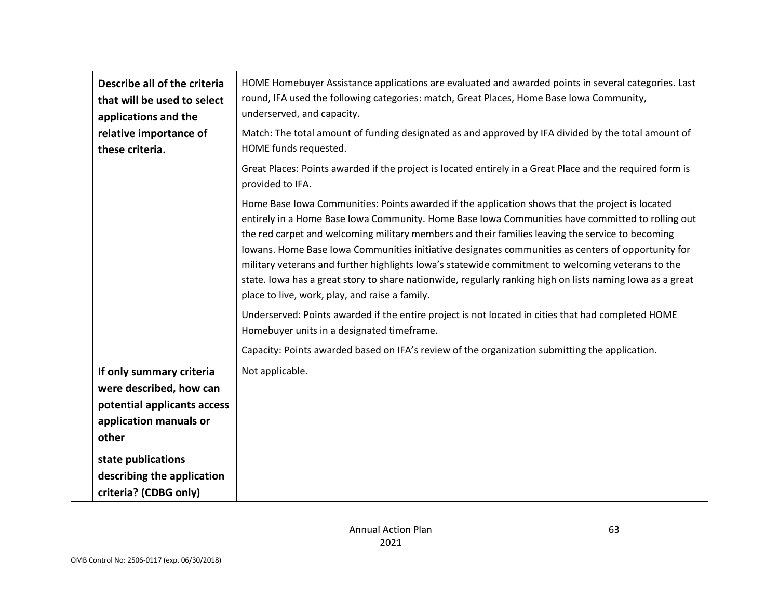| Describe all of the criteria<br>that will be used to select<br>applications and the                                                         | HOME Homebuyer Assistance applications are evaluated and awarded points in several categories. Last<br>round, IFA used the following categories: match, Great Places, Home Base Iowa Community,<br>underserved, and capacity.                                                                                                                                                                                                                                                                                                                                                                                                                                                                                                                                                           |
|---------------------------------------------------------------------------------------------------------------------------------------------|-----------------------------------------------------------------------------------------------------------------------------------------------------------------------------------------------------------------------------------------------------------------------------------------------------------------------------------------------------------------------------------------------------------------------------------------------------------------------------------------------------------------------------------------------------------------------------------------------------------------------------------------------------------------------------------------------------------------------------------------------------------------------------------------|
| relative importance of<br>these criteria.                                                                                                   | Match: The total amount of funding designated as and approved by IFA divided by the total amount of<br>HOME funds requested.                                                                                                                                                                                                                                                                                                                                                                                                                                                                                                                                                                                                                                                            |
|                                                                                                                                             | Great Places: Points awarded if the project is located entirely in a Great Place and the required form is<br>provided to IFA.                                                                                                                                                                                                                                                                                                                                                                                                                                                                                                                                                                                                                                                           |
|                                                                                                                                             | Home Base Iowa Communities: Points awarded if the application shows that the project is located<br>entirely in a Home Base Iowa Community. Home Base Iowa Communities have committed to rolling out<br>the red carpet and welcoming military members and their families leaving the service to becoming<br>Iowans. Home Base Iowa Communities initiative designates communities as centers of opportunity for<br>military veterans and further highlights lowa's statewide commitment to welcoming veterans to the<br>state. Iowa has a great story to share nationwide, regularly ranking high on lists naming Iowa as a great<br>place to live, work, play, and raise a family.<br>Underserved: Points awarded if the entire project is not located in cities that had completed HOME |
|                                                                                                                                             | Homebuyer units in a designated timeframe.                                                                                                                                                                                                                                                                                                                                                                                                                                                                                                                                                                                                                                                                                                                                              |
| If only summary criteria<br>were described, how can<br>potential applicants access<br>application manuals or<br>other<br>state publications | Capacity: Points awarded based on IFA's review of the organization submitting the application.<br>Not applicable.                                                                                                                                                                                                                                                                                                                                                                                                                                                                                                                                                                                                                                                                       |
| describing the application<br>criteria? (CDBG only)                                                                                         |                                                                                                                                                                                                                                                                                                                                                                                                                                                                                                                                                                                                                                                                                                                                                                                         |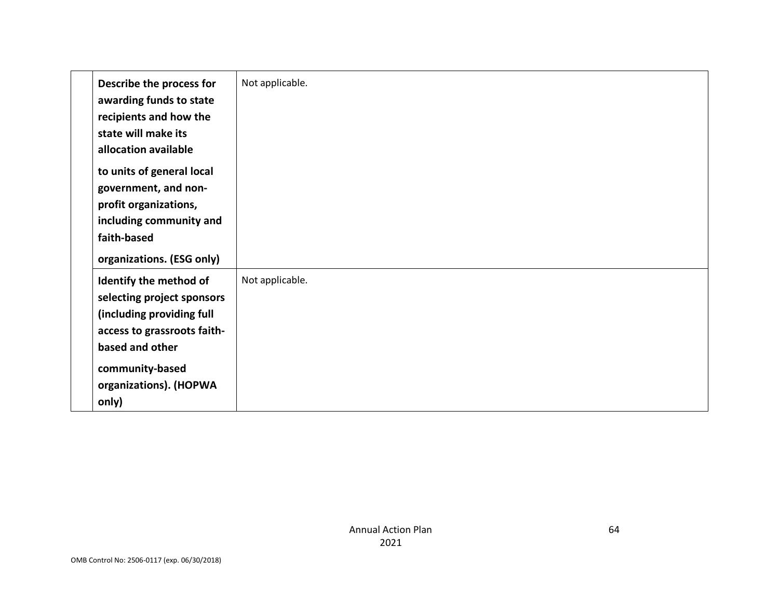| Describe the process for<br>awarding funds to state<br>recipients and how the<br>state will make its<br>allocation available                                                              | Not applicable. |
|-------------------------------------------------------------------------------------------------------------------------------------------------------------------------------------------|-----------------|
| to units of general local<br>government, and non-<br>profit organizations,<br>including community and<br>faith-based<br>organizations. (ESG only)                                         |                 |
| Identify the method of<br>selecting project sponsors<br>(including providing full<br>access to grassroots faith-<br>based and other<br>community-based<br>organizations). (HOPWA<br>only) | Not applicable. |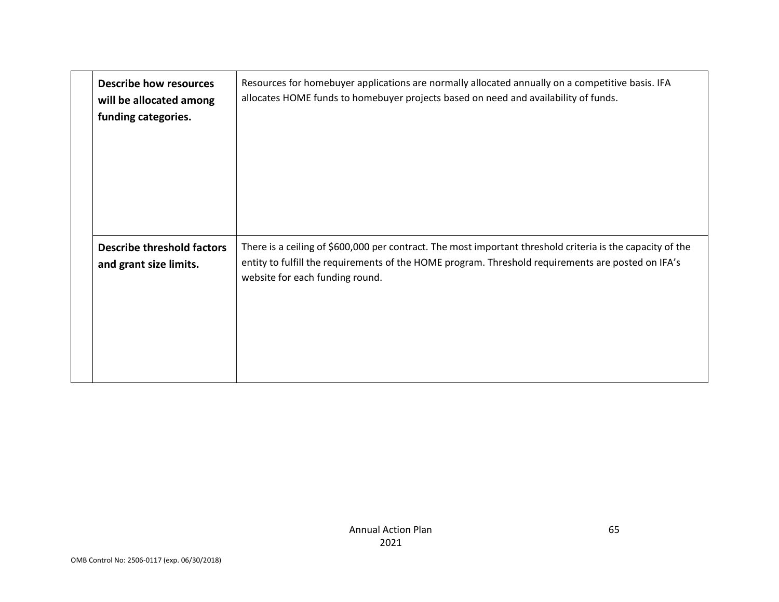| <b>Describe how resources</b><br>will be allocated among<br>funding categories. | Resources for homebuyer applications are normally allocated annually on a competitive basis. IFA<br>allocates HOME funds to homebuyer projects based on need and availability of funds.                                                             |
|---------------------------------------------------------------------------------|-----------------------------------------------------------------------------------------------------------------------------------------------------------------------------------------------------------------------------------------------------|
| <b>Describe threshold factors</b><br>and grant size limits.                     | There is a ceiling of \$600,000 per contract. The most important threshold criteria is the capacity of the<br>entity to fulfill the requirements of the HOME program. Threshold requirements are posted on IFA's<br>website for each funding round. |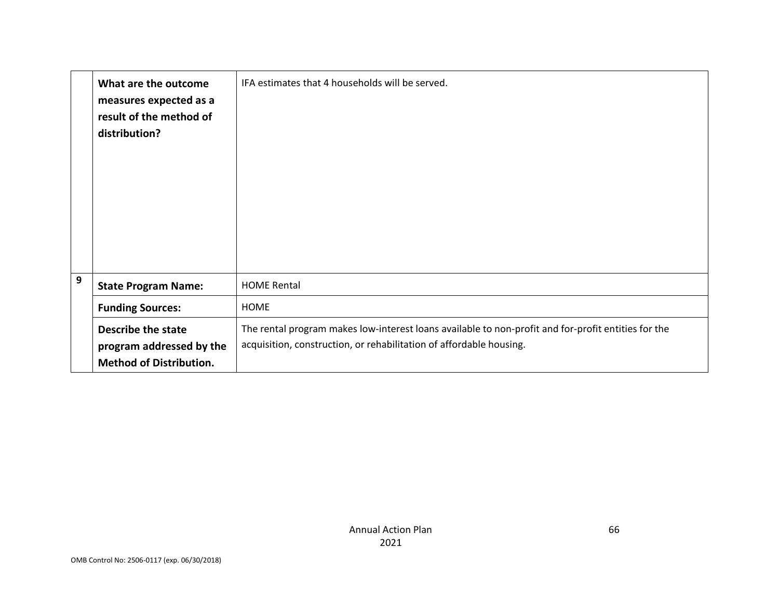|   | What are the outcome<br>measures expected as a<br>result of the method of<br>distribution? | IFA estimates that 4 households will be served.                                                                                                                            |
|---|--------------------------------------------------------------------------------------------|----------------------------------------------------------------------------------------------------------------------------------------------------------------------------|
| 9 | <b>State Program Name:</b>                                                                 | <b>HOME Rental</b>                                                                                                                                                         |
|   | <b>Funding Sources:</b>                                                                    | <b>HOME</b>                                                                                                                                                                |
|   | Describe the state<br>program addressed by the<br><b>Method of Distribution.</b>           | The rental program makes low-interest loans available to non-profit and for-profit entities for the<br>acquisition, construction, or rehabilitation of affordable housing. |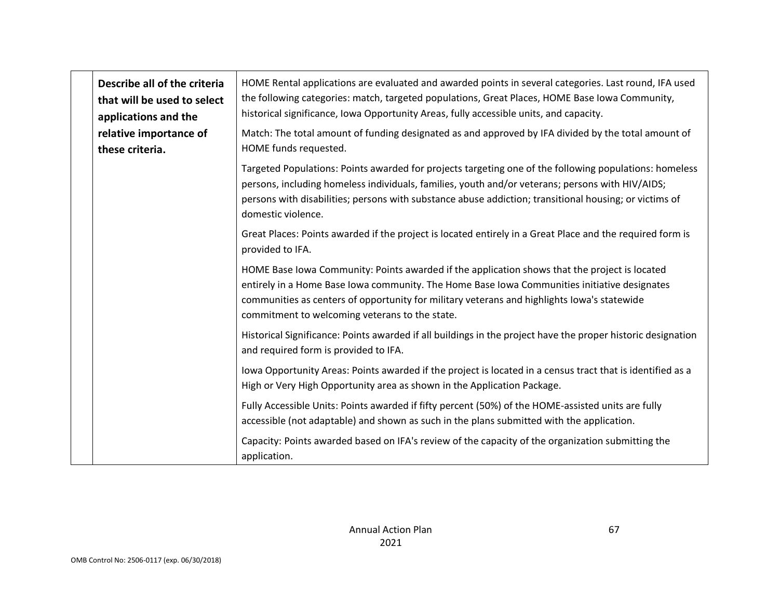| Describe all of the criteria<br>that will be used to select<br>applications and the | HOME Rental applications are evaluated and awarded points in several categories. Last round, IFA used<br>the following categories: match, targeted populations, Great Places, HOME Base Iowa Community,<br>historical significance, Iowa Opportunity Areas, fully accessible units, and capacity.                                              |
|-------------------------------------------------------------------------------------|------------------------------------------------------------------------------------------------------------------------------------------------------------------------------------------------------------------------------------------------------------------------------------------------------------------------------------------------|
| relative importance of<br>these criteria.                                           | Match: The total amount of funding designated as and approved by IFA divided by the total amount of<br>HOME funds requested.                                                                                                                                                                                                                   |
|                                                                                     | Targeted Populations: Points awarded for projects targeting one of the following populations: homeless<br>persons, including homeless individuals, families, youth and/or veterans; persons with HIV/AIDS;<br>persons with disabilities; persons with substance abuse addiction; transitional housing; or victims of<br>domestic violence.     |
|                                                                                     | Great Places: Points awarded if the project is located entirely in a Great Place and the required form is<br>provided to IFA.                                                                                                                                                                                                                  |
|                                                                                     | HOME Base lowa Community: Points awarded if the application shows that the project is located<br>entirely in a Home Base Iowa community. The Home Base Iowa Communities initiative designates<br>communities as centers of opportunity for military veterans and highlights lowa's statewide<br>commitment to welcoming veterans to the state. |
|                                                                                     | Historical Significance: Points awarded if all buildings in the project have the proper historic designation<br>and required form is provided to IFA.                                                                                                                                                                                          |
|                                                                                     | lowa Opportunity Areas: Points awarded if the project is located in a census tract that is identified as a<br>High or Very High Opportunity area as shown in the Application Package.                                                                                                                                                          |
|                                                                                     | Fully Accessible Units: Points awarded if fifty percent (50%) of the HOME-assisted units are fully<br>accessible (not adaptable) and shown as such in the plans submitted with the application.                                                                                                                                                |
|                                                                                     | Capacity: Points awarded based on IFA's review of the capacity of the organization submitting the<br>application.                                                                                                                                                                                                                              |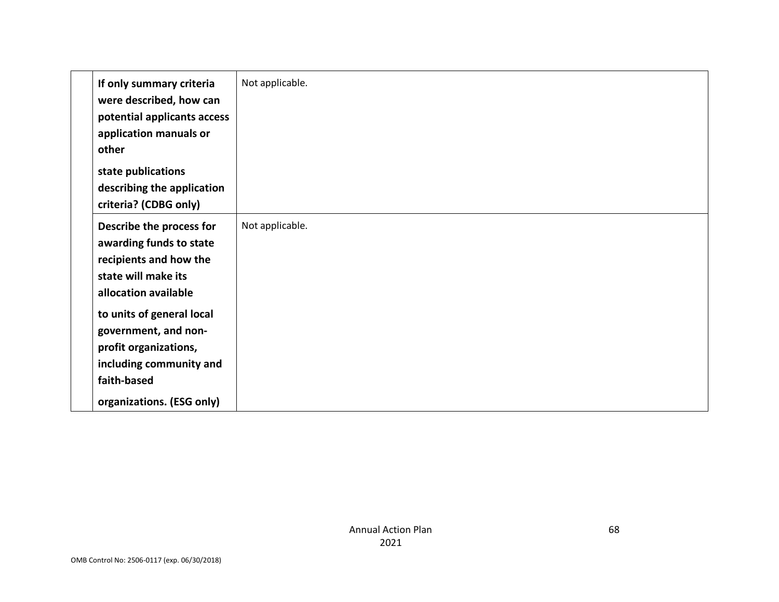| If only summary criteria<br>were described, how can<br>potential applicants access<br>application manuals or<br>other | Not applicable. |
|-----------------------------------------------------------------------------------------------------------------------|-----------------|
| state publications                                                                                                    |                 |
| describing the application                                                                                            |                 |
| criteria? (CDBG only)                                                                                                 |                 |
| Describe the process for                                                                                              | Not applicable. |
| awarding funds to state                                                                                               |                 |
| recipients and how the                                                                                                |                 |
| state will make its                                                                                                   |                 |
| allocation available                                                                                                  |                 |
| to units of general local                                                                                             |                 |
| government, and non-                                                                                                  |                 |
| profit organizations,                                                                                                 |                 |
| including community and                                                                                               |                 |
| faith-based                                                                                                           |                 |
| organizations. (ESG only)                                                                                             |                 |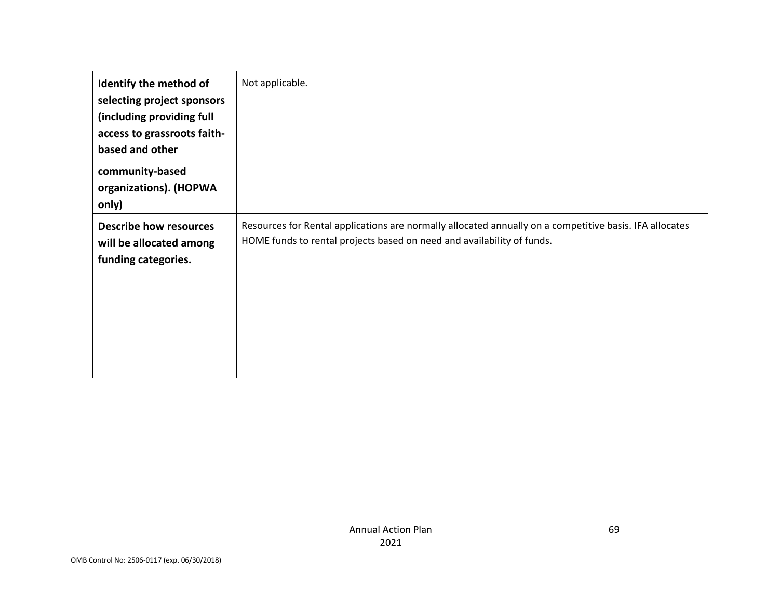| Identify the method of<br>selecting project sponsors<br>(including providing full<br>access to grassroots faith-<br>based and other<br>community-based<br>organizations). (HOPWA<br>only) | Not applicable.                                                                                                                                                                   |
|-------------------------------------------------------------------------------------------------------------------------------------------------------------------------------------------|-----------------------------------------------------------------------------------------------------------------------------------------------------------------------------------|
| <b>Describe how resources</b><br>will be allocated among<br>funding categories.                                                                                                           | Resources for Rental applications are normally allocated annually on a competitive basis. IFA allocates<br>HOME funds to rental projects based on need and availability of funds. |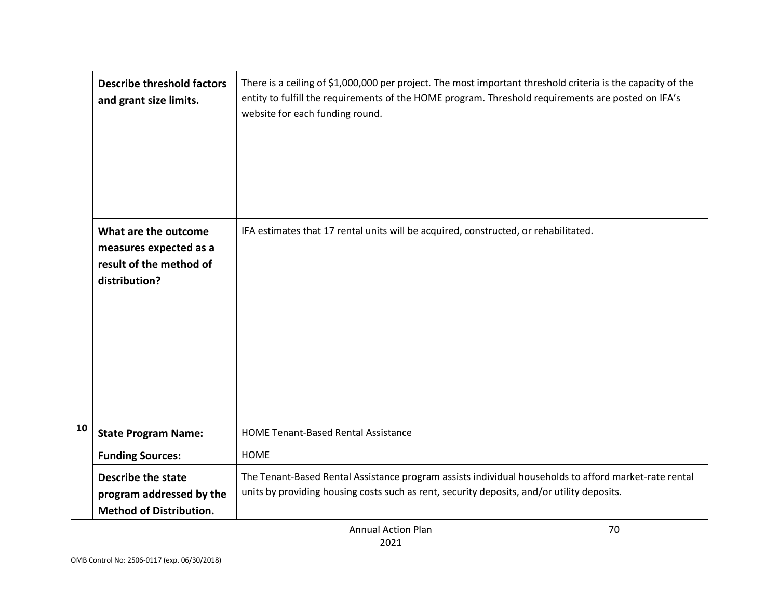|    | <b>Describe threshold factors</b><br>and grant size limits.                                | There is a ceiling of \$1,000,000 per project. The most important threshold criteria is the capacity of the<br>entity to fulfill the requirements of the HOME program. Threshold requirements are posted on IFA's<br>website for each funding round. |
|----|--------------------------------------------------------------------------------------------|------------------------------------------------------------------------------------------------------------------------------------------------------------------------------------------------------------------------------------------------------|
|    | What are the outcome<br>measures expected as a<br>result of the method of<br>distribution? | IFA estimates that 17 rental units will be acquired, constructed, or rehabilitated.                                                                                                                                                                  |
| 10 | <b>State Program Name:</b>                                                                 | <b>HOME Tenant-Based Rental Assistance</b>                                                                                                                                                                                                           |
|    | <b>Funding Sources:</b>                                                                    | <b>HOME</b>                                                                                                                                                                                                                                          |
|    | <b>Describe the state</b><br>program addressed by the<br><b>Method of Distribution.</b>    | The Tenant-Based Rental Assistance program assists individual households to afford market-rate rental<br>units by providing housing costs such as rent, security deposits, and/or utility deposits.                                                  |

70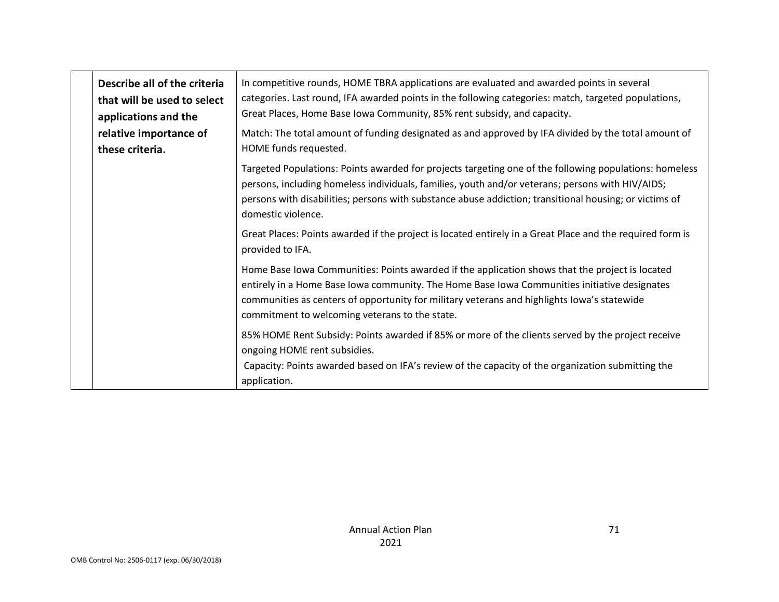| Describe all of the criteria<br>that will be used to select<br>applications and the | In competitive rounds, HOME TBRA applications are evaluated and awarded points in several<br>categories. Last round, IFA awarded points in the following categories: match, targeted populations,<br>Great Places, Home Base Iowa Community, 85% rent subsidy, and capacity.                                                                     |
|-------------------------------------------------------------------------------------|--------------------------------------------------------------------------------------------------------------------------------------------------------------------------------------------------------------------------------------------------------------------------------------------------------------------------------------------------|
| relative importance of<br>these criteria.                                           | Match: The total amount of funding designated as and approved by IFA divided by the total amount of<br>HOME funds requested.                                                                                                                                                                                                                     |
|                                                                                     | Targeted Populations: Points awarded for projects targeting one of the following populations: homeless<br>persons, including homeless individuals, families, youth and/or veterans; persons with HIV/AIDS;<br>persons with disabilities; persons with substance abuse addiction; transitional housing; or victims of<br>domestic violence.       |
|                                                                                     | Great Places: Points awarded if the project is located entirely in a Great Place and the required form is<br>provided to IFA.                                                                                                                                                                                                                    |
|                                                                                     | Home Base Iowa Communities: Points awarded if the application shows that the project is located<br>entirely in a Home Base Iowa community. The Home Base Iowa Communities initiative designates<br>communities as centers of opportunity for military veterans and highlights lowa's statewide<br>commitment to welcoming veterans to the state. |
|                                                                                     | 85% HOME Rent Subsidy: Points awarded if 85% or more of the clients served by the project receive<br>ongoing HOME rent subsidies.<br>Capacity: Points awarded based on IFA's review of the capacity of the organization submitting the<br>application.                                                                                           |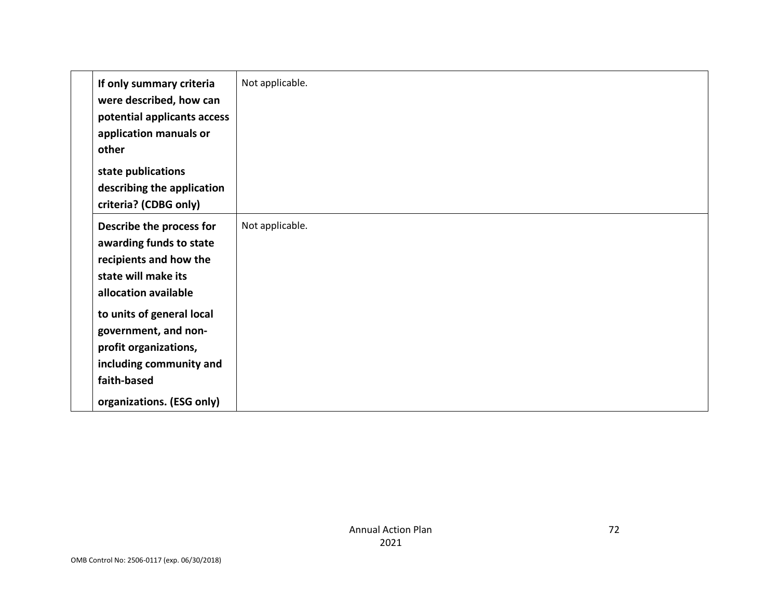| If only summary criteria<br>were described, how can<br>potential applicants access<br>application manuals or<br>other | Not applicable. |
|-----------------------------------------------------------------------------------------------------------------------|-----------------|
| state publications                                                                                                    |                 |
| describing the application                                                                                            |                 |
| criteria? (CDBG only)                                                                                                 |                 |
| Describe the process for                                                                                              | Not applicable. |
| awarding funds to state                                                                                               |                 |
| recipients and how the                                                                                                |                 |
| state will make its                                                                                                   |                 |
| allocation available                                                                                                  |                 |
| to units of general local                                                                                             |                 |
| government, and non-                                                                                                  |                 |
| profit organizations,                                                                                                 |                 |
| including community and                                                                                               |                 |
| faith-based                                                                                                           |                 |
| organizations. (ESG only)                                                                                             |                 |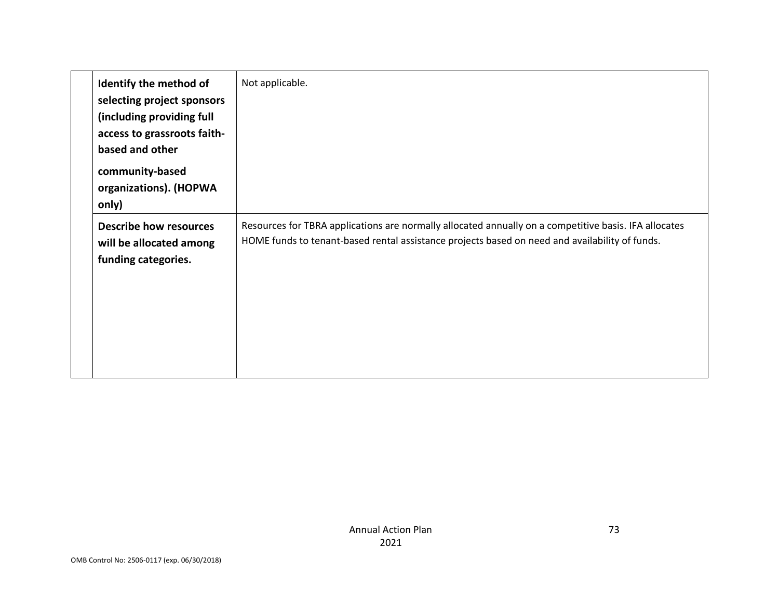| Identify the method of<br>selecting project sponsors<br>(including providing full<br>access to grassroots faith-<br>based and other<br>community-based<br>organizations). (HOPWA<br>only) | Not applicable.                                                                                                                                                                                         |
|-------------------------------------------------------------------------------------------------------------------------------------------------------------------------------------------|---------------------------------------------------------------------------------------------------------------------------------------------------------------------------------------------------------|
| <b>Describe how resources</b><br>will be allocated among<br>funding categories.                                                                                                           | Resources for TBRA applications are normally allocated annually on a competitive basis. IFA allocates<br>HOME funds to tenant-based rental assistance projects based on need and availability of funds. |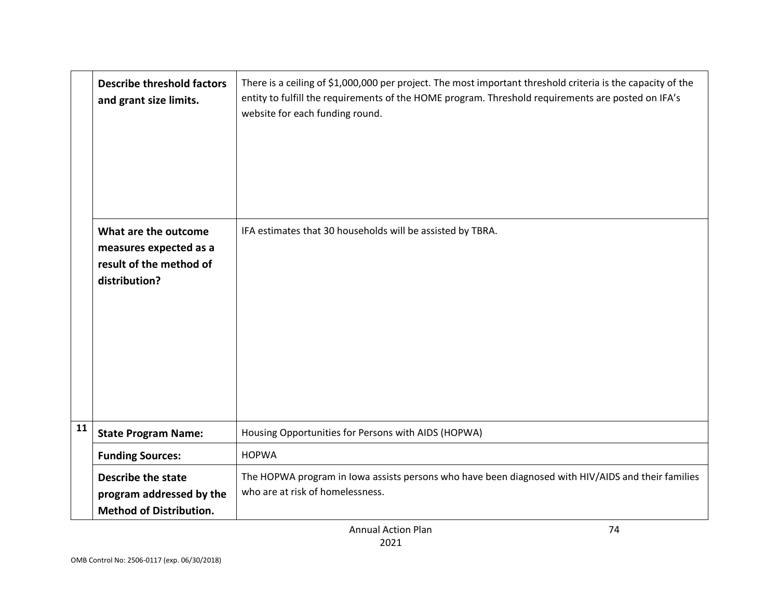|    | <b>Describe threshold factors</b><br>and grant size limits.                                | There is a ceiling of \$1,000,000 per project. The most important threshold criteria is the capacity of the<br>entity to fulfill the requirements of the HOME program. Threshold requirements are posted on IFA's<br>website for each funding round. |
|----|--------------------------------------------------------------------------------------------|------------------------------------------------------------------------------------------------------------------------------------------------------------------------------------------------------------------------------------------------------|
|    | What are the outcome<br>measures expected as a<br>result of the method of<br>distribution? | IFA estimates that 30 households will be assisted by TBRA.                                                                                                                                                                                           |
| 11 | <b>State Program Name:</b>                                                                 | Housing Opportunities for Persons with AIDS (HOPWA)                                                                                                                                                                                                  |
|    | <b>Funding Sources:</b>                                                                    | <b>HOPWA</b>                                                                                                                                                                                                                                         |
|    | <b>Describe the state</b><br>program addressed by the<br><b>Method of Distribution.</b>    | The HOPWA program in Iowa assists persons who have been diagnosed with HIV/AIDS and their families<br>who are at risk of homelessness.                                                                                                               |

74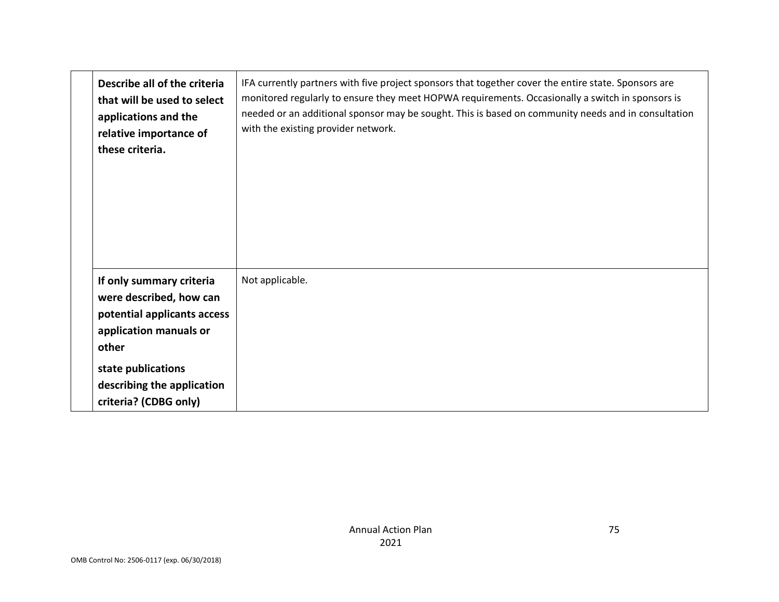| Describe all of the criteria<br>that will be used to select<br>applications and the<br>relative importance of<br>these criteria.                                                                   | IFA currently partners with five project sponsors that together cover the entire state. Sponsors are<br>monitored regularly to ensure they meet HOPWA requirements. Occasionally a switch in sponsors is<br>needed or an additional sponsor may be sought. This is based on community needs and in consultation<br>with the existing provider network. |
|----------------------------------------------------------------------------------------------------------------------------------------------------------------------------------------------------|--------------------------------------------------------------------------------------------------------------------------------------------------------------------------------------------------------------------------------------------------------------------------------------------------------------------------------------------------------|
| If only summary criteria<br>were described, how can<br>potential applicants access<br>application manuals or<br>other<br>state publications<br>describing the application<br>criteria? (CDBG only) | Not applicable.                                                                                                                                                                                                                                                                                                                                        |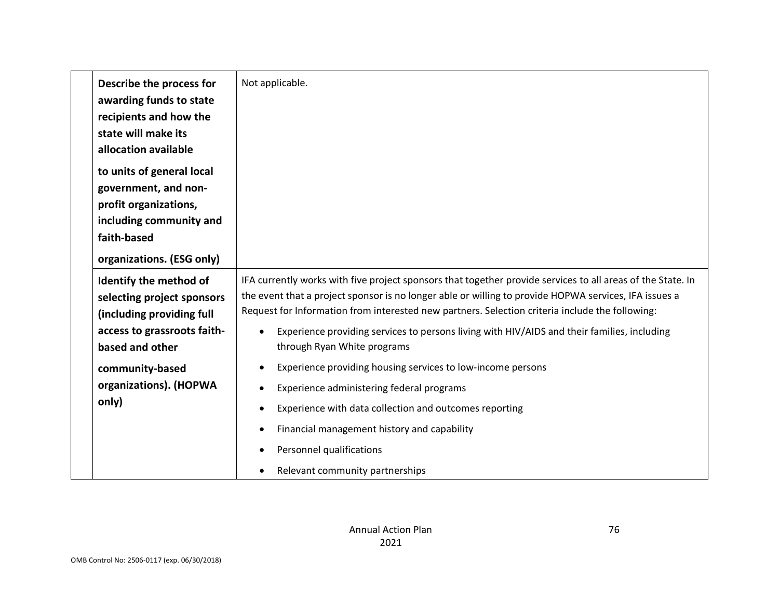|             | Describe the process for<br>awarding funds to state<br>recipients and how the<br>state will make its<br>allocation available | Not applicable.                                                                                                                                                                                                                                                                                                         |
|-------------|------------------------------------------------------------------------------------------------------------------------------|-------------------------------------------------------------------------------------------------------------------------------------------------------------------------------------------------------------------------------------------------------------------------------------------------------------------------|
| faith-based | to units of general local<br>government, and non-<br>profit organizations,<br>including community and                        |                                                                                                                                                                                                                                                                                                                         |
|             | organizations. (ESG only)                                                                                                    |                                                                                                                                                                                                                                                                                                                         |
|             | Identify the method of<br>selecting project sponsors<br>(including providing full                                            | IFA currently works with five project sponsors that together provide services to all areas of the State. In<br>the event that a project sponsor is no longer able or willing to provide HOPWA services, IFA issues a<br>Request for Information from interested new partners. Selection criteria include the following: |
|             | access to grassroots faith-<br>based and other                                                                               | Experience providing services to persons living with HIV/AIDS and their families, including<br>through Ryan White programs                                                                                                                                                                                              |
| only)       | community-based<br>organizations). (HOPWA                                                                                    | Experience providing housing services to low-income persons<br>Experience administering federal programs<br>Experience with data collection and outcomes reporting<br>Financial management history and capability<br>Personnel qualifications                                                                           |
|             |                                                                                                                              | Relevant community partnerships                                                                                                                                                                                                                                                                                         |

76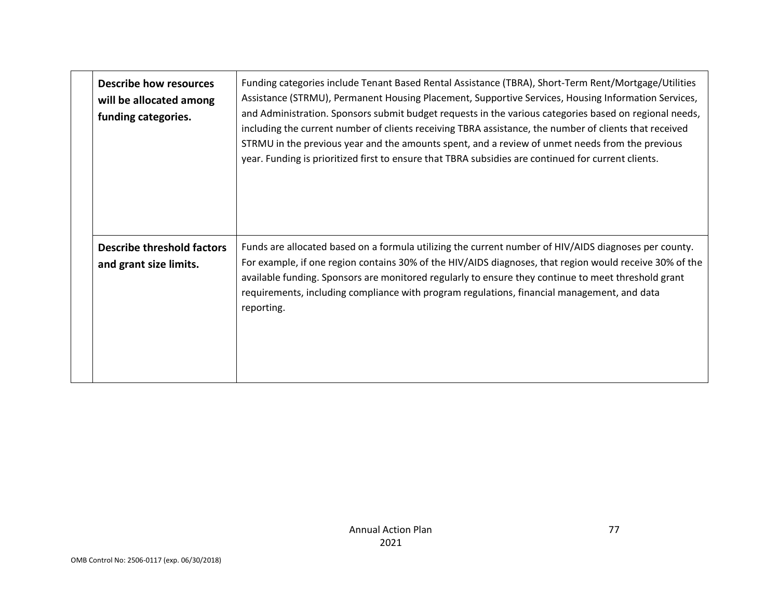| <b>Describe how resources</b><br>will be allocated among<br>funding categories. | Funding categories include Tenant Based Rental Assistance (TBRA), Short-Term Rent/Mortgage/Utilities<br>Assistance (STRMU), Permanent Housing Placement, Supportive Services, Housing Information Services,<br>and Administration. Sponsors submit budget requests in the various categories based on regional needs,<br>including the current number of clients receiving TBRA assistance, the number of clients that received<br>STRMU in the previous year and the amounts spent, and a review of unmet needs from the previous<br>year. Funding is prioritized first to ensure that TBRA subsidies are continued for current clients. |
|---------------------------------------------------------------------------------|-------------------------------------------------------------------------------------------------------------------------------------------------------------------------------------------------------------------------------------------------------------------------------------------------------------------------------------------------------------------------------------------------------------------------------------------------------------------------------------------------------------------------------------------------------------------------------------------------------------------------------------------|
| <b>Describe threshold factors</b><br>and grant size limits.                     | Funds are allocated based on a formula utilizing the current number of HIV/AIDS diagnoses per county.<br>For example, if one region contains 30% of the HIV/AIDS diagnoses, that region would receive 30% of the<br>available funding. Sponsors are monitored regularly to ensure they continue to meet threshold grant<br>requirements, including compliance with program regulations, financial management, and data<br>reporting.                                                                                                                                                                                                      |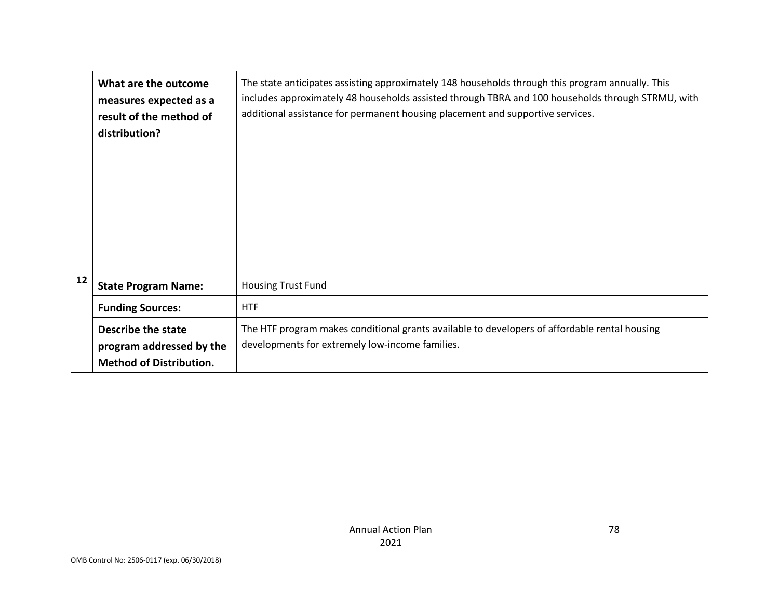|    | What are the outcome<br>measures expected as a<br>result of the method of<br>distribution? | The state anticipates assisting approximately 148 households through this program annually. This<br>includes approximately 48 households assisted through TBRA and 100 households through STRMU, with<br>additional assistance for permanent housing placement and supportive services. |
|----|--------------------------------------------------------------------------------------------|-----------------------------------------------------------------------------------------------------------------------------------------------------------------------------------------------------------------------------------------------------------------------------------------|
| 12 | <b>State Program Name:</b>                                                                 | <b>Housing Trust Fund</b>                                                                                                                                                                                                                                                               |
|    | <b>Funding Sources:</b>                                                                    | <b>HTF</b>                                                                                                                                                                                                                                                                              |
|    | Describe the state<br>program addressed by the<br><b>Method of Distribution.</b>           | The HTF program makes conditional grants available to developers of affordable rental housing<br>developments for extremely low-income families.                                                                                                                                        |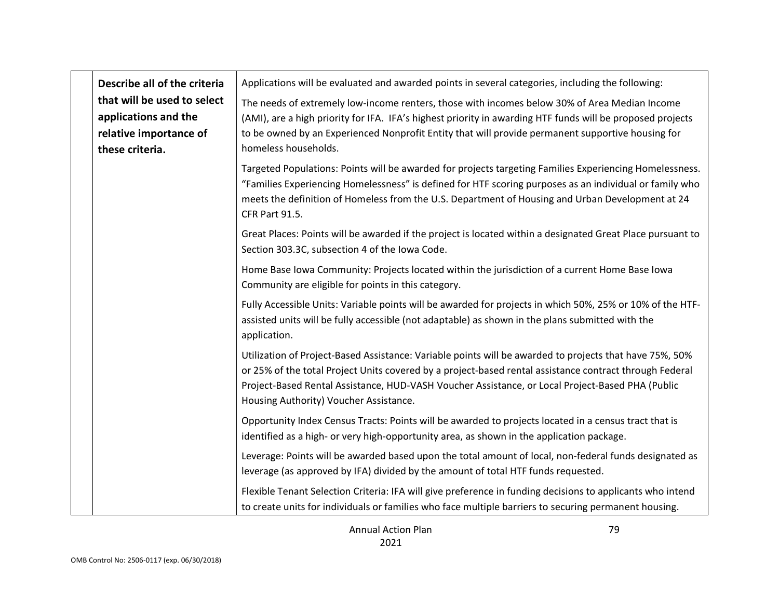| Describe all of the criteria                                                                     | Applications will be evaluated and awarded points in several categories, including the following:                                                                                                                                                                                                                                                                |
|--------------------------------------------------------------------------------------------------|------------------------------------------------------------------------------------------------------------------------------------------------------------------------------------------------------------------------------------------------------------------------------------------------------------------------------------------------------------------|
| that will be used to select<br>applications and the<br>relative importance of<br>these criteria. | The needs of extremely low-income renters, those with incomes below 30% of Area Median Income<br>(AMI), are a high priority for IFA. IFA's highest priority in awarding HTF funds will be proposed projects<br>to be owned by an Experienced Nonprofit Entity that will provide permanent supportive housing for<br>homeless households.                         |
|                                                                                                  | Targeted Populations: Points will be awarded for projects targeting Families Experiencing Homelessness.<br>"Families Experiencing Homelessness" is defined for HTF scoring purposes as an individual or family who<br>meets the definition of Homeless from the U.S. Department of Housing and Urban Development at 24<br>CFR Part 91.5.                         |
|                                                                                                  | Great Places: Points will be awarded if the project is located within a designated Great Place pursuant to<br>Section 303.3C, subsection 4 of the Iowa Code.                                                                                                                                                                                                     |
|                                                                                                  | Home Base Iowa Community: Projects located within the jurisdiction of a current Home Base Iowa<br>Community are eligible for points in this category.                                                                                                                                                                                                            |
|                                                                                                  | Fully Accessible Units: Variable points will be awarded for projects in which 50%, 25% or 10% of the HTF-<br>assisted units will be fully accessible (not adaptable) as shown in the plans submitted with the<br>application.                                                                                                                                    |
|                                                                                                  | Utilization of Project-Based Assistance: Variable points will be awarded to projects that have 75%, 50%<br>or 25% of the total Project Units covered by a project-based rental assistance contract through Federal<br>Project-Based Rental Assistance, HUD-VASH Voucher Assistance, or Local Project-Based PHA (Public<br>Housing Authority) Voucher Assistance. |
|                                                                                                  | Opportunity Index Census Tracts: Points will be awarded to projects located in a census tract that is<br>identified as a high- or very high-opportunity area, as shown in the application package.                                                                                                                                                               |
|                                                                                                  | Leverage: Points will be awarded based upon the total amount of local, non-federal funds designated as<br>leverage (as approved by IFA) divided by the amount of total HTF funds requested.                                                                                                                                                                      |
|                                                                                                  | Flexible Tenant Selection Criteria: IFA will give preference in funding decisions to applicants who intend<br>to create units for individuals or families who face multiple barriers to securing permanent housing.                                                                                                                                              |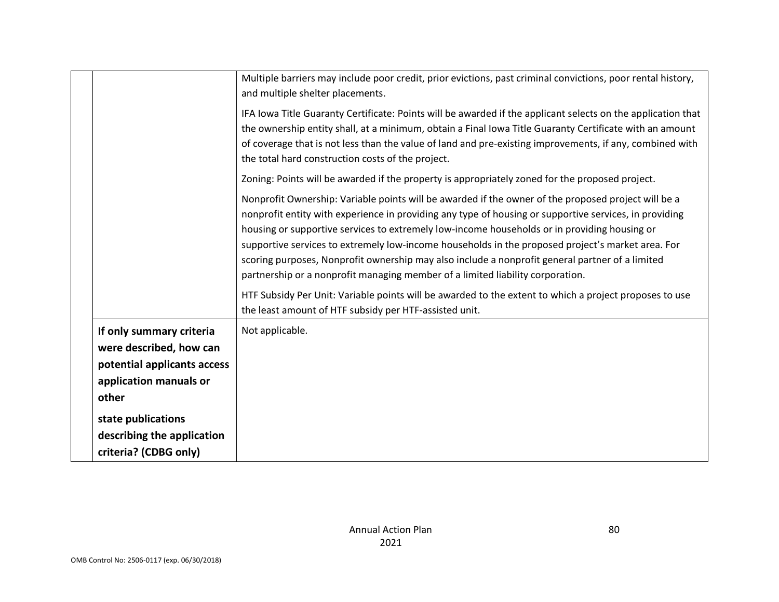|                                                                                                                       | Multiple barriers may include poor credit, prior evictions, past criminal convictions, poor rental history,<br>and multiple shelter placements.                                                                                                                                                                                                                                                                                                                                                                                                                                                         |
|-----------------------------------------------------------------------------------------------------------------------|---------------------------------------------------------------------------------------------------------------------------------------------------------------------------------------------------------------------------------------------------------------------------------------------------------------------------------------------------------------------------------------------------------------------------------------------------------------------------------------------------------------------------------------------------------------------------------------------------------|
|                                                                                                                       | IFA Iowa Title Guaranty Certificate: Points will be awarded if the applicant selects on the application that<br>the ownership entity shall, at a minimum, obtain a Final Iowa Title Guaranty Certificate with an amount<br>of coverage that is not less than the value of land and pre-existing improvements, if any, combined with<br>the total hard construction costs of the project.                                                                                                                                                                                                                |
|                                                                                                                       | Zoning: Points will be awarded if the property is appropriately zoned for the proposed project.                                                                                                                                                                                                                                                                                                                                                                                                                                                                                                         |
|                                                                                                                       | Nonprofit Ownership: Variable points will be awarded if the owner of the proposed project will be a<br>nonprofit entity with experience in providing any type of housing or supportive services, in providing<br>housing or supportive services to extremely low-income households or in providing housing or<br>supportive services to extremely low-income households in the proposed project's market area. For<br>scoring purposes, Nonprofit ownership may also include a nonprofit general partner of a limited<br>partnership or a nonprofit managing member of a limited liability corporation. |
|                                                                                                                       | HTF Subsidy Per Unit: Variable points will be awarded to the extent to which a project proposes to use<br>the least amount of HTF subsidy per HTF-assisted unit.                                                                                                                                                                                                                                                                                                                                                                                                                                        |
| If only summary criteria<br>were described, how can<br>potential applicants access<br>application manuals or<br>other | Not applicable.                                                                                                                                                                                                                                                                                                                                                                                                                                                                                                                                                                                         |
| state publications<br>describing the application<br>criteria? (CDBG only)                                             |                                                                                                                                                                                                                                                                                                                                                                                                                                                                                                                                                                                                         |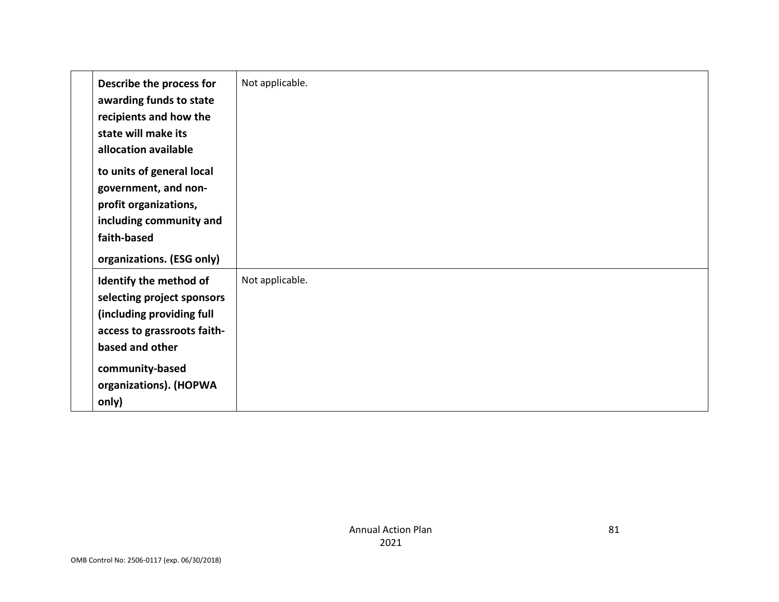| Describe the process for<br>awarding funds to state<br>recipients and how the<br>state will make its<br>allocation available                                                              | Not applicable. |
|-------------------------------------------------------------------------------------------------------------------------------------------------------------------------------------------|-----------------|
| to units of general local<br>government, and non-<br>profit organizations,<br>including community and<br>faith-based<br>organizations. (ESG only)                                         |                 |
| Identify the method of<br>selecting project sponsors<br>(including providing full<br>access to grassroots faith-<br>based and other<br>community-based<br>organizations). (HOPWA<br>only) | Not applicable. |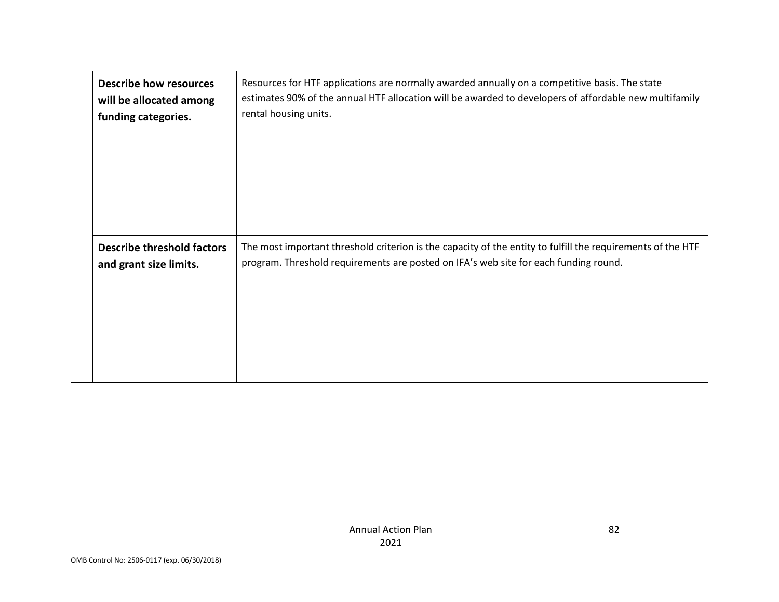| <b>Describe how resources</b>     | Resources for HTF applications are normally awarded annually on a competitive basis. The state              |
|-----------------------------------|-------------------------------------------------------------------------------------------------------------|
| will be allocated among           | estimates 90% of the annual HTF allocation will be awarded to developers of affordable new multifamily      |
| funding categories.               | rental housing units.                                                                                       |
| <b>Describe threshold factors</b> | The most important threshold criterion is the capacity of the entity to fulfill the requirements of the HTF |
| and grant size limits.            | program. Threshold requirements are posted on IFA's web site for each funding round.                        |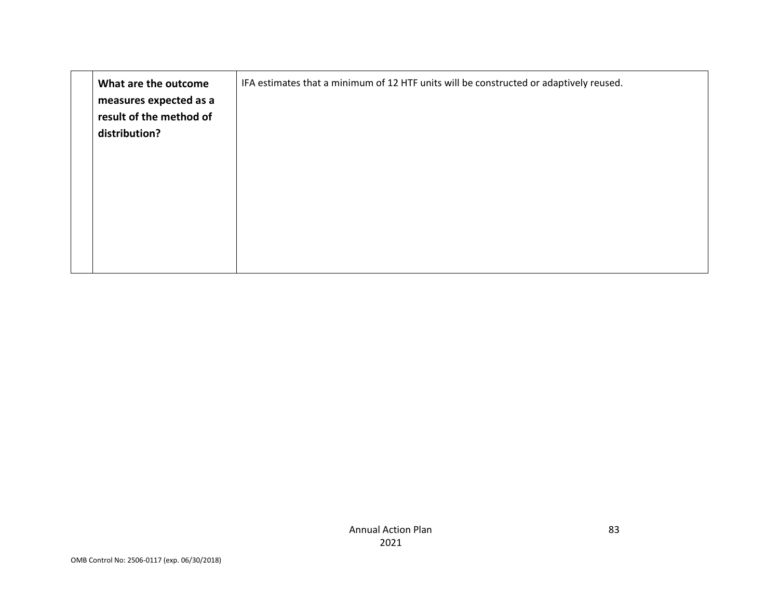| What are the outcome<br>measures expected as a<br>result of the method of<br>distribution? | IFA estimates that a minimum of 12 HTF units will be constructed or adaptively reused. |
|--------------------------------------------------------------------------------------------|----------------------------------------------------------------------------------------|
|                                                                                            |                                                                                        |
|                                                                                            |                                                                                        |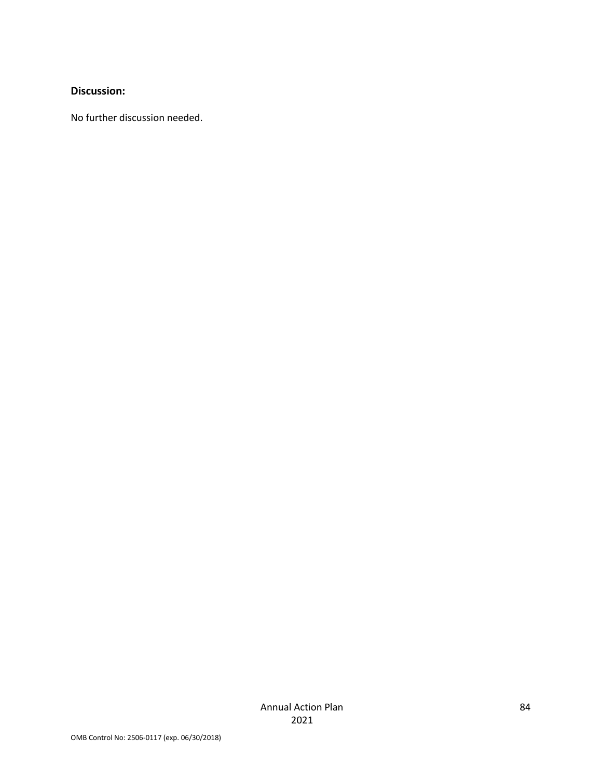#### **Discussion:**

No further discussion needed.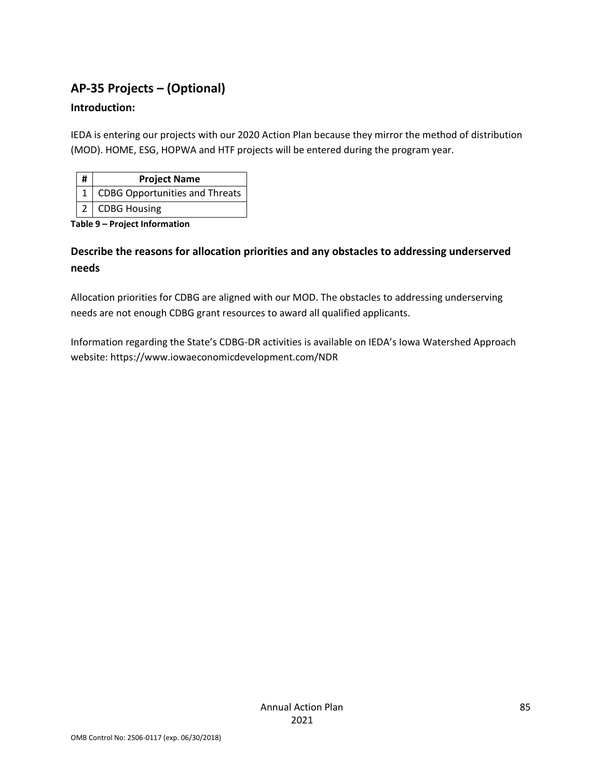# **AP-35 Projects – (Optional)**

### **Introduction:**

IEDA is entering our projects with our 2020 Action Plan because they mirror the method of distribution (MOD). HOME, ESG, HOPWA and HTF projects will be entered during the program year.

| # | <b>Project Name</b>            |
|---|--------------------------------|
|   | CDBG Opportunities and Threats |
|   | 2   CDBG Housing               |

**Table 9 – Project Information**

### **Describe the reasons for allocation priorities and any obstacles to addressing underserved needs**

Allocation priorities for CDBG are aligned with our MOD. The obstacles to addressing underserving needs are not enough CDBG grant resources to award all qualified applicants.

Information regarding the State's CDBG-DR activities is available on IEDA's Iowa Watershed Approach website: https://www.iowaeconomicdevelopment.com/NDR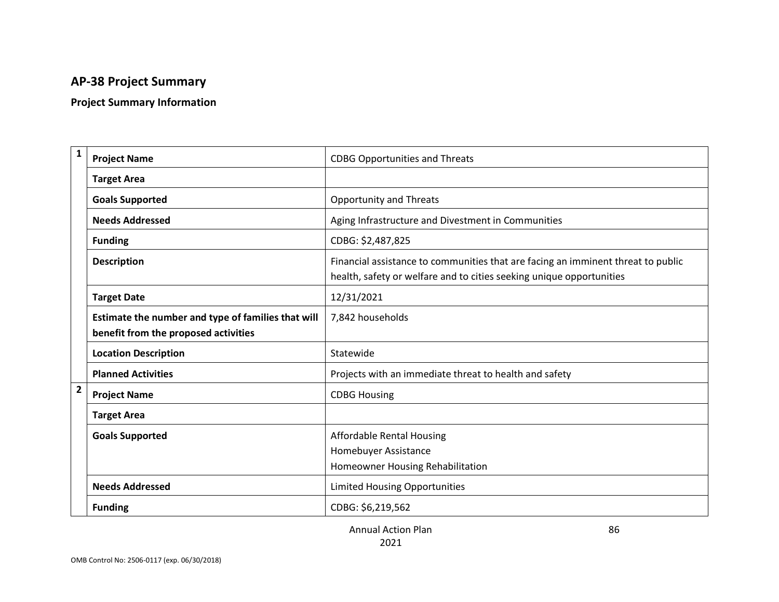# **AP-38 Project Summary**

### **Project Summary Information**

| $\mathbf{1}$   | <b>Project Name</b>                                                                        | <b>CDBG Opportunities and Threats</b>                                                                                                                    |
|----------------|--------------------------------------------------------------------------------------------|----------------------------------------------------------------------------------------------------------------------------------------------------------|
|                | <b>Target Area</b>                                                                         |                                                                                                                                                          |
|                | <b>Goals Supported</b>                                                                     | <b>Opportunity and Threats</b>                                                                                                                           |
|                | <b>Needs Addressed</b>                                                                     | Aging Infrastructure and Divestment in Communities                                                                                                       |
|                | <b>Funding</b>                                                                             | CDBG: \$2,487,825                                                                                                                                        |
|                | <b>Description</b>                                                                         | Financial assistance to communities that are facing an imminent threat to public<br>health, safety or welfare and to cities seeking unique opportunities |
|                | <b>Target Date</b>                                                                         | 12/31/2021                                                                                                                                               |
|                | Estimate the number and type of families that will<br>benefit from the proposed activities | 7,842 households                                                                                                                                         |
|                | <b>Location Description</b>                                                                | Statewide                                                                                                                                                |
|                | <b>Planned Activities</b>                                                                  | Projects with an immediate threat to health and safety                                                                                                   |
| $\overline{2}$ | <b>Project Name</b>                                                                        | <b>CDBG Housing</b>                                                                                                                                      |
|                | <b>Target Area</b>                                                                         |                                                                                                                                                          |
|                | <b>Goals Supported</b>                                                                     | <b>Affordable Rental Housing</b><br>Homebuyer Assistance<br>Homeowner Housing Rehabilitation                                                             |
|                | <b>Needs Addressed</b>                                                                     | <b>Limited Housing Opportunities</b>                                                                                                                     |
|                | <b>Funding</b>                                                                             | CDBG: \$6,219,562                                                                                                                                        |

Annual Action Plan 2021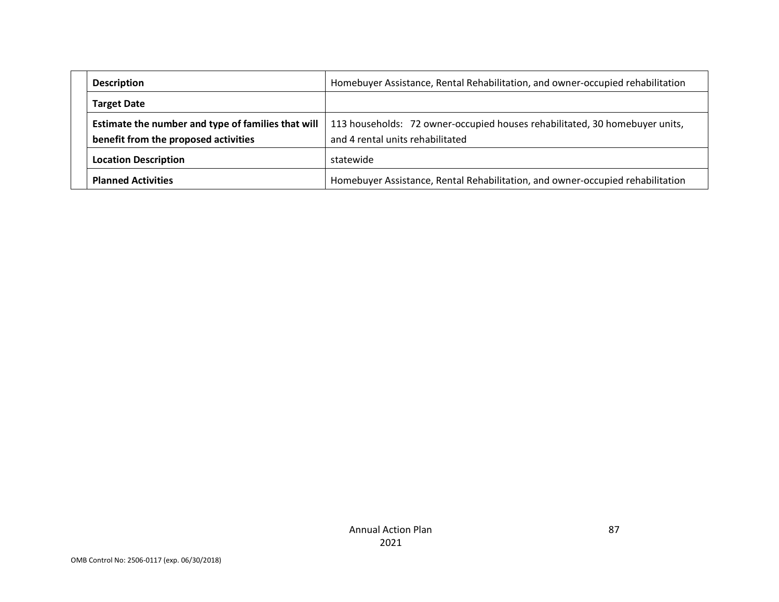| <b>Description</b>                                                                         | Homebuyer Assistance, Rental Rehabilitation, and owner-occupied rehabilitation                                  |
|--------------------------------------------------------------------------------------------|-----------------------------------------------------------------------------------------------------------------|
| <b>Target Date</b>                                                                         |                                                                                                                 |
| Estimate the number and type of families that will<br>benefit from the proposed activities | 113 households: 72 owner-occupied houses rehabilitated, 30 homebuyer units,<br>and 4 rental units rehabilitated |
| <b>Location Description</b>                                                                | statewide                                                                                                       |
| <b>Planned Activities</b>                                                                  | Homebuyer Assistance, Rental Rehabilitation, and owner-occupied rehabilitation                                  |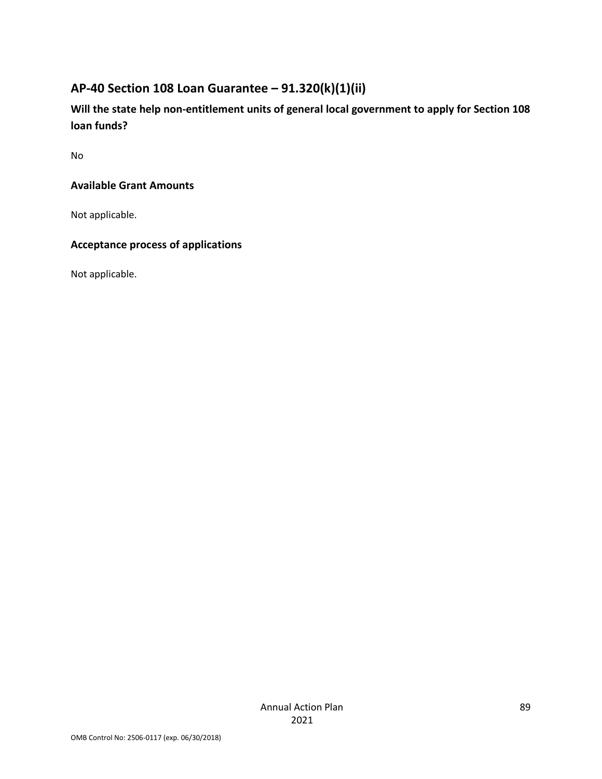# **AP-40 Section 108 Loan Guarantee – 91.320(k)(1)(ii)**

**Will the state help non-entitlement units of general local government to apply for Section 108 loan funds?**

No

### **Available Grant Amounts**

Not applicable.

### **Acceptance process of applications**

Not applicable.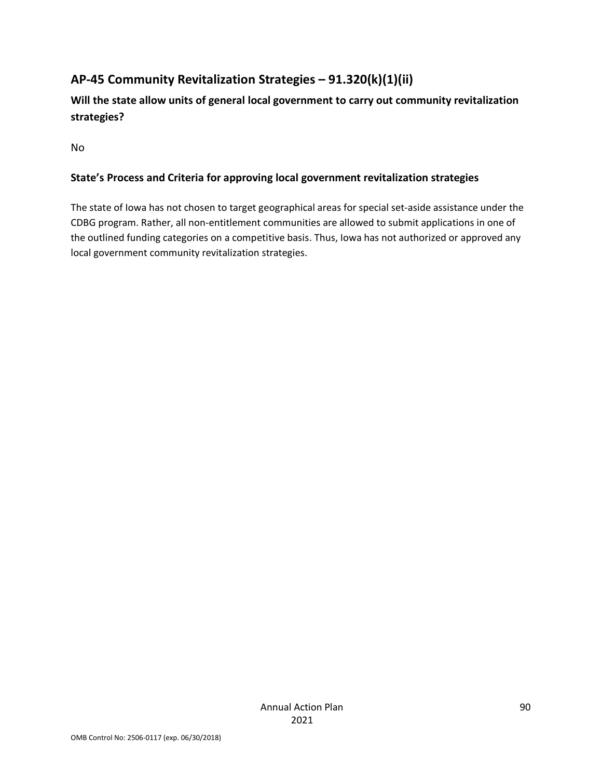# **AP-45 Community Revitalization Strategies – 91.320(k)(1)(ii)**

**Will the state allow units of general local government to carry out community revitalization strategies?**

No

### **State's Process and Criteria for approving local government revitalization strategies**

The state of Iowa has not chosen to target geographical areas for special set-aside assistance under the CDBG program. Rather, all non-entitlement communities are allowed to submit applications in one of the outlined funding categories on a competitive basis. Thus, Iowa has not authorized or approved any local government community revitalization strategies.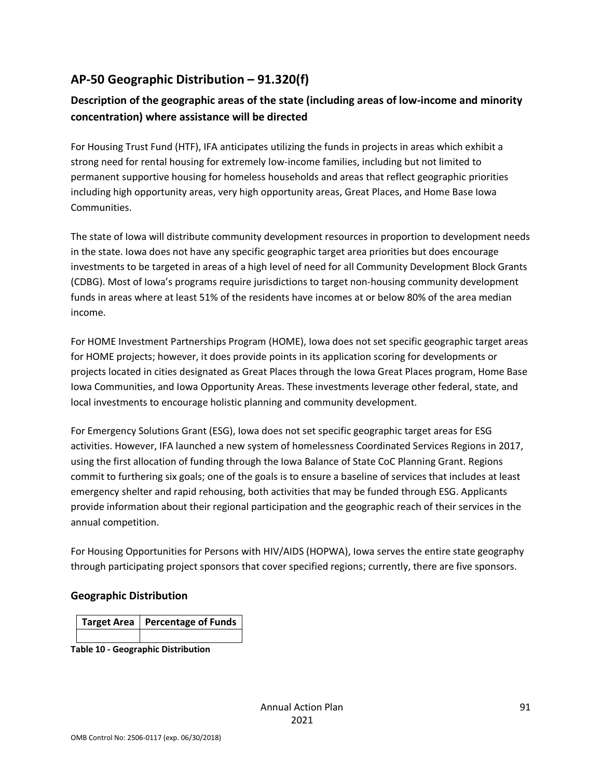# **AP-50 Geographic Distribution – 91.320(f)**

### **Description of the geographic areas of the state (including areas of low-income and minority concentration) where assistance will be directed**

For Housing Trust Fund (HTF), IFA anticipates utilizing the funds in projects in areas which exhibit a strong need for rental housing for extremely low-income families, including but not limited to permanent supportive housing for homeless households and areas that reflect geographic priorities including high opportunity areas, very high opportunity areas, Great Places, and Home Base Iowa Communities.

The state of Iowa will distribute community development resources in proportion to development needs in the state. Iowa does not have any specific geographic target area priorities but does encourage investments to be targeted in areas of a high level of need for all Community Development Block Grants (CDBG). Most of Iowa's programs require jurisdictions to target non-housing community development funds in areas where at least 51% of the residents have incomes at or below 80% of the area median income.

For HOME Investment Partnerships Program (HOME), Iowa does not set specific geographic target areas for HOME projects; however, it does provide points in its application scoring for developments or projects located in cities designated as Great Places through the Iowa Great Places program, Home Base Iowa Communities, and Iowa Opportunity Areas. These investments leverage other federal, state, and local investments to encourage holistic planning and community development.

For Emergency Solutions Grant (ESG), Iowa does not set specific geographic target areas for ESG activities. However, IFA launched a new system of homelessness Coordinated Services Regions in 2017, using the first allocation of funding through the Iowa Balance of State CoC Planning Grant. Regions commit to furthering six goals; one of the goals is to ensure a baseline of services that includes at least emergency shelter and rapid rehousing, both activities that may be funded through ESG. Applicants provide information about their regional participation and the geographic reach of their services in the annual competition.

For Housing Opportunities for Persons with HIV/AIDS (HOPWA), Iowa serves the entire state geography through participating project sponsors that cover specified regions; currently, there are five sponsors.

#### **Geographic Distribution**

| Target Area   Percentage of Funds |
|-----------------------------------|
|                                   |

**Table 10 - Geographic Distribution**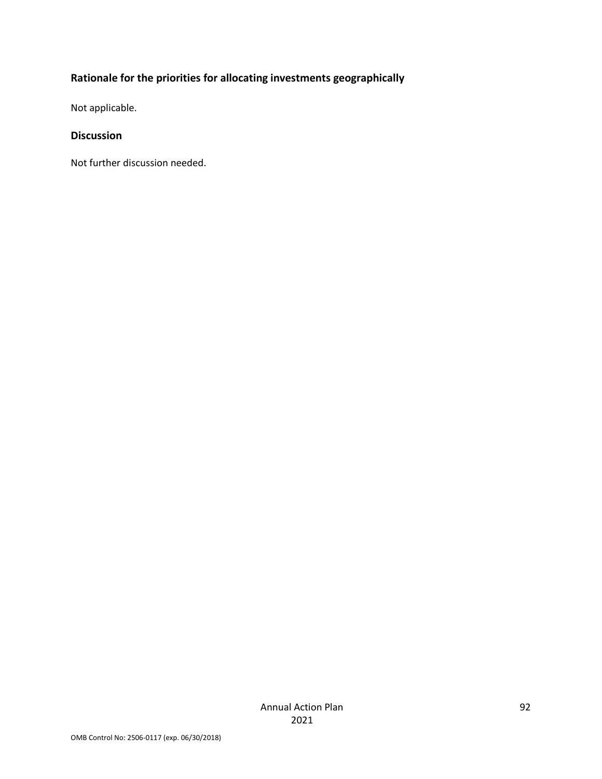# **Rationale for the priorities for allocating investments geographically**

Not applicable.

### **Discussion**

Not further discussion needed.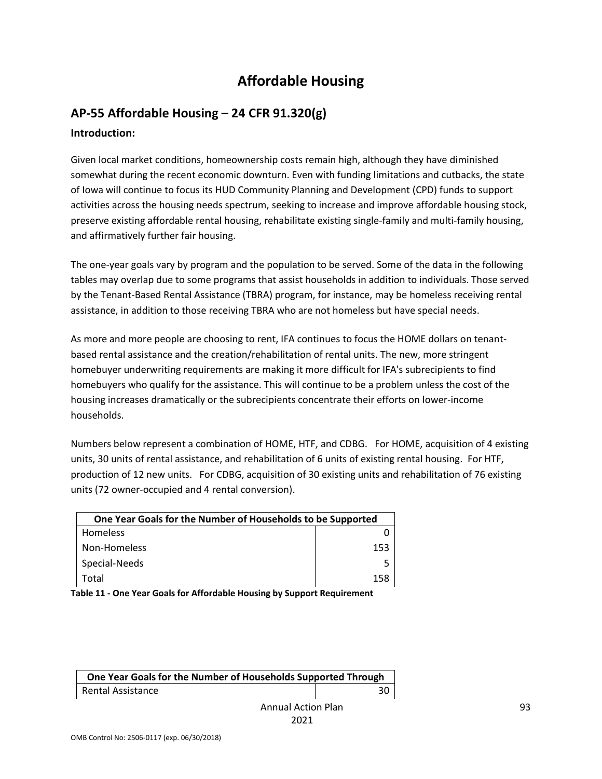# **Affordable Housing**

### **AP-55 Affordable Housing – 24 CFR 91.320(g) Introduction:**

Given local market conditions, homeownership costs remain high, although they have diminished somewhat during the recent economic downturn. Even with funding limitations and cutbacks, the state of Iowa will continue to focus its HUD Community Planning and Development (CPD) funds to support activities across the housing needs spectrum, seeking to increase and improve affordable housing stock, preserve existing affordable rental housing, rehabilitate existing single-family and multi-family housing, and affirmatively further fair housing.

The one-year goals vary by program and the population to be served. Some of the data in the following tables may overlap due to some programs that assist households in addition to individuals. Those served by the Tenant-Based Rental Assistance (TBRA) program, for instance, may be homeless receiving rental assistance, in addition to those receiving TBRA who are not homeless but have special needs.

As more and more people are choosing to rent, IFA continues to focus the HOME dollars on tenantbased rental assistance and the creation/rehabilitation of rental units. The new, more stringent homebuyer underwriting requirements are making it more difficult for IFA's subrecipients to find homebuyers who qualify for the assistance. This will continue to be a problem unless the cost of the housing increases dramatically or the subrecipients concentrate their efforts on lower-income households.

Numbers below represent a combination of HOME, HTF, and CDBG. For HOME, acquisition of 4 existing units, 30 units of rental assistance, and rehabilitation of 6 units of existing rental housing. For HTF, production of 12 new units. For CDBG, acquisition of 30 existing units and rehabilitation of 76 existing units (72 owner-occupied and 4 rental conversion).

| One Year Goals for the Number of Households to be Supported |     |
|-------------------------------------------------------------|-----|
| Homeless                                                    |     |
| Non-Homeless                                                | 153 |
| Special-Needs                                               |     |
| Total                                                       | 158 |

**Table 11 - One Year Goals for Affordable Housing by Support Requirement**

| One Year Goals for the Number of Households Supported Through |    |
|---------------------------------------------------------------|----|
| Rental Assistance                                             | 30 |
| <b>Annual Action Plan</b>                                     |    |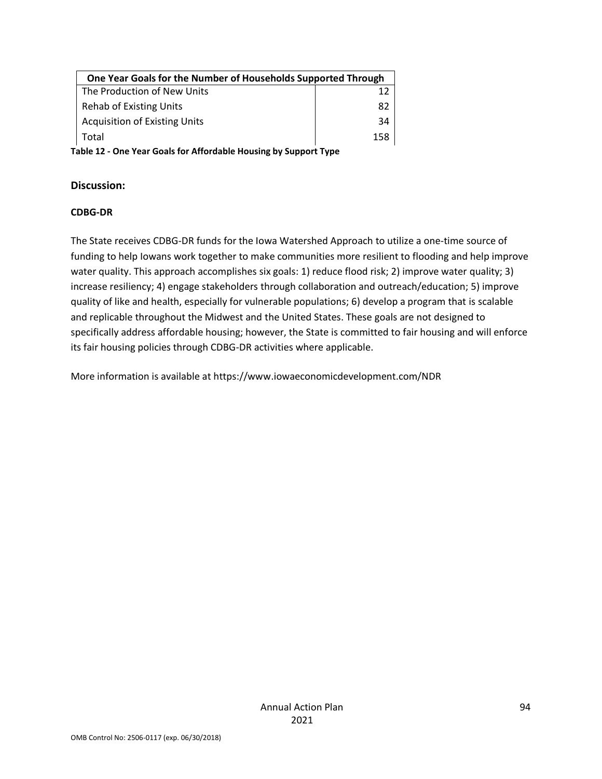| One Year Goals for the Number of Households Supported Through |     |
|---------------------------------------------------------------|-----|
| The Production of New Units                                   |     |
| Rehab of Existing Units                                       | 82  |
| <b>Acquisition of Existing Units</b>                          | 34  |
| Total                                                         | 158 |

**Table 12 - One Year Goals for Affordable Housing by Support Type**

#### **Discussion:**

#### **CDBG-DR**

The State receives CDBG-DR funds for the Iowa Watershed Approach to utilize a one-time source of funding to help Iowans work together to make communities more resilient to flooding and help improve water quality. This approach accomplishes six goals: 1) reduce flood risk; 2) improve water quality; 3) increase resiliency; 4) engage stakeholders through collaboration and outreach/education; 5) improve quality of like and health, especially for vulnerable populations; 6) develop a program that is scalable and replicable throughout the Midwest and the United States. These goals are not designed to specifically address affordable housing; however, the State is committed to fair housing and will enforce its fair housing policies through CDBG-DR activities where applicable.

More information is available at https://www.iowaeconomicdevelopment.com/NDR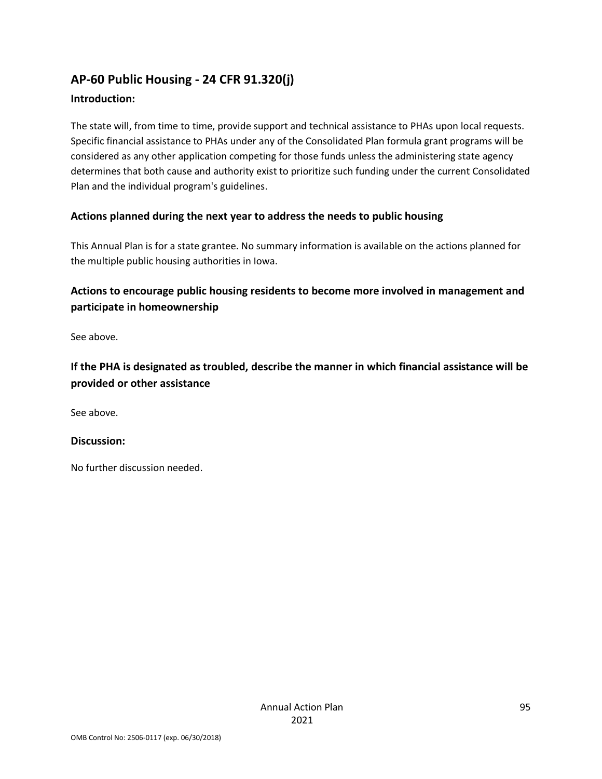# **AP-60 Public Housing - 24 CFR 91.320(j)**

### **Introduction:**

The state will, from time to time, provide support and technical assistance to PHAs upon local requests. Specific financial assistance to PHAs under any of the Consolidated Plan formula grant programs will be considered as any other application competing for those funds unless the administering state agency determines that both cause and authority exist to prioritize such funding under the current Consolidated Plan and the individual program's guidelines.

### **Actions planned during the next year to address the needs to public housing**

This Annual Plan is for a state grantee. No summary information is available on the actions planned for the multiple public housing authorities in Iowa.

### **Actions to encourage public housing residents to become more involved in management and participate in homeownership**

See above.

**If the PHA is designated as troubled, describe the manner in which financial assistance will be provided or other assistance** 

See above.

### **Discussion:**

No further discussion needed.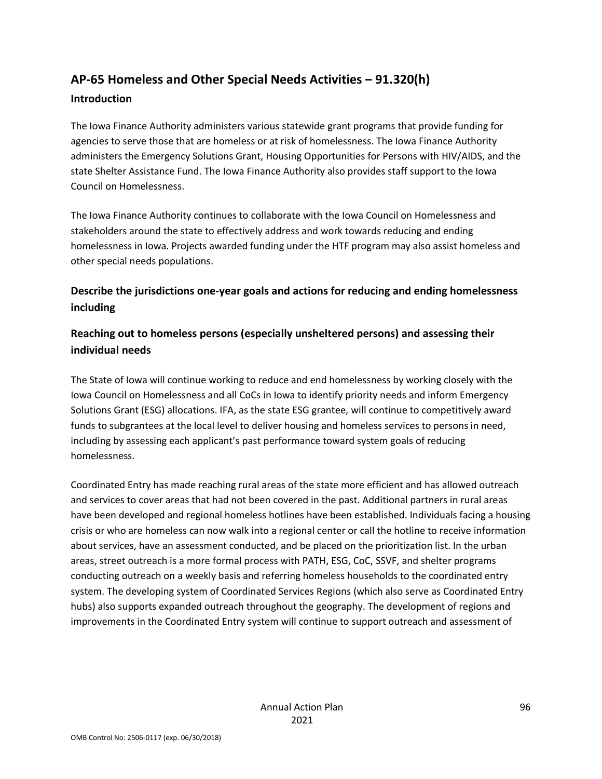# **AP-65 Homeless and Other Special Needs Activities – 91.320(h) Introduction**

The Iowa Finance Authority administers various statewide grant programs that provide funding for agencies to serve those that are homeless or at risk of homelessness. The Iowa Finance Authority administers the Emergency Solutions Grant, Housing Opportunities for Persons with HIV/AIDS, and the state Shelter Assistance Fund. The Iowa Finance Authority also provides staff support to the Iowa Council on Homelessness.

The Iowa Finance Authority continues to collaborate with the Iowa Council on Homelessness and stakeholders around the state to effectively address and work towards reducing and ending homelessness in Iowa. Projects awarded funding under the HTF program may also assist homeless and other special needs populations.

### **Describe the jurisdictions one-year goals and actions for reducing and ending homelessness including**

### **Reaching out to homeless persons (especially unsheltered persons) and assessing their individual needs**

The State of Iowa will continue working to reduce and end homelessness by working closely with the Iowa Council on Homelessness and all CoCs in Iowa to identify priority needs and inform Emergency Solutions Grant (ESG) allocations. IFA, as the state ESG grantee, will continue to competitively award funds to subgrantees at the local level to deliver housing and homeless services to persons in need, including by assessing each applicant's past performance toward system goals of reducing homelessness.

Coordinated Entry has made reaching rural areas of the state more efficient and has allowed outreach and services to cover areas that had not been covered in the past. Additional partners in rural areas have been developed and regional homeless hotlines have been established. Individuals facing a housing crisis or who are homeless can now walk into a regional center or call the hotline to receive information about services, have an assessment conducted, and be placed on the prioritization list. In the urban areas, street outreach is a more formal process with PATH, ESG, CoC, SSVF, and shelter programs conducting outreach on a weekly basis and referring homeless households to the coordinated entry system. The developing system of Coordinated Services Regions (which also serve as Coordinated Entry hubs) also supports expanded outreach throughout the geography. The development of regions and improvements in the Coordinated Entry system will continue to support outreach and assessment of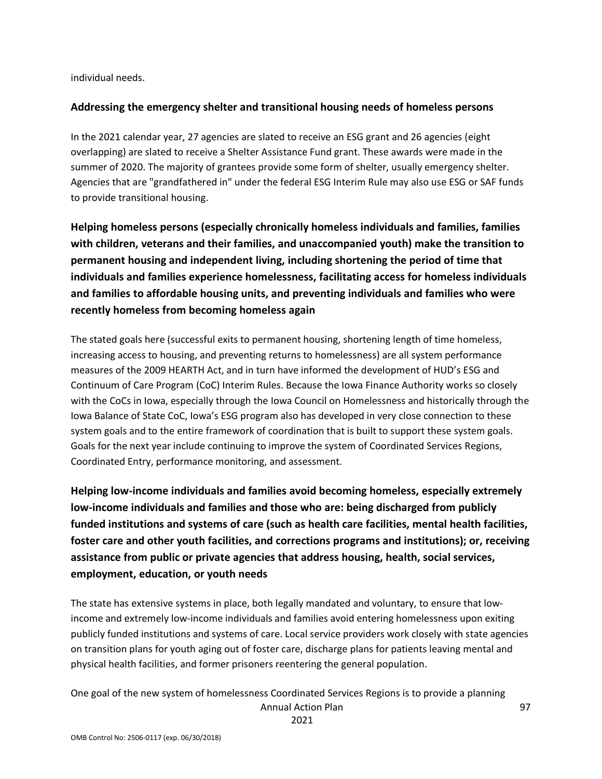individual needs.

#### **Addressing the emergency shelter and transitional housing needs of homeless persons**

In the 2021 calendar year, 27 agencies are slated to receive an ESG grant and 26 agencies (eight overlapping) are slated to receive a Shelter Assistance Fund grant. These awards were made in the summer of 2020. The majority of grantees provide some form of shelter, usually emergency shelter. Agencies that are "grandfathered in" under the federal ESG Interim Rule may also use ESG or SAF funds to provide transitional housing.

**Helping homeless persons (especially chronically homeless individuals and families, families with children, veterans and their families, and unaccompanied youth) make the transition to permanent housing and independent living, including shortening the period of time that individuals and families experience homelessness, facilitating access for homeless individuals and families to affordable housing units, and preventing individuals and families who were recently homeless from becoming homeless again**

The stated goals here (successful exits to permanent housing, shortening length of time homeless, increasing access to housing, and preventing returns to homelessness) are all system performance measures of the 2009 HEARTH Act, and in turn have informed the development of HUD's ESG and Continuum of Care Program (CoC) Interim Rules. Because the Iowa Finance Authority works so closely with the CoCs in Iowa, especially through the Iowa Council on Homelessness and historically through the Iowa Balance of State CoC, Iowa's ESG program also has developed in very close connection to these system goals and to the entire framework of coordination that is built to support these system goals. Goals for the next year include continuing to improve the system of Coordinated Services Regions, Coordinated Entry, performance monitoring, and assessment.

**Helping low-income individuals and families avoid becoming homeless, especially extremely low-income individuals and families and those who are: being discharged from publicly funded institutions and systems of care (such as health care facilities, mental health facilities, foster care and other youth facilities, and corrections programs and institutions); or, receiving assistance from public or private agencies that address housing, health, social services, employment, education, or youth needs**

The state has extensive systems in place, both legally mandated and voluntary, to ensure that lowincome and extremely low-income individuals and families avoid entering homelessness upon exiting publicly funded institutions and systems of care. Local service providers work closely with state agencies on transition plans for youth aging out of foster care, discharge plans for patients leaving mental and physical health facilities, and former prisoners reentering the general population.

One goal of the new system of homelessness Coordinated Services Regions is to provide a planning

Annual Action Plan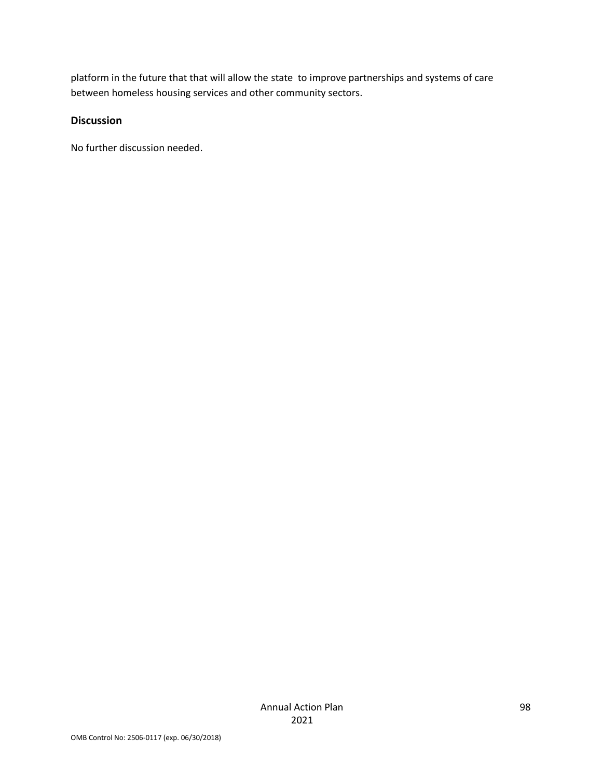platform in the future that that will allow the state to improve partnerships and systems of care between homeless housing services and other community sectors.

### **Discussion**

No further discussion needed.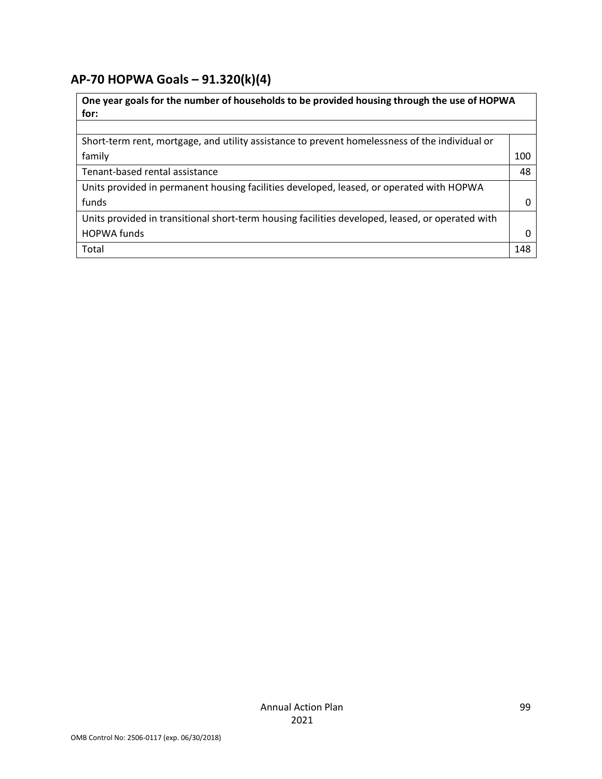# **AP-70 HOPWA Goals – 91.320(k)(4)**

| One year goals for the number of households to be provided housing through the use of HOPWA<br>for: |     |
|-----------------------------------------------------------------------------------------------------|-----|
|                                                                                                     |     |
| Short-term rent, mortgage, and utility assistance to prevent homelessness of the individual or      |     |
| family                                                                                              | 100 |
| Tenant-based rental assistance                                                                      | 48  |
| Units provided in permanent housing facilities developed, leased, or operated with HOPWA            |     |
| funds                                                                                               | O   |
| Units provided in transitional short-term housing facilities developed, leased, or operated with    |     |
| <b>HOPWA funds</b>                                                                                  | Ω   |
| Total                                                                                               | 148 |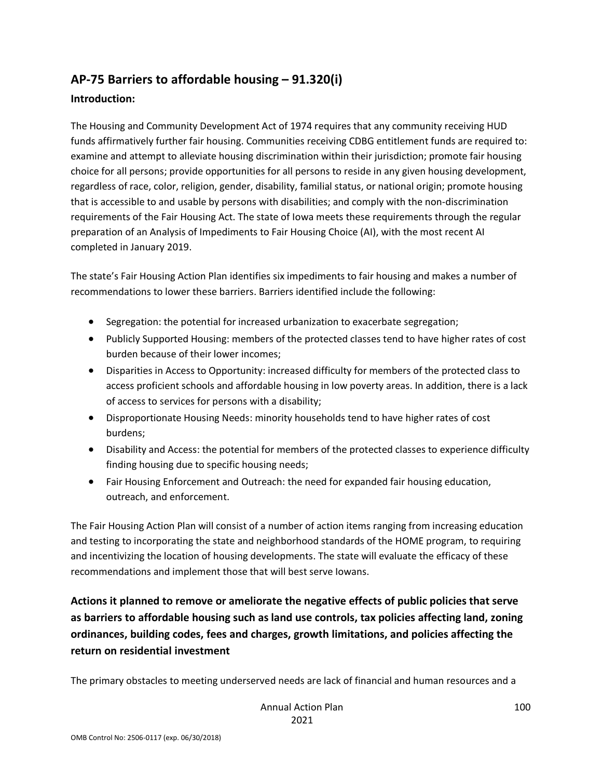# **AP-75 Barriers to affordable housing – 91.320(i)**

### **Introduction:**

The Housing and Community Development Act of 1974 requires that any community receiving HUD funds affirmatively further fair housing. Communities receiving CDBG entitlement funds are required to: examine and attempt to alleviate housing discrimination within their jurisdiction; promote fair housing choice for all persons; provide opportunities for all persons to reside in any given housing development, regardless of race, color, religion, gender, disability, familial status, or national origin; promote housing that is accessible to and usable by persons with disabilities; and comply with the non-discrimination requirements of the Fair Housing Act. The state of Iowa meets these requirements through the regular preparation of an Analysis of Impediments to Fair Housing Choice (AI), with the most recent AI completed in January 2019.

The state's Fair Housing Action Plan identifies six impediments to fair housing and makes a number of recommendations to lower these barriers. Barriers identified include the following:

- Segregation: the potential for increased urbanization to exacerbate segregation;
- Publicly Supported Housing: members of the protected classes tend to have higher rates of cost burden because of their lower incomes;
- Disparities in Access to Opportunity: increased difficulty for members of the protected class to access proficient schools and affordable housing in low poverty areas. In addition, there is a lack of access to services for persons with a disability;
- Disproportionate Housing Needs: minority households tend to have higher rates of cost burdens;
- Disability and Access: the potential for members of the protected classes to experience difficulty finding housing due to specific housing needs;
- Fair Housing Enforcement and Outreach: the need for expanded fair housing education, outreach, and enforcement.

The Fair Housing Action Plan will consist of a number of action items ranging from increasing education and testing to incorporating the state and neighborhood standards of the HOME program, to requiring and incentivizing the location of housing developments. The state will evaluate the efficacy of these recommendations and implement those that will best serve Iowans.

**Actions it planned to remove or ameliorate the negative effects of public policies that serve as barriers to affordable housing such as land use controls, tax policies affecting land, zoning ordinances, building codes, fees and charges, growth limitations, and policies affecting the return on residential investment**

The primary obstacles to meeting underserved needs are lack of financial and human resources and a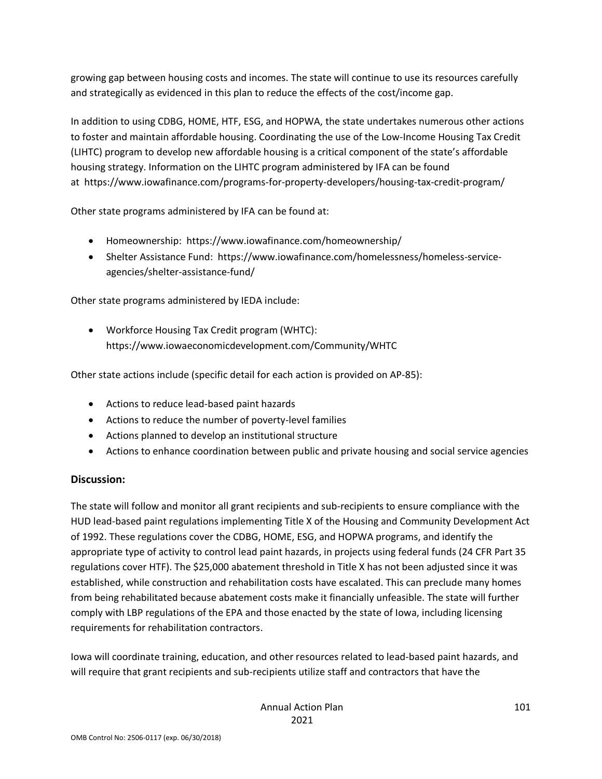growing gap between housing costs and incomes. The state will continue to use its resources carefully and strategically as evidenced in this plan to reduce the effects of the cost/income gap.

In addition to using CDBG, HOME, HTF, ESG, and HOPWA, the state undertakes numerous other actions to foster and maintain affordable housing. Coordinating the use of the Low-Income Housing Tax Credit (LIHTC) program to develop new affordable housing is a critical component of the state's affordable housing strategy. Information on the LIHTC program administered by IFA can be found at https://www.iowafinance.com/programs-for-property-developers/housing-tax-credit-program/

Other state programs administered by IFA can be found at:

- Homeownership: https://www.iowafinance.com/homeownership/
- Shelter Assistance Fund: https://www.iowafinance.com/homelessness/homeless-serviceagencies/shelter-assistance-fund/

Other state programs administered by IEDA include:

• Workforce Housing Tax Credit program (WHTC): https://www.iowaeconomicdevelopment.com/Community/WHTC

Other state actions include (specific detail for each action is provided on AP-85):

- Actions to reduce lead-based paint hazards
- Actions to reduce the number of poverty-level families
- Actions planned to develop an institutional structure
- Actions to enhance coordination between public and private housing and social service agencies

### **Discussion:**

The state will follow and monitor all grant recipients and sub-recipients to ensure compliance with the HUD lead-based paint regulations implementing Title X of the Housing and Community Development Act of 1992. These regulations cover the CDBG, HOME, ESG, and HOPWA programs, and identify the appropriate type of activity to control lead paint hazards, in projects using federal funds (24 CFR Part 35 regulations cover HTF). The \$25,000 abatement threshold in Title X has not been adjusted since it was established, while construction and rehabilitation costs have escalated. This can preclude many homes from being rehabilitated because abatement costs make it financially unfeasible. The state will further comply with LBP regulations of the EPA and those enacted by the state of Iowa, including licensing requirements for rehabilitation contractors.

Iowa will coordinate training, education, and other resources related to lead-based paint hazards, and will require that grant recipients and sub-recipients utilize staff and contractors that have the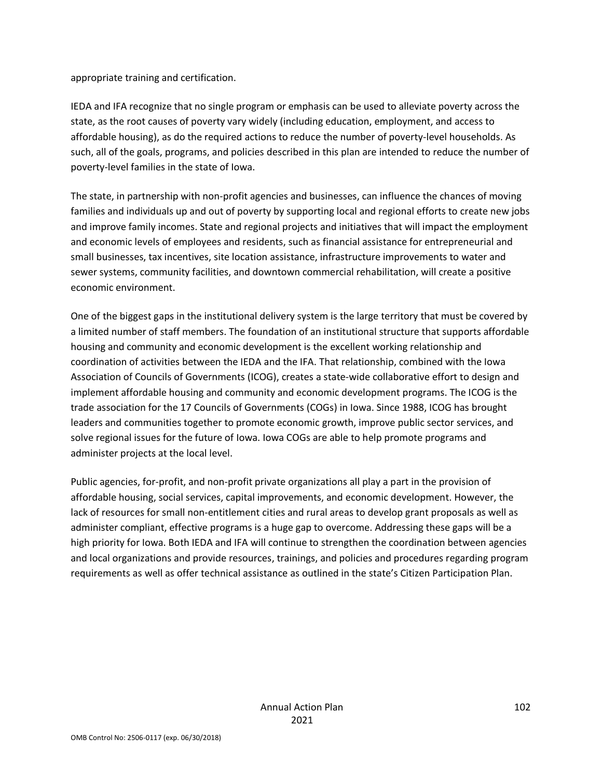appropriate training and certification.

IEDA and IFA recognize that no single program or emphasis can be used to alleviate poverty across the state, as the root causes of poverty vary widely (including education, employment, and access to affordable housing), as do the required actions to reduce the number of poverty-level households. As such, all of the goals, programs, and policies described in this plan are intended to reduce the number of poverty-level families in the state of Iowa.

The state, in partnership with non-profit agencies and businesses, can influence the chances of moving families and individuals up and out of poverty by supporting local and regional efforts to create new jobs and improve family incomes. State and regional projects and initiatives that will impact the employment and economic levels of employees and residents, such as financial assistance for entrepreneurial and small businesses, tax incentives, site location assistance, infrastructure improvements to water and sewer systems, community facilities, and downtown commercial rehabilitation, will create a positive economic environment.

One of the biggest gaps in the institutional delivery system is the large territory that must be covered by a limited number of staff members. The foundation of an institutional structure that supports affordable housing and community and economic development is the excellent working relationship and coordination of activities between the IEDA and the IFA. That relationship, combined with the Iowa Association of Councils of Governments (ICOG), creates a state-wide collaborative effort to design and implement affordable housing and community and economic development programs. The ICOG is the trade association for the 17 Councils of Governments (COGs) in Iowa. Since 1988, ICOG has brought leaders and communities together to promote economic growth, improve public sector services, and solve regional issues for the future of Iowa. Iowa COGs are able to help promote programs and administer projects at the local level.

Public agencies, for-profit, and non-profit private organizations all play a part in the provision of affordable housing, social services, capital improvements, and economic development. However, the lack of resources for small non-entitlement cities and rural areas to develop grant proposals as well as administer compliant, effective programs is a huge gap to overcome. Addressing these gaps will be a high priority for Iowa. Both IEDA and IFA will continue to strengthen the coordination between agencies and local organizations and provide resources, trainings, and policies and procedures regarding program requirements as well as offer technical assistance as outlined in the state's Citizen Participation Plan.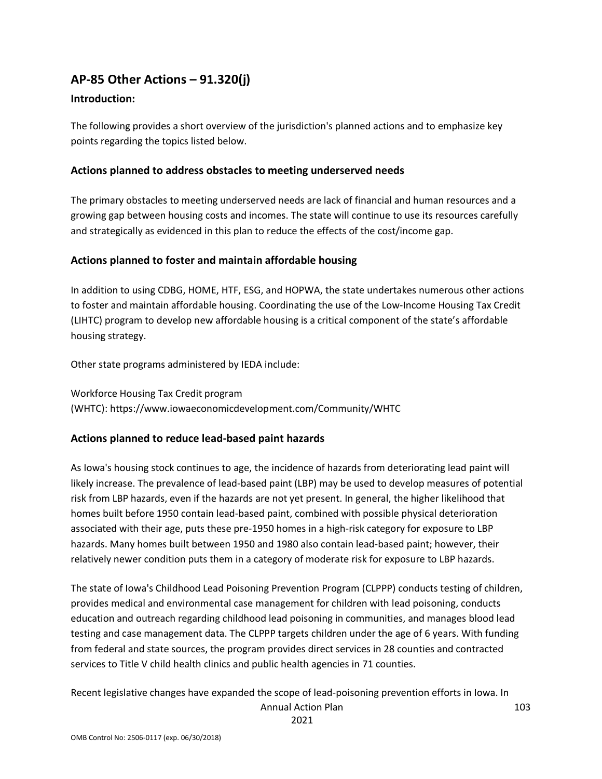### **AP-85 Other Actions – 91.320(j)**

#### **Introduction:**

The following provides a short overview of the jurisdiction's planned actions and to emphasize key points regarding the topics listed below.

#### **Actions planned to address obstacles to meeting underserved needs**

The primary obstacles to meeting underserved needs are lack of financial and human resources and a growing gap between housing costs and incomes. The state will continue to use its resources carefully and strategically as evidenced in this plan to reduce the effects of the cost/income gap.

#### **Actions planned to foster and maintain affordable housing**

In addition to using CDBG, HOME, HTF, ESG, and HOPWA, the state undertakes numerous other actions to foster and maintain affordable housing. Coordinating the use of the Low-Income Housing Tax Credit (LIHTC) program to develop new affordable housing is a critical component of the state's affordable housing strategy.

Other state programs administered by IEDA include:

Workforce Housing Tax Credit program (WHTC): https://www.iowaeconomicdevelopment.com/Community/WHTC

#### **Actions planned to reduce lead-based paint hazards**

As Iowa's housing stock continues to age, the incidence of hazards from deteriorating lead paint will likely increase. The prevalence of lead-based paint (LBP) may be used to develop measures of potential risk from LBP hazards, even if the hazards are not yet present. In general, the higher likelihood that homes built before 1950 contain lead-based paint, combined with possible physical deterioration associated with their age, puts these pre-1950 homes in a high-risk category for exposure to LBP hazards. Many homes built between 1950 and 1980 also contain lead-based paint; however, their relatively newer condition puts them in a category of moderate risk for exposure to LBP hazards.

The state of Iowa's Childhood Lead Poisoning Prevention Program (CLPPP) conducts testing of children, provides medical and environmental case management for children with lead poisoning, conducts education and outreach regarding childhood lead poisoning in communities, and manages blood lead testing and case management data. The CLPPP targets children under the age of 6 years. With funding from federal and state sources, the program provides direct services in 28 counties and contracted services to Title V child health clinics and public health agencies in 71 counties.

Recent legislative changes have expanded the scope of lead-poisoning prevention efforts in Iowa. In

Annual Action Plan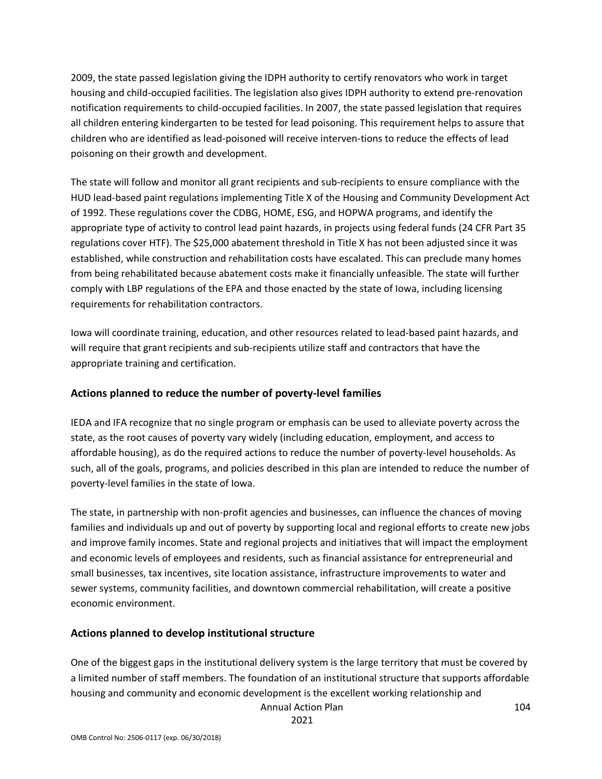2009, the state passed legislation giving the IDPH authority to certify renovators who work in target housing and child-occupied facilities. The legislation also gives IDPH authority to extend pre-renovation notification requirements to child-occupied facilities. In 2007, the state passed legislation that requires all children entering kindergarten to be tested for lead poisoning. This requirement helps to assure that children who are identified as lead-poisoned will receive interven-tions to reduce the effects of lead poisoning on their growth and development.

The state will follow and monitor all grant recipients and sub-recipients to ensure compliance with the HUD lead-based paint regulations implementing Title X of the Housing and Community Development Act of 1992. These regulations cover the CDBG, HOME, ESG, and HOPWA programs, and identify the appropriate type of activity to control lead paint hazards, in projects using federal funds (24 CFR Part 35 regulations cover HTF). The \$25,000 abatement threshold in Title X has not been adjusted since it was established, while construction and rehabilitation costs have escalated. This can preclude many homes from being rehabilitated because abatement costs make it financially unfeasible. The state will further comply with LBP regulations of the EPA and those enacted by the state of Iowa, including licensing requirements for rehabilitation contractors.

Iowa will coordinate training, education, and other resources related to lead-based paint hazards, and will require that grant recipients and sub-recipients utilize staff and contractors that have the appropriate training and certification.

### **Actions planned to reduce the number of poverty-level families**

IEDA and IFA recognize that no single program or emphasis can be used to alleviate poverty across the state, as the root causes of poverty vary widely (including education, employment, and access to affordable housing), as do the required actions to reduce the number of poverty-level households. As such, all of the goals, programs, and policies described in this plan are intended to reduce the number of poverty-level families in the state of Iowa.

The state, in partnership with non-profit agencies and businesses, can influence the chances of moving families and individuals up and out of poverty by supporting local and regional efforts to create new jobs and improve family incomes. State and regional projects and initiatives that will impact the employment and economic levels of employees and residents, such as financial assistance for entrepreneurial and small businesses, tax incentives, site location assistance, infrastructure improvements to water and sewer systems, community facilities, and downtown commercial rehabilitation, will create a positive economic environment.

### **Actions planned to develop institutional structure**

One of the biggest gaps in the institutional delivery system is the large territory that must be covered by a limited number of staff members. The foundation of an institutional structure that supports affordable housing and community and economic development is the excellent working relationship and

Annual Action Plan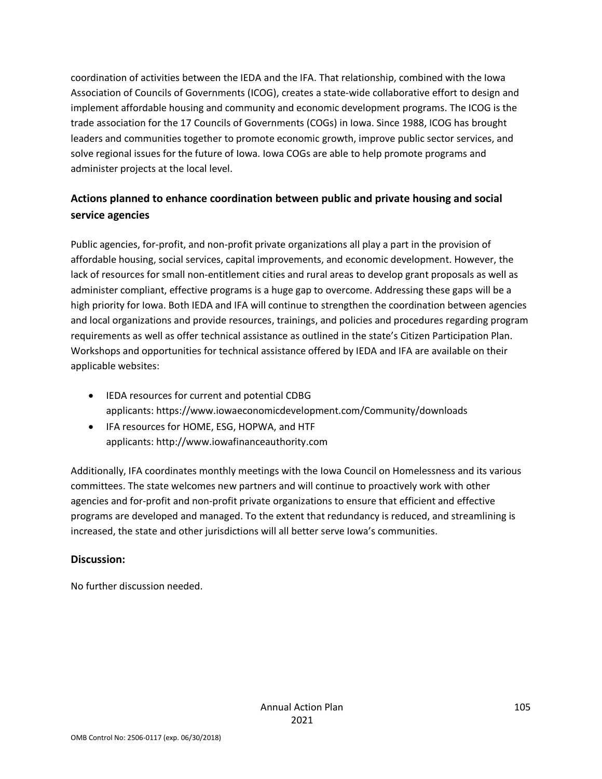coordination of activities between the IEDA and the IFA. That relationship, combined with the Iowa Association of Councils of Governments (ICOG), creates a state-wide collaborative effort to design and implement affordable housing and community and economic development programs. The ICOG is the trade association for the 17 Councils of Governments (COGs) in Iowa. Since 1988, ICOG has brought leaders and communities together to promote economic growth, improve public sector services, and solve regional issues for the future of Iowa. Iowa COGs are able to help promote programs and administer projects at the local level.

### **Actions planned to enhance coordination between public and private housing and social service agencies**

Public agencies, for-profit, and non-profit private organizations all play a part in the provision of affordable housing, social services, capital improvements, and economic development. However, the lack of resources for small non-entitlement cities and rural areas to develop grant proposals as well as administer compliant, effective programs is a huge gap to overcome. Addressing these gaps will be a high priority for Iowa. Both IEDA and IFA will continue to strengthen the coordination between agencies and local organizations and provide resources, trainings, and policies and procedures regarding program requirements as well as offer technical assistance as outlined in the state's Citizen Participation Plan. Workshops and opportunities for technical assistance offered by IEDA and IFA are available on their applicable websites:

- IEDA resources for current and potential CDBG applicants: https://www.iowaeconomicdevelopment.com/Community/downloads
- IFA resources for HOME, ESG, HOPWA, and HTF applicants: http://www.iowafinanceauthority.com

Additionally, IFA coordinates monthly meetings with the Iowa Council on Homelessness and its various committees. The state welcomes new partners and will continue to proactively work with other agencies and for-profit and non-profit private organizations to ensure that efficient and effective programs are developed and managed. To the extent that redundancy is reduced, and streamlining is increased, the state and other jurisdictions will all better serve Iowa's communities.

### **Discussion:**

No further discussion needed.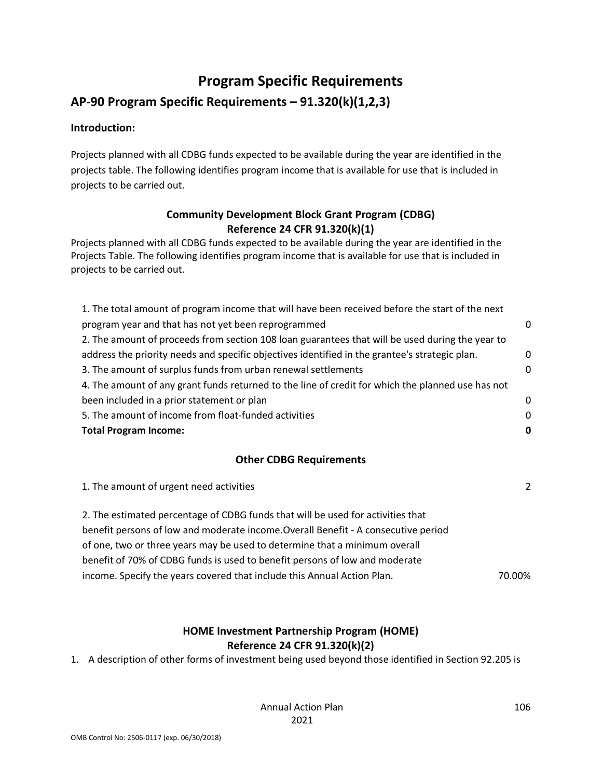# **Program Specific Requirements**

### **AP-90 Program Specific Requirements – 91.320(k)(1,2,3)**

#### **Introduction:**

Projects planned with all CDBG funds expected to be available during the year are identified in the projects table. The following identifies program income that is available for use that is included in projects to be carried out.

### **Community Development Block Grant Program (CDBG) Reference 24 CFR 91.320(k)(1)**

Projects planned with all CDBG funds expected to be available during the year are identified in the Projects Table. The following identifies program income that is available for use that is included in projects to be carried out.

| 1. The total amount of program income that will have been received before the start of the next   |          |
|---------------------------------------------------------------------------------------------------|----------|
| program year and that has not yet been reprogrammed                                               | n        |
| 2. The amount of proceeds from section 108 loan guarantees that will be used during the year to   |          |
| address the priority needs and specific objectives identified in the grantee's strategic plan.    | 0        |
| 3. The amount of surplus funds from urban renewal settlements                                     | n        |
| 4. The amount of any grant funds returned to the line of credit for which the planned use has not |          |
| been included in a prior statement or plan                                                        | $\Omega$ |
| 5. The amount of income from float-funded activities                                              | $\Omega$ |
| <b>Total Program Income:</b>                                                                      |          |

### **Other CDBG Requirements**

| $\mathcal{P}$ |
|---------------|
|               |
|               |
|               |
|               |
| 70.00%        |
|               |

### **HOME Investment Partnership Program (HOME) Reference 24 CFR 91.320(k)(2)**

1. A description of other forms of investment being used beyond those identified in Section 92.205 is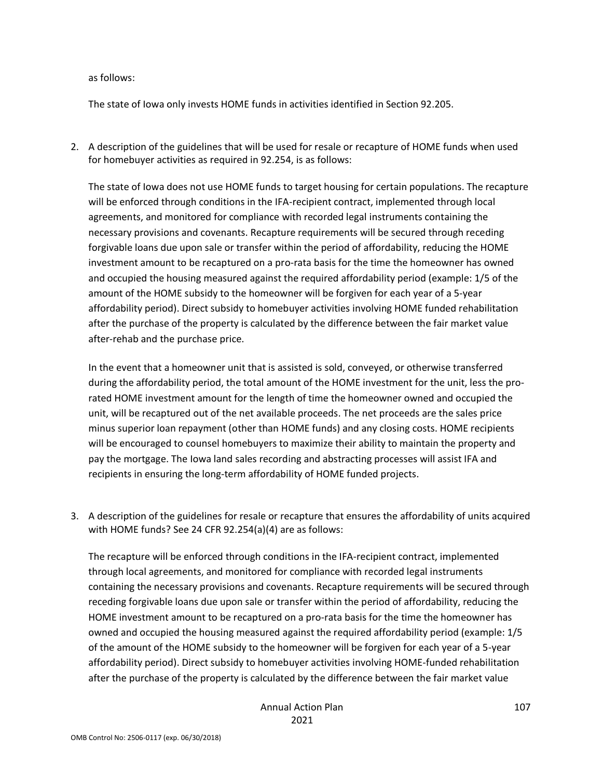as follows:

The state of Iowa only invests HOME funds in activities identified in Section 92.205.

2. A description of the guidelines that will be used for resale or recapture of HOME funds when used for homebuyer activities as required in 92.254, is as follows:

The state of Iowa does not use HOME funds to target housing for certain populations. The recapture will be enforced through conditions in the IFA-recipient contract, implemented through local agreements, and monitored for compliance with recorded legal instruments containing the necessary provisions and covenants. Recapture requirements will be secured through receding forgivable loans due upon sale or transfer within the period of affordability, reducing the HOME investment amount to be recaptured on a pro-rata basis for the time the homeowner has owned and occupied the housing measured against the required affordability period (example: 1/5 of the amount of the HOME subsidy to the homeowner will be forgiven for each year of a 5-year affordability period). Direct subsidy to homebuyer activities involving HOME funded rehabilitation after the purchase of the property is calculated by the difference between the fair market value after-rehab and the purchase price.

In the event that a homeowner unit that is assisted is sold, conveyed, or otherwise transferred during the affordability period, the total amount of the HOME investment for the unit, less the prorated HOME investment amount for the length of time the homeowner owned and occupied the unit, will be recaptured out of the net available proceeds. The net proceeds are the sales price minus superior loan repayment (other than HOME funds) and any closing costs. HOME recipients will be encouraged to counsel homebuyers to maximize their ability to maintain the property and pay the mortgage. The Iowa land sales recording and abstracting processes will assist IFA and recipients in ensuring the long-term affordability of HOME funded projects.

3. A description of the guidelines for resale or recapture that ensures the affordability of units acquired with HOME funds? See 24 CFR 92.254(a)(4) are as follows:

The recapture will be enforced through conditions in the IFA-recipient contract, implemented through local agreements, and monitored for compliance with recorded legal instruments containing the necessary provisions and covenants. Recapture requirements will be secured through receding forgivable loans due upon sale or transfer within the period of affordability, reducing the HOME investment amount to be recaptured on a pro-rata basis for the time the homeowner has owned and occupied the housing measured against the required affordability period (example: 1/5 of the amount of the HOME subsidy to the homeowner will be forgiven for each year of a 5-year affordability period). Direct subsidy to homebuyer activities involving HOME-funded rehabilitation after the purchase of the property is calculated by the difference between the fair market value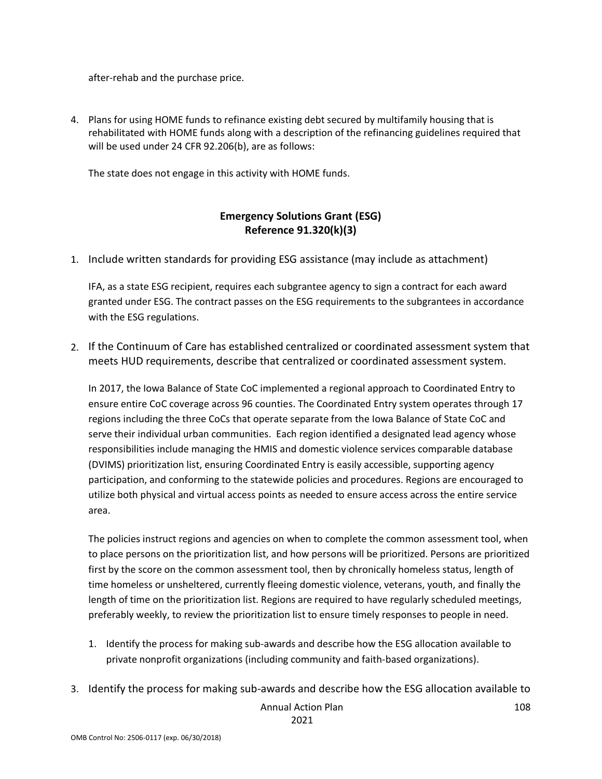after-rehab and the purchase price.

4. Plans for using HOME funds to refinance existing debt secured by multifamily housing that is rehabilitated with HOME funds along with a description of the refinancing guidelines required that will be used under 24 CFR 92.206(b), are as follows:

The state does not engage in this activity with HOME funds.

### **Emergency Solutions Grant (ESG) Reference 91.320(k)(3)**

1. Include written standards for providing ESG assistance (may include as attachment)

IFA, as a state ESG recipient, requires each subgrantee agency to sign a contract for each award granted under ESG. The contract passes on the ESG requirements to the subgrantees in accordance with the ESG regulations.

2. If the Continuum of Care has established centralized or coordinated assessment system that meets HUD requirements, describe that centralized or coordinated assessment system.

In 2017, the Iowa Balance of State CoC implemented a regional approach to Coordinated Entry to ensure entire CoC coverage across 96 counties. The Coordinated Entry system operates through 17 regions including the three CoCs that operate separate from the Iowa Balance of State CoC and serve their individual urban communities. Each region identified a designated lead agency whose responsibilities include managing the HMIS and domestic violence services comparable database (DVIMS) prioritization list, ensuring Coordinated Entry is easily accessible, supporting agency participation, and conforming to the statewide policies and procedures. Regions are encouraged to utilize both physical and virtual access points as needed to ensure access across the entire service area.

The policies instruct regions and agencies on when to complete the common assessment tool, when to place persons on the prioritization list, and how persons will be prioritized. Persons are prioritized first by the score on the common assessment tool, then by chronically homeless status, length of time homeless or unsheltered, currently fleeing domestic violence, veterans, youth, and finally the length of time on the prioritization list. Regions are required to have regularly scheduled meetings, preferably weekly, to review the prioritization list to ensure timely responses to people in need.

- 1. Identify the process for making sub-awards and describe how the ESG allocation available to private nonprofit organizations (including community and faith-based organizations).
- Annual Action Plan 108 3. Identify the process for making sub-awards and describe how the ESG allocation available to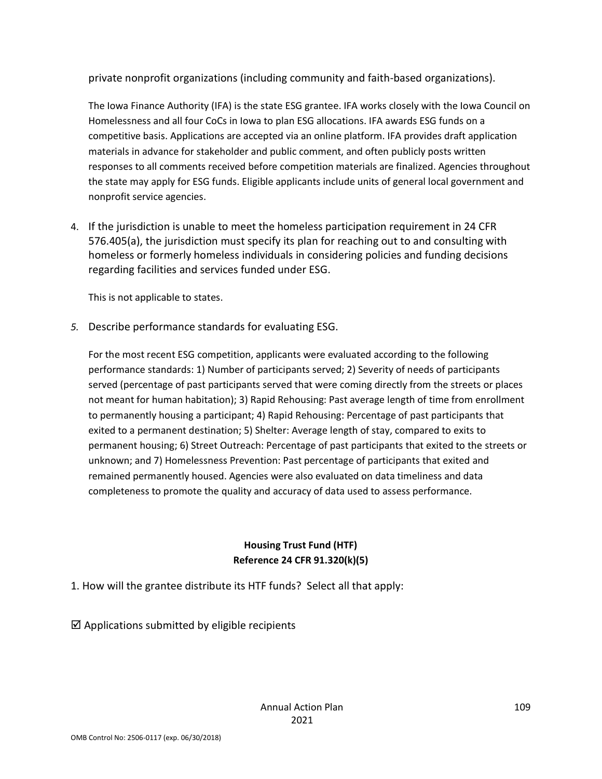private nonprofit organizations (including community and faith-based organizations).

The Iowa Finance Authority (IFA) is the state ESG grantee. IFA works closely with the Iowa Council on Homelessness and all four CoCs in Iowa to plan ESG allocations. IFA awards ESG funds on a competitive basis. Applications are accepted via an online platform. IFA provides draft application materials in advance for stakeholder and public comment, and often publicly posts written responses to all comments received before competition materials are finalized. Agencies throughout the state may apply for ESG funds. Eligible applicants include units of general local government and nonprofit service agencies.

4. If the jurisdiction is unable to meet the homeless participation requirement in 24 CFR 576.405(a), the jurisdiction must specify its plan for reaching out to and consulting with homeless or formerly homeless individuals in considering policies and funding decisions regarding facilities and services funded under ESG.

This is not applicable to states.

*5.* Describe performance standards for evaluating ESG.

For the most recent ESG competition, applicants were evaluated according to the following performance standards: 1) Number of participants served; 2) Severity of needs of participants served (percentage of past participants served that were coming directly from the streets or places not meant for human habitation); 3) Rapid Rehousing: Past average length of time from enrollment to permanently housing a participant; 4) Rapid Rehousing: Percentage of past participants that exited to a permanent destination; 5) Shelter: Average length of stay, compared to exits to permanent housing; 6) Street Outreach: Percentage of past participants that exited to the streets or unknown; and 7) Homelessness Prevention: Past percentage of participants that exited and remained permanently housed. Agencies were also evaluated on data timeliness and data completeness to promote the quality and accuracy of data used to assess performance.

## **Housing Trust Fund (HTF) Reference 24 CFR 91.320(k)(5)**

1. How will the grantee distribute its HTF funds? Select all that apply:

 $\boxtimes$  Applications submitted by eligible recipients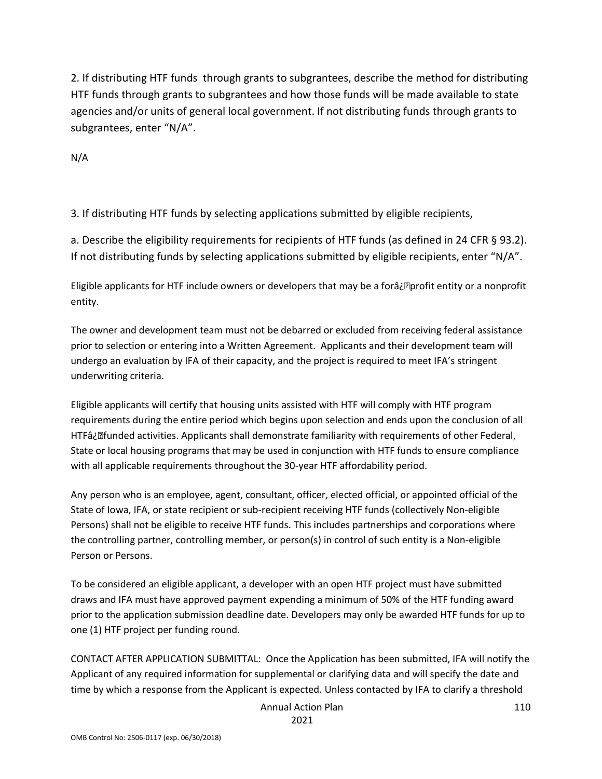2. If distributing HTF funds through grants to subgrantees, describe the method for distributing HTF funds through grants to subgrantees and how those funds will be made available to state agencies and/or units of general local government. If not distributing funds through grants to subgrantees, enter "N/A".

N/A

3. If distributing HTF funds by selecting applications submitted by eligible recipients,

a. Describe the eligibility requirements for recipients of HTF funds (as defined in 24 CFR § 93.2). If not distributing funds by selecting applications submitted by eligible recipients, enter "N/A".

Eligible applicants for HTF include owners or developers that may be a forâ¿**D**profit entity or a nonprofit entity.

The owner and development team must not be debarred or excluded from receiving federal assistance prior to selection or entering into a Written Agreement. Applicants and their development team will undergo an evaluation by IFA of their capacity, and the project is required to meet IFA's stringent underwriting criteria.

Eligible applicants will certify that housing units assisted with HTF will comply with HTF program requirements during the entire period which begins upon selection and ends upon the conclusion of all HTFâ¿funded activities. Applicants shall demonstrate familiarity with requirements of other Federal, State or local housing programs that may be used in conjunction with HTF funds to ensure compliance with all applicable requirements throughout the 30-year HTF affordability period.

Any person who is an employee, agent, consultant, officer, elected official, or appointed official of the State of Iowa, IFA, or state recipient or sub-recipient receiving HTF funds (collectively Non-eligible Persons) shall not be eligible to receive HTF funds. This includes partnerships and corporations where the controlling partner, controlling member, or person(s) in control of such entity is a Non-eligible Person or Persons.

To be considered an eligible applicant, a developer with an open HTF project must have submitted draws and IFA must have approved payment expending a minimum of 50% of the HTF funding award prior to the application submission deadline date. Developers may only be awarded HTF funds for up to one (1) HTF project per funding round.

CONTACT AFTER APPLICATION SUBMITTAL: Once the Application has been submitted, IFA will notify the Applicant of any required information for supplemental or clarifying data and will specify the date and time by which a response from the Applicant is expected. Unless contacted by IFA to clarify a threshold

Annual Action Plan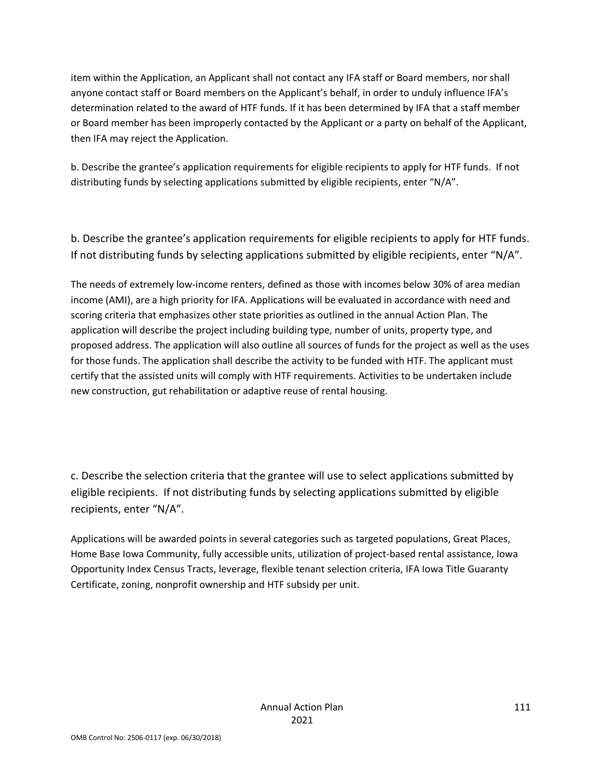item within the Application, an Applicant shall not contact any IFA staff or Board members, nor shall anyone contact staff or Board members on the Applicant's behalf, in order to unduly influence IFA's determination related to the award of HTF funds. If it has been determined by IFA that a staff member or Board member has been improperly contacted by the Applicant or a party on behalf of the Applicant, then IFA may reject the Application.

b. Describe the grantee's application requirements for eligible recipients to apply for HTF funds. If not distributing funds by selecting applications submitted by eligible recipients, enter "N/A".

b. Describe the grantee's application requirements for eligible recipients to apply for HTF funds. If not distributing funds by selecting applications submitted by eligible recipients, enter "N/A".

The needs of extremely low-income renters, defined as those with incomes below 30% of area median income (AMI), are a high priority for IFA. Applications will be evaluated in accordance with need and scoring criteria that emphasizes other state priorities as outlined in the annual Action Plan. The application will describe the project including building type, number of units, property type, and proposed address. The application will also outline all sources of funds for the project as well as the uses for those funds. The application shall describe the activity to be funded with HTF. The applicant must certify that the assisted units will comply with HTF requirements. Activities to be undertaken include new construction, gut rehabilitation or adaptive reuse of rental housing.

c. Describe the selection criteria that the grantee will use to select applications submitted by eligible recipients. If not distributing funds by selecting applications submitted by eligible recipients, enter "N/A".

Applications will be awarded points in several categories such as targeted populations, Great Places, Home Base Iowa Community, fully accessible units, utilization of project-based rental assistance, Iowa Opportunity Index Census Tracts, leverage, flexible tenant selection criteria, IFA Iowa Title Guaranty Certificate, zoning, nonprofit ownership and HTF subsidy per unit.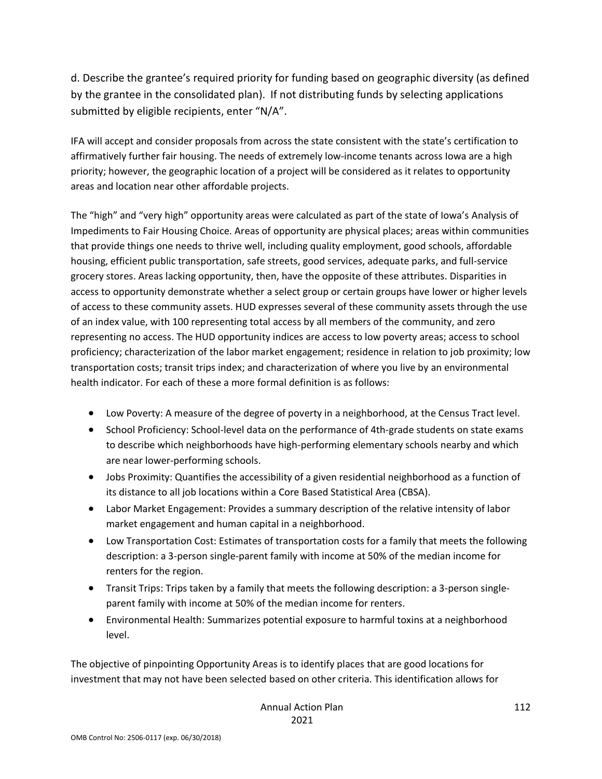d. Describe the grantee's required priority for funding based on geographic diversity (as defined by the grantee in the consolidated plan). If not distributing funds by selecting applications submitted by eligible recipients, enter "N/A".

IFA will accept and consider proposals from across the state consistent with the state's certification to affirmatively further fair housing. The needs of extremely low-income tenants across Iowa are a high priority; however, the geographic location of a project will be considered as it relates to opportunity areas and location near other affordable projects.

The "high" and "very high" opportunity areas were calculated as part of the state of Iowa's Analysis of Impediments to Fair Housing Choice. Areas of opportunity are physical places; areas within communities that provide things one needs to thrive well, including quality employment, good schools, affordable housing, efficient public transportation, safe streets, good services, adequate parks, and full-service grocery stores. Areas lacking opportunity, then, have the opposite of these attributes. Disparities in access to opportunity demonstrate whether a select group or certain groups have lower or higher levels of access to these community assets. HUD expresses several of these community assets through the use of an index value, with 100 representing total access by all members of the community, and zero representing no access. The HUD opportunity indices are access to low poverty areas; access to school proficiency; characterization of the labor market engagement; residence in relation to job proximity; low transportation costs; transit trips index; and characterization of where you live by an environmental health indicator. For each of these a more formal definition is as follows:

- Low Poverty: A measure of the degree of poverty in a neighborhood, at the Census Tract level.
- School Proficiency: School-level data on the performance of 4th-grade students on state exams to describe which neighborhoods have high-performing elementary schools nearby and which are near lower-performing schools.
- Jobs Proximity: Quantifies the accessibility of a given residential neighborhood as a function of its distance to all job locations within a Core Based Statistical Area (CBSA).
- Labor Market Engagement: Provides a summary description of the relative intensity of labor market engagement and human capital in a neighborhood.
- Low Transportation Cost: Estimates of transportation costs for a family that meets the following description: a 3-person single-parent family with income at 50% of the median income for renters for the region.
- Transit Trips: Trips taken by a family that meets the following description: a 3-person singleparent family with income at 50% of the median income for renters.
- Environmental Health: Summarizes potential exposure to harmful toxins at a neighborhood level.

The objective of pinpointing Opportunity Areas is to identify places that are good locations for investment that may not have been selected based on other criteria. This identification allows for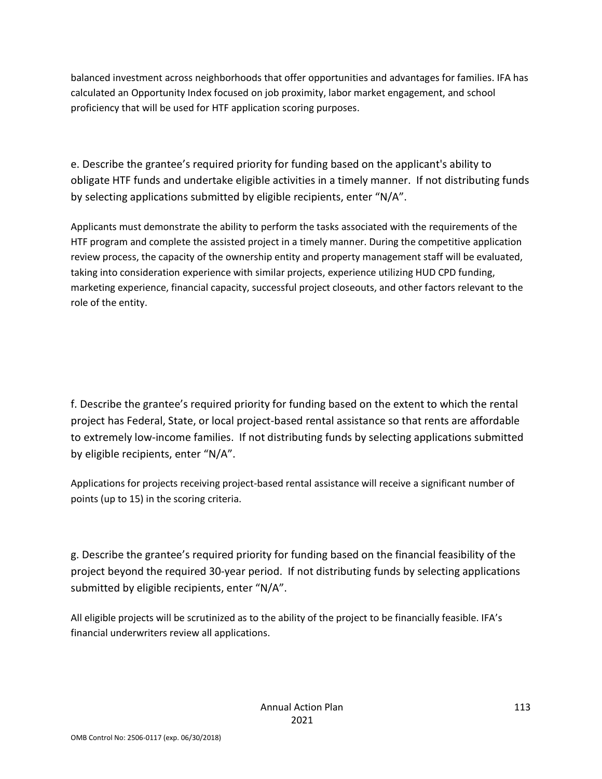balanced investment across neighborhoods that offer opportunities and advantages for families. IFA has calculated an Opportunity Index focused on job proximity, labor market engagement, and school proficiency that will be used for HTF application scoring purposes.

e. Describe the grantee's required priority for funding based on the applicant's ability to obligate HTF funds and undertake eligible activities in a timely manner. If not distributing funds by selecting applications submitted by eligible recipients, enter "N/A".

Applicants must demonstrate the ability to perform the tasks associated with the requirements of the HTF program and complete the assisted project in a timely manner. During the competitive application review process, the capacity of the ownership entity and property management staff will be evaluated, taking into consideration experience with similar projects, experience utilizing HUD CPD funding, marketing experience, financial capacity, successful project closeouts, and other factors relevant to the role of the entity.

f. Describe the grantee's required priority for funding based on the extent to which the rental project has Federal, State, or local project-based rental assistance so that rents are affordable to extremely low-income families. If not distributing funds by selecting applications submitted by eligible recipients, enter "N/A".

Applications for projects receiving project-based rental assistance will receive a significant number of points (up to 15) in the scoring criteria.

g. Describe the grantee's required priority for funding based on the financial feasibility of the project beyond the required 30-year period. If not distributing funds by selecting applications submitted by eligible recipients, enter "N/A".

All eligible projects will be scrutinized as to the ability of the project to be financially feasible. IFA's financial underwriters review all applications.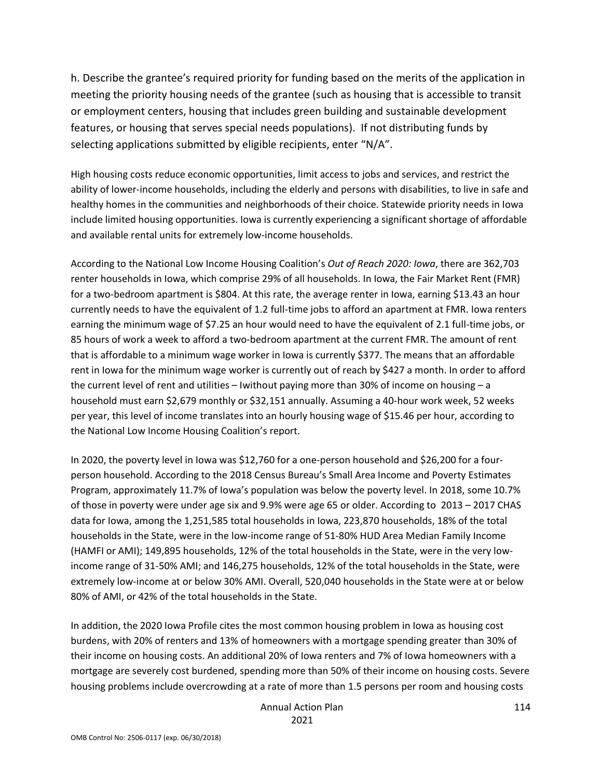h. Describe the grantee's required priority for funding based on the merits of the application in meeting the priority housing needs of the grantee (such as housing that is accessible to transit or employment centers, housing that includes green building and sustainable development features, or housing that serves special needs populations). If not distributing funds by selecting applications submitted by eligible recipients, enter "N/A".

High housing costs reduce economic opportunities, limit access to jobs and services, and restrict the ability of lower-income households, including the elderly and persons with disabilities, to live in safe and healthy homes in the communities and neighborhoods of their choice. Statewide priority needs in Iowa include limited housing opportunities. Iowa is currently experiencing a significant shortage of affordable and available rental units for extremely low-income households.

According to the National Low Income Housing Coalition's *Out of Reach 2020: Iowa*, there are 362,703 renter households in Iowa, which comprise 29% of all households. In Iowa, the Fair Market Rent (FMR) for a two-bedroom apartment is \$804. At this rate, the average renter in Iowa, earning \$13.43 an hour currently needs to have the equivalent of 1.2 full-time jobs to afford an apartment at FMR. Iowa renters earning the minimum wage of \$7.25 an hour would need to have the equivalent of 2.1 full-time jobs, or 85 hours of work a week to afford a two-bedroom apartment at the current FMR. The amount of rent that is affordable to a minimum wage worker in Iowa is currently \$377. The means that an affordable rent in Iowa for the minimum wage worker is currently out of reach by \$427 a month. In order to afford the current level of rent and utilities – Iwithout paying more than 30% of income on housing – a household must earn \$2,679 monthly or \$32,151 annually. Assuming a 40-hour work week, 52 weeks per year, this level of income translates into an hourly housing wage of \$15.46 per hour, according to the National Low Income Housing Coalition's report.

In 2020, the poverty level in Iowa was \$12,760 for a one-person household and \$26,200 for a fourperson household. According to the 2018 Census Bureau's Small Area Income and Poverty Estimates Program, approximately 11.7% of Iowa's population was below the poverty level. In 2018, some 10.7% of those in poverty were under age six and 9.9% were age 65 or older. According to 2013 – 2017 CHAS data for Iowa, among the 1,251,585 total households in Iowa, 223,870 households, 18% of the total households in the State, were in the low-income range of 51-80% HUD Area Median Family Income (HAMFI or AMI); 149,895 households, 12% of the total households in the State, were in the very lowincome range of 31-50% AMI; and 146,275 households, 12% of the total households in the State, were extremely low-income at or below 30% AMI. Overall, 520,040 households in the State were at or below 80% of AMI, or 42% of the total households in the State.

In addition, the 2020 Iowa Profile cites the most common housing problem in Iowa as housing cost burdens, with 20% of renters and 13% of homeowners with a mortgage spending greater than 30% of their income on housing costs. An additional 20% of Iowa renters and 7% of Iowa homeowners with a mortgage are severely cost burdened, spending more than 50% of their income on housing costs. Severe housing problems include overcrowding at a rate of more than 1.5 persons per room and housing costs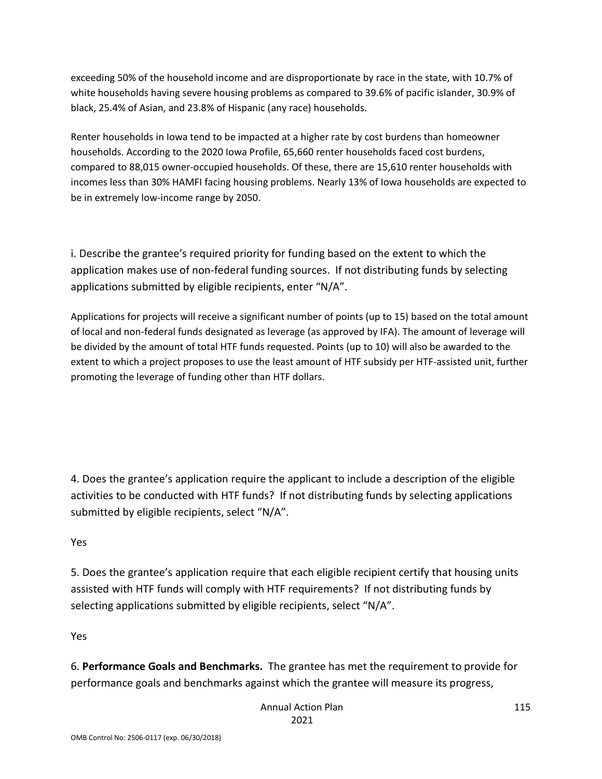exceeding 50% of the household income and are disproportionate by race in the state, with 10.7% of white households having severe housing problems as compared to 39.6% of pacific islander, 30.9% of black, 25.4% of Asian, and 23.8% of Hispanic (any race) households.

Renter households in Iowa tend to be impacted at a higher rate by cost burdens than homeowner households. According to the 2020 Iowa Profile, 65,660 renter households faced cost burdens, compared to 88,015 owner-occupied households. Of these, there are 15,610 renter households with incomes less than 30% HAMFI facing housing problems. Nearly 13% of Iowa households are expected to be in extremely low-income range by 2050.

i. Describe the grantee's required priority for funding based on the extent to which the application makes use of non-federal funding sources. If not distributing funds by selecting applications submitted by eligible recipients, enter "N/A".

Applications for projects will receive a significant number of points (up to 15) based on the total amount of local and non-federal funds designated as leverage (as approved by IFA). The amount of leverage will be divided by the amount of total HTF funds requested. Points (up to 10) will also be awarded to the extent to which a project proposes to use the least amount of HTF subsidy per HTF-assisted unit, further promoting the leverage of funding other than HTF dollars.

4. Does the grantee's application require the applicant to include a description of the eligible activities to be conducted with HTF funds? If not distributing funds by selecting applications submitted by eligible recipients, select "N/A".

## Yes

5. Does the grantee's application require that each eligible recipient certify that housing units assisted with HTF funds will comply with HTF requirements? If not distributing funds by selecting applications submitted by eligible recipients, select "N/A".

Yes

6. **Performance Goals and Benchmarks.** The grantee has met the requirement to provide for performance goals and benchmarks against which the grantee will measure its progress,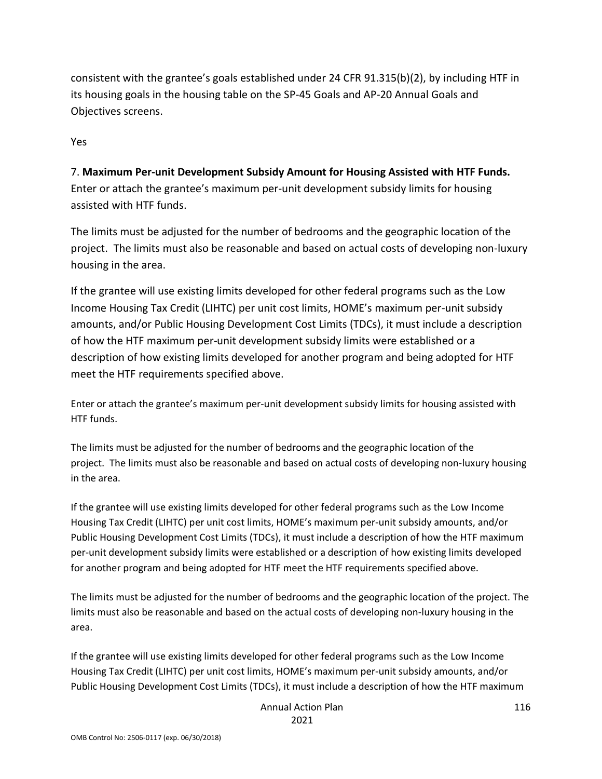consistent with the grantee's goals established under 24 CFR 91.315(b)(2), by including HTF in its housing goals in the housing table on the SP-45 Goals and AP-20 Annual Goals and Objectives screens.

Yes

7. **Maximum Per-unit Development Subsidy Amount for Housing Assisted with HTF Funds.** Enter or attach the grantee's maximum per-unit development subsidy limits for housing assisted with HTF funds.

The limits must be adjusted for the number of bedrooms and the geographic location of the project. The limits must also be reasonable and based on actual costs of developing non-luxury housing in the area.

If the grantee will use existing limits developed for other federal programs such as the Low Income Housing Tax Credit (LIHTC) per unit cost limits, HOME's maximum per-unit subsidy amounts, and/or Public Housing Development Cost Limits (TDCs), it must include a description of how the HTF maximum per-unit development subsidy limits were established or a description of how existing limits developed for another program and being adopted for HTF meet the HTF requirements specified above.

Enter or attach the grantee's maximum per-unit development subsidy limits for housing assisted with HTF funds.

The limits must be adjusted for the number of bedrooms and the geographic location of the project. The limits must also be reasonable and based on actual costs of developing non-luxury housing in the area.

If the grantee will use existing limits developed for other federal programs such as the Low Income Housing Tax Credit (LIHTC) per unit cost limits, HOME's maximum per-unit subsidy amounts, and/or Public Housing Development Cost Limits (TDCs), it must include a description of how the HTF maximum per-unit development subsidy limits were established or a description of how existing limits developed for another program and being adopted for HTF meet the HTF requirements specified above.

The limits must be adjusted for the number of bedrooms and the geographic location of the project. The limits must also be reasonable and based on the actual costs of developing non-luxury housing in the area.

If the grantee will use existing limits developed for other federal programs such as the Low Income Housing Tax Credit (LIHTC) per unit cost limits, HOME's maximum per-unit subsidy amounts, and/or Public Housing Development Cost Limits (TDCs), it must include a description of how the HTF maximum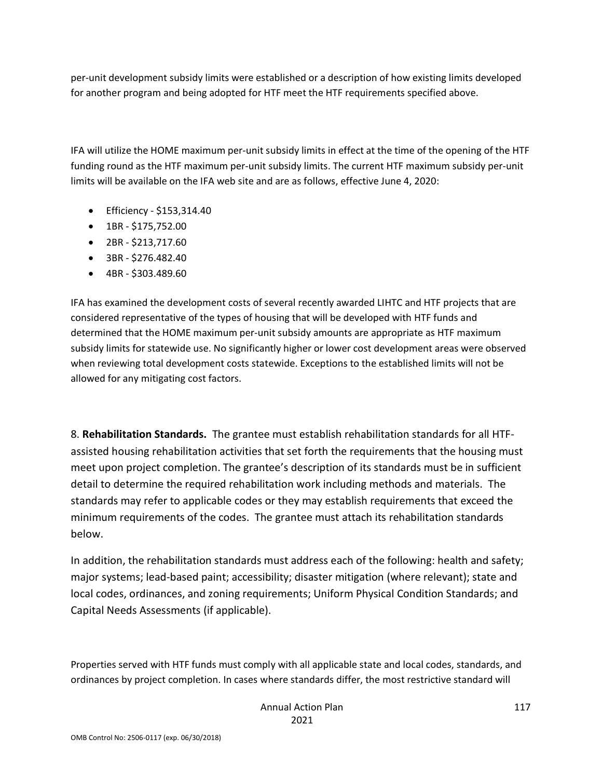per-unit development subsidy limits were established or a description of how existing limits developed for another program and being adopted for HTF meet the HTF requirements specified above.

IFA will utilize the HOME maximum per-unit subsidy limits in effect at the time of the opening of the HTF funding round as the HTF maximum per-unit subsidy limits. The current HTF maximum subsidy per-unit limits will be available on the IFA web site and are as follows, effective June 4, 2020:

- Efficiency \$153,314.40
- 1BR \$175,752.00
- 2BR \$213,717.60
- 3BR \$276.482.40
- 4BR \$303.489.60

IFA has examined the development costs of several recently awarded LIHTC and HTF projects that are considered representative of the types of housing that will be developed with HTF funds and determined that the HOME maximum per-unit subsidy amounts are appropriate as HTF maximum subsidy limits for statewide use. No significantly higher or lower cost development areas were observed when reviewing total development costs statewide. Exceptions to the established limits will not be allowed for any mitigating cost factors.

8. **Rehabilitation Standards.** The grantee must establish rehabilitation standards for all HTFassisted housing rehabilitation activities that set forth the requirements that the housing must meet upon project completion. The grantee's description of its standards must be in sufficient detail to determine the required rehabilitation work including methods and materials. The standards may refer to applicable codes or they may establish requirements that exceed the minimum requirements of the codes. The grantee must attach its rehabilitation standards below.

In addition, the rehabilitation standards must address each of the following: health and safety; major systems; lead-based paint; accessibility; disaster mitigation (where relevant); state and local codes, ordinances, and zoning requirements; Uniform Physical Condition Standards; and Capital Needs Assessments (if applicable).

Properties served with HTF funds must comply with all applicable state and local codes, standards, and ordinances by project completion. In cases where standards differ, the most restrictive standard will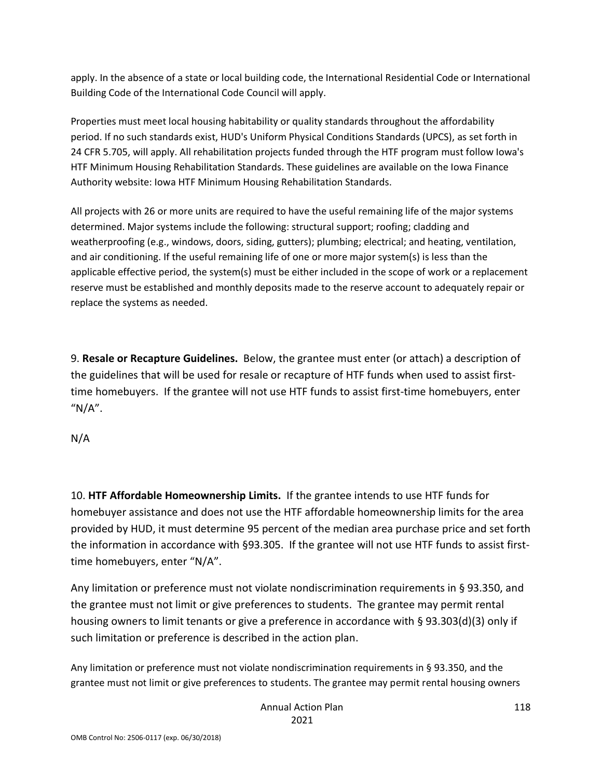apply. In the absence of a state or local building code, the International Residential Code or International Building Code of the International Code Council will apply.

Properties must meet local housing habitability or quality standards throughout the affordability period. If no such standards exist, HUD's Uniform Physical Conditions Standards (UPCS), as set forth in 24 CFR 5.705, will apply. All rehabilitation projects funded through the HTF program must follow Iowa's HTF Minimum Housing Rehabilitation Standards. These guidelines are available on the Iowa Finance Authority website: Iowa HTF Minimum Housing Rehabilitation Standards.

All projects with 26 or more units are required to have the useful remaining life of the major systems determined. Major systems include the following: structural support; roofing; cladding and weatherproofing (e.g., windows, doors, siding, gutters); plumbing; electrical; and heating, ventilation, and air conditioning. If the useful remaining life of one or more major system(s) is less than the applicable effective period, the system(s) must be either included in the scope of work or a replacement reserve must be established and monthly deposits made to the reserve account to adequately repair or replace the systems as needed.

9. **Resale or Recapture Guidelines.** Below, the grantee must enter (or attach) a description of the guidelines that will be used for resale or recapture of HTF funds when used to assist firsttime homebuyers. If the grantee will not use HTF funds to assist first-time homebuyers, enter " $N/A$ ".

## N/A

10. **HTF Affordable Homeownership Limits.** If the grantee intends to use HTF funds for homebuyer assistance and does not use the HTF affordable homeownership limits for the area provided by HUD, it must determine 95 percent of the median area purchase price and set forth the information in accordance with §93.305. If the grantee will not use HTF funds to assist firsttime homebuyers, enter "N/A".

Any limitation or preference must not violate nondiscrimination requirements in § 93.350, and the grantee must not limit or give preferences to students. The grantee may permit rental housing owners to limit tenants or give a preference in accordance with § 93.303(d)(3) only if such limitation or preference is described in the action plan.

Any limitation or preference must not violate nondiscrimination requirements in § 93.350, and the grantee must not limit or give preferences to students. The grantee may permit rental housing owners